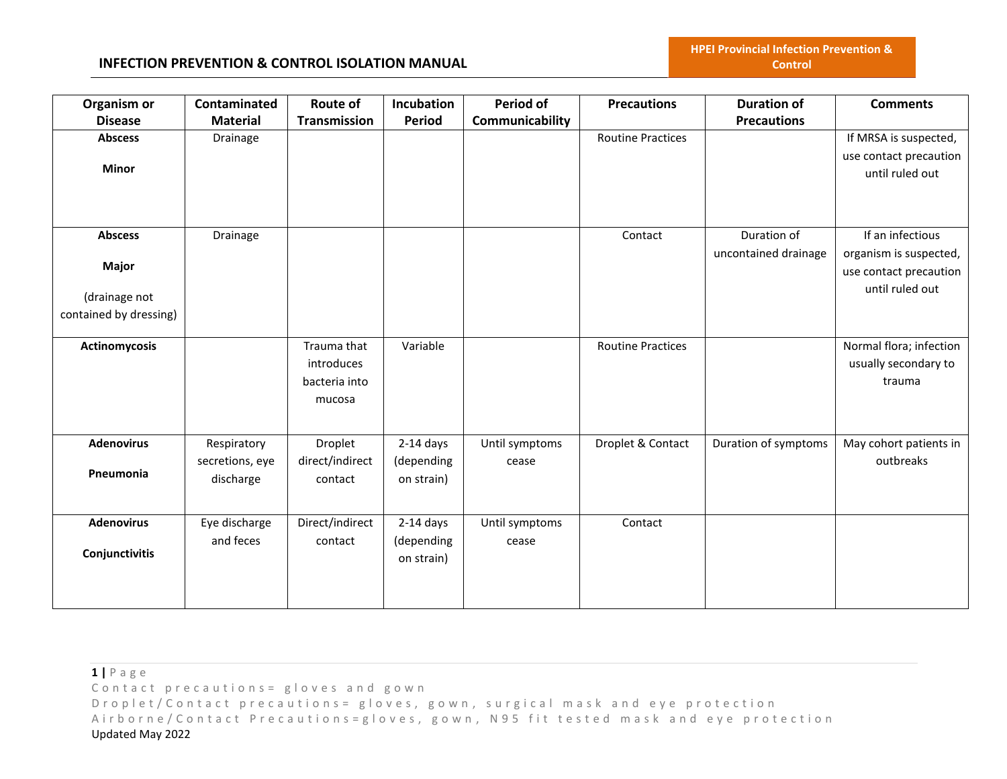### **INFECTION PREVENTION & CONTROL ISOLATION MANUAL**

| Organism or            | Contaminated    | Route of            | Incubation  | <b>Period of</b> | <b>Precautions</b>       | <b>Duration of</b>   | <b>Comments</b>         |
|------------------------|-----------------|---------------------|-------------|------------------|--------------------------|----------------------|-------------------------|
| <b>Disease</b>         | <b>Material</b> | <b>Transmission</b> | Period      | Communicability  |                          | <b>Precautions</b>   |                         |
| <b>Abscess</b>         | Drainage        |                     |             |                  | <b>Routine Practices</b> |                      | If MRSA is suspected,   |
|                        |                 |                     |             |                  |                          |                      | use contact precaution  |
| <b>Minor</b>           |                 |                     |             |                  |                          |                      | until ruled out         |
|                        |                 |                     |             |                  |                          |                      |                         |
|                        |                 |                     |             |                  |                          |                      |                         |
|                        |                 |                     |             |                  |                          |                      |                         |
| <b>Abscess</b>         | Drainage        |                     |             |                  | Contact                  | Duration of          | If an infectious        |
|                        |                 |                     |             |                  |                          | uncontained drainage | organism is suspected,  |
| <b>Major</b>           |                 |                     |             |                  |                          |                      | use contact precaution  |
| (drainage not          |                 |                     |             |                  |                          |                      | until ruled out         |
| contained by dressing) |                 |                     |             |                  |                          |                      |                         |
|                        |                 |                     |             |                  |                          |                      |                         |
| Actinomycosis          |                 | Trauma that         | Variable    |                  | <b>Routine Practices</b> |                      | Normal flora; infection |
|                        |                 | introduces          |             |                  |                          |                      | usually secondary to    |
|                        |                 | bacteria into       |             |                  |                          |                      | trauma                  |
|                        |                 | mucosa              |             |                  |                          |                      |                         |
|                        |                 |                     |             |                  |                          |                      |                         |
|                        |                 |                     |             |                  |                          |                      |                         |
| <b>Adenovirus</b>      | Respiratory     | Droplet             | $2-14$ days | Until symptoms   | Droplet & Contact        | Duration of symptoms | May cohort patients in  |
|                        | secretions, eye | direct/indirect     | (depending  | cease            |                          |                      | outbreaks               |
| Pneumonia              | discharge       | contact             | on strain)  |                  |                          |                      |                         |
|                        |                 |                     |             |                  |                          |                      |                         |
| <b>Adenovirus</b>      | Eye discharge   | Direct/indirect     | $2-14$ days | Until symptoms   | Contact                  |                      |                         |
|                        | and feces       | contact             | (depending  | cease            |                          |                      |                         |
| Conjunctivitis         |                 |                     | on strain)  |                  |                          |                      |                         |
|                        |                 |                     |             |                  |                          |                      |                         |
|                        |                 |                     |             |                  |                          |                      |                         |
|                        |                 |                     |             |                  |                          |                      |                         |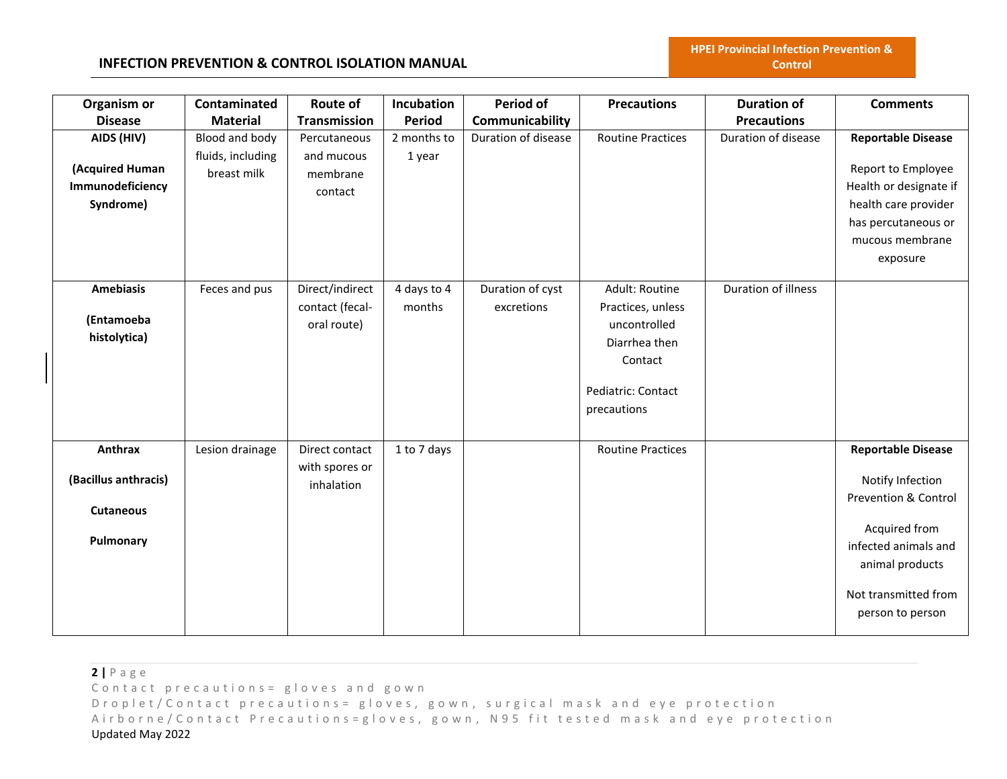### **INFECTION PREVENTION & CONTROL ISOLATION MANUAL**

| Organism or                                                      | Contaminated                     | <b>Route of</b>                                   | Incubation            | Period of                      | <b>Precautions</b>                                                                                                   | <b>Duration of</b>  | <b>Comments</b>                                                                                                                                                                          |
|------------------------------------------------------------------|----------------------------------|---------------------------------------------------|-----------------------|--------------------------------|----------------------------------------------------------------------------------------------------------------------|---------------------|------------------------------------------------------------------------------------------------------------------------------------------------------------------------------------------|
| <b>Disease</b>                                                   | <b>Material</b>                  | Transmission                                      | <b>Period</b>         | Communicability                |                                                                                                                      | <b>Precautions</b>  |                                                                                                                                                                                          |
| AIDS (HIV)                                                       | Blood and body                   | Percutaneous                                      | 2 months to           | Duration of disease            | <b>Routine Practices</b>                                                                                             | Duration of disease | <b>Reportable Disease</b>                                                                                                                                                                |
| (Acquired Human<br>Immunodeficiency<br>Syndrome)                 | fluids, including<br>breast milk | and mucous<br>membrane<br>contact                 | 1 year                |                                |                                                                                                                      |                     | Report to Employee<br>Health or designate if<br>health care provider<br>has percutaneous or<br>mucous membrane<br>exposure                                                               |
| <b>Amebiasis</b><br>(Entamoeba<br>histolytica)                   | Feces and pus                    | Direct/indirect<br>contact (fecal-<br>oral route) | 4 days to 4<br>months | Duration of cyst<br>excretions | Adult: Routine<br>Practices, unless<br>uncontrolled<br>Diarrhea then<br>Contact<br>Pediatric: Contact<br>precautions | Duration of illness |                                                                                                                                                                                          |
| Anthrax<br>(Bacillus anthracis)<br><b>Cutaneous</b><br>Pulmonary | Lesion drainage                  | Direct contact<br>with spores or<br>inhalation    | 1 to 7 days           |                                | <b>Routine Practices</b>                                                                                             |                     | <b>Reportable Disease</b><br>Notify Infection<br><b>Prevention &amp; Control</b><br>Acquired from<br>infected animals and<br>animal products<br>Not transmitted from<br>person to person |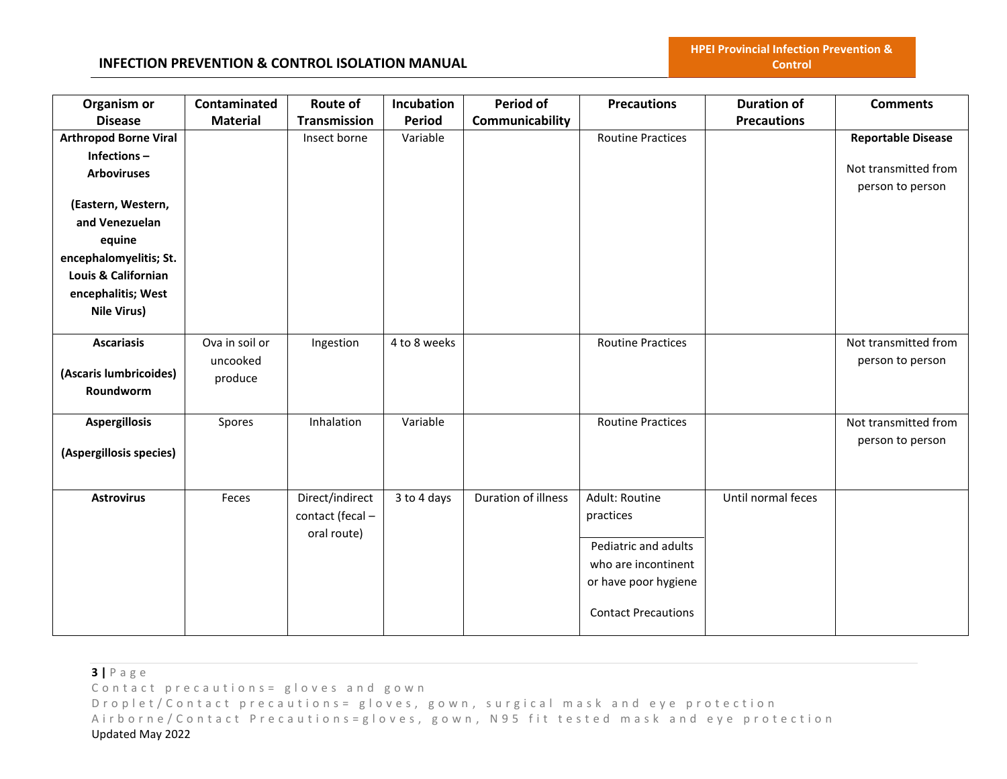### **INFECTION PREVENTION & CONTROL ISOLATION MANUAL**

| Organism or                  | Contaminated    | Route of            | Incubation    | <b>Period of</b>    | <b>Precautions</b>         | <b>Duration of</b> | <b>Comments</b>           |
|------------------------------|-----------------|---------------------|---------------|---------------------|----------------------------|--------------------|---------------------------|
| <b>Disease</b>               | <b>Material</b> | <b>Transmission</b> | <b>Period</b> | Communicability     |                            | <b>Precautions</b> |                           |
| <b>Arthropod Borne Viral</b> |                 | Insect borne        | Variable      |                     | <b>Routine Practices</b>   |                    | <b>Reportable Disease</b> |
| Infections-                  |                 |                     |               |                     |                            |                    |                           |
| <b>Arboviruses</b>           |                 |                     |               |                     |                            |                    | Not transmitted from      |
|                              |                 |                     |               |                     |                            |                    | person to person          |
| (Eastern, Western,           |                 |                     |               |                     |                            |                    |                           |
| and Venezuelan               |                 |                     |               |                     |                            |                    |                           |
| equine                       |                 |                     |               |                     |                            |                    |                           |
| encephalomyelitis; St.       |                 |                     |               |                     |                            |                    |                           |
| Louis & Californian          |                 |                     |               |                     |                            |                    |                           |
| encephalitis; West           |                 |                     |               |                     |                            |                    |                           |
| Nile Virus)                  |                 |                     |               |                     |                            |                    |                           |
|                              |                 |                     |               |                     |                            |                    |                           |
| <b>Ascariasis</b>            | Ova in soil or  | Ingestion           | 4 to 8 weeks  |                     | <b>Routine Practices</b>   |                    | Not transmitted from      |
| (Ascaris lumbricoides)       | uncooked        |                     |               |                     |                            |                    | person to person          |
| Roundworm                    | produce         |                     |               |                     |                            |                    |                           |
|                              |                 |                     |               |                     |                            |                    |                           |
| <b>Aspergillosis</b>         | Spores          | Inhalation          | Variable      |                     | <b>Routine Practices</b>   |                    | Not transmitted from      |
|                              |                 |                     |               |                     |                            |                    | person to person          |
| (Aspergillosis species)      |                 |                     |               |                     |                            |                    |                           |
|                              |                 |                     |               |                     |                            |                    |                           |
| <b>Astrovirus</b>            | Feces           | Direct/indirect     | 3 to 4 days   | Duration of illness | Adult: Routine             | Until normal feces |                           |
|                              |                 | contact (fecal -    |               |                     | practices                  |                    |                           |
|                              |                 | oral route)         |               |                     |                            |                    |                           |
|                              |                 |                     |               |                     | Pediatric and adults       |                    |                           |
|                              |                 |                     |               |                     | who are incontinent        |                    |                           |
|                              |                 |                     |               |                     | or have poor hygiene       |                    |                           |
|                              |                 |                     |               |                     |                            |                    |                           |
|                              |                 |                     |               |                     | <b>Contact Precautions</b> |                    |                           |
|                              |                 |                     |               |                     |                            |                    |                           |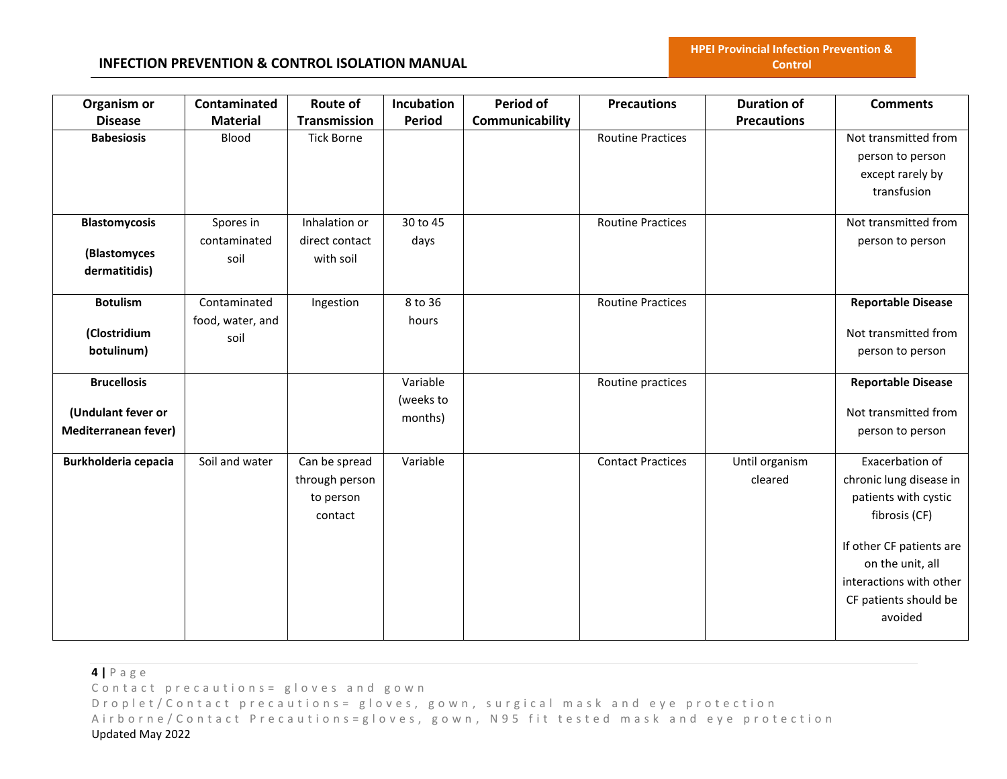### **INFECTION PREVENTION & CONTROL ISOLATION MANUAL**

| Organism or                 | Contaminated     | <b>Route of</b>   | Incubation | Period of       | <b>Precautions</b>       | <b>Duration of</b> | <b>Comments</b>           |
|-----------------------------|------------------|-------------------|------------|-----------------|--------------------------|--------------------|---------------------------|
| <b>Disease</b>              | <b>Material</b>  | Transmission      | Period     | Communicability |                          | <b>Precautions</b> |                           |
| <b>Babesiosis</b>           | Blood            | <b>Tick Borne</b> |            |                 | <b>Routine Practices</b> |                    | Not transmitted from      |
|                             |                  |                   |            |                 |                          |                    | person to person          |
|                             |                  |                   |            |                 |                          |                    | except rarely by          |
|                             |                  |                   |            |                 |                          |                    | transfusion               |
| <b>Blastomycosis</b>        | Spores in        | Inhalation or     | 30 to 45   |                 | <b>Routine Practices</b> |                    | Not transmitted from      |
|                             | contaminated     | direct contact    | days       |                 |                          |                    | person to person          |
| (Blastomyces                | soil             | with soil         |            |                 |                          |                    |                           |
| dermatitidis)               |                  |                   |            |                 |                          |                    |                           |
| <b>Botulism</b>             | Contaminated     | Ingestion         | 8 to 36    |                 | <b>Routine Practices</b> |                    | <b>Reportable Disease</b> |
|                             | food, water, and |                   | hours      |                 |                          |                    |                           |
| (Clostridium                | soil             |                   |            |                 |                          |                    | Not transmitted from      |
| botulinum)                  |                  |                   |            |                 |                          |                    | person to person          |
| <b>Brucellosis</b>          |                  |                   | Variable   |                 | Routine practices        |                    | <b>Reportable Disease</b> |
|                             |                  |                   | (weeks to  |                 |                          |                    |                           |
| (Undulant fever or          |                  |                   | months)    |                 |                          |                    | Not transmitted from      |
| <b>Mediterranean fever)</b> |                  |                   |            |                 |                          |                    | person to person          |
| <b>Burkholderia cepacia</b> | Soil and water   | Can be spread     | Variable   |                 | <b>Contact Practices</b> | Until organism     | Exacerbation of           |
|                             |                  | through person    |            |                 |                          | cleared            | chronic lung disease in   |
|                             |                  | to person         |            |                 |                          |                    | patients with cystic      |
|                             |                  | contact           |            |                 |                          |                    | fibrosis (CF)             |
|                             |                  |                   |            |                 |                          |                    | If other CF patients are  |
|                             |                  |                   |            |                 |                          |                    | on the unit, all          |
|                             |                  |                   |            |                 |                          |                    | interactions with other   |
|                             |                  |                   |            |                 |                          |                    | CF patients should be     |
|                             |                  |                   |            |                 |                          |                    | avoided                   |
|                             |                  |                   |            |                 |                          |                    |                           |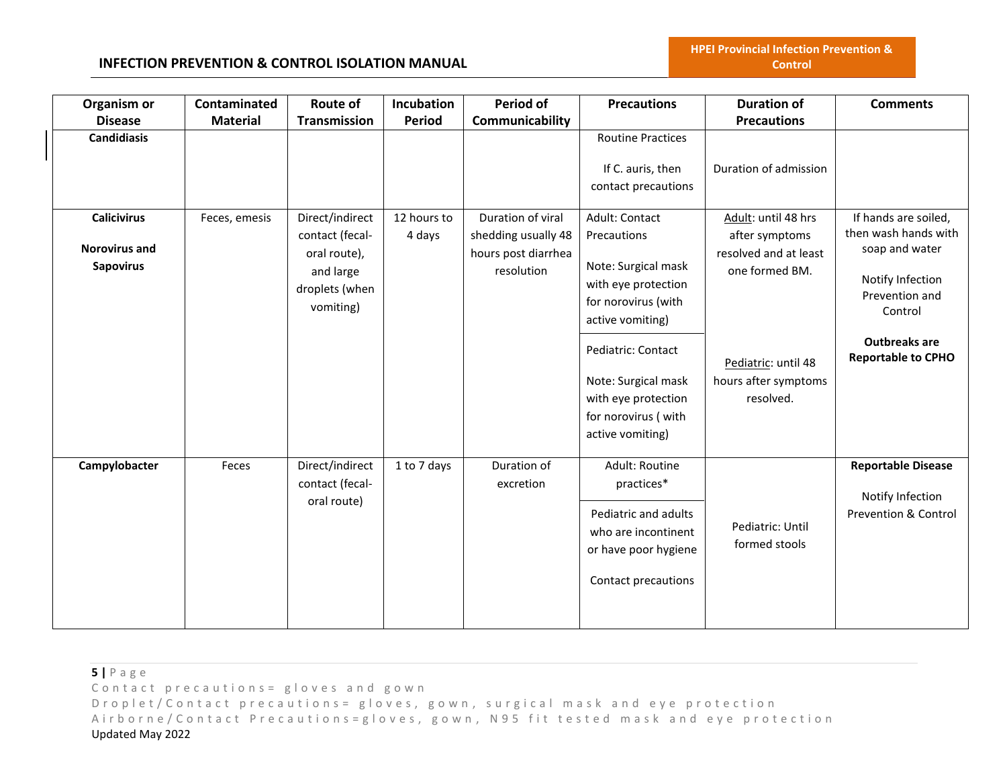**HPEI Provincial Infection Prevention & Control**

| Organism or                                                    | Contaminated    | <b>Route of</b>                                                                                | Incubation            | Period of                                                                     | <b>Precautions</b>                                                                                                                                                                                                                    | <b>Duration of</b>                                                                                                                           | <b>Comments</b>                                                                                                                                                      |
|----------------------------------------------------------------|-----------------|------------------------------------------------------------------------------------------------|-----------------------|-------------------------------------------------------------------------------|---------------------------------------------------------------------------------------------------------------------------------------------------------------------------------------------------------------------------------------|----------------------------------------------------------------------------------------------------------------------------------------------|----------------------------------------------------------------------------------------------------------------------------------------------------------------------|
| <b>Disease</b>                                                 | <b>Material</b> | Transmission                                                                                   | <b>Period</b>         | Communicability                                                               |                                                                                                                                                                                                                                       | <b>Precautions</b>                                                                                                                           |                                                                                                                                                                      |
| <b>Candidiasis</b>                                             |                 |                                                                                                |                       |                                                                               | <b>Routine Practices</b><br>If C. auris, then<br>contact precautions                                                                                                                                                                  | Duration of admission                                                                                                                        |                                                                                                                                                                      |
| <b>Calicivirus</b><br><b>Norovirus and</b><br><b>Sapovirus</b> | Feces, emesis   | Direct/indirect<br>contact (fecal-<br>oral route),<br>and large<br>droplets (when<br>vomiting) | 12 hours to<br>4 days | Duration of viral<br>shedding usually 48<br>hours post diarrhea<br>resolution | Adult: Contact<br>Precautions<br>Note: Surgical mask<br>with eye protection<br>for norovirus (with<br>active vomiting)<br>Pediatric: Contact<br>Note: Surgical mask<br>with eye protection<br>for norovirus (with<br>active vomiting) | Adult: until 48 hrs<br>after symptoms<br>resolved and at least<br>one formed BM.<br>Pediatric: until 48<br>hours after symptoms<br>resolved. | If hands are soiled,<br>then wash hands with<br>soap and water<br>Notify Infection<br>Prevention and<br>Control<br><b>Outbreaks are</b><br><b>Reportable to CPHO</b> |
| Campylobacter                                                  | Feces           | Direct/indirect<br>contact (fecal-<br>oral route)                                              | 1 to 7 days           | Duration of<br>excretion                                                      | Adult: Routine<br>practices*<br>Pediatric and adults<br>who are incontinent<br>or have poor hygiene<br>Contact precautions                                                                                                            | Pediatric: Until<br>formed stools                                                                                                            | <b>Reportable Disease</b><br>Notify Infection<br><b>Prevention &amp; Control</b>                                                                                     |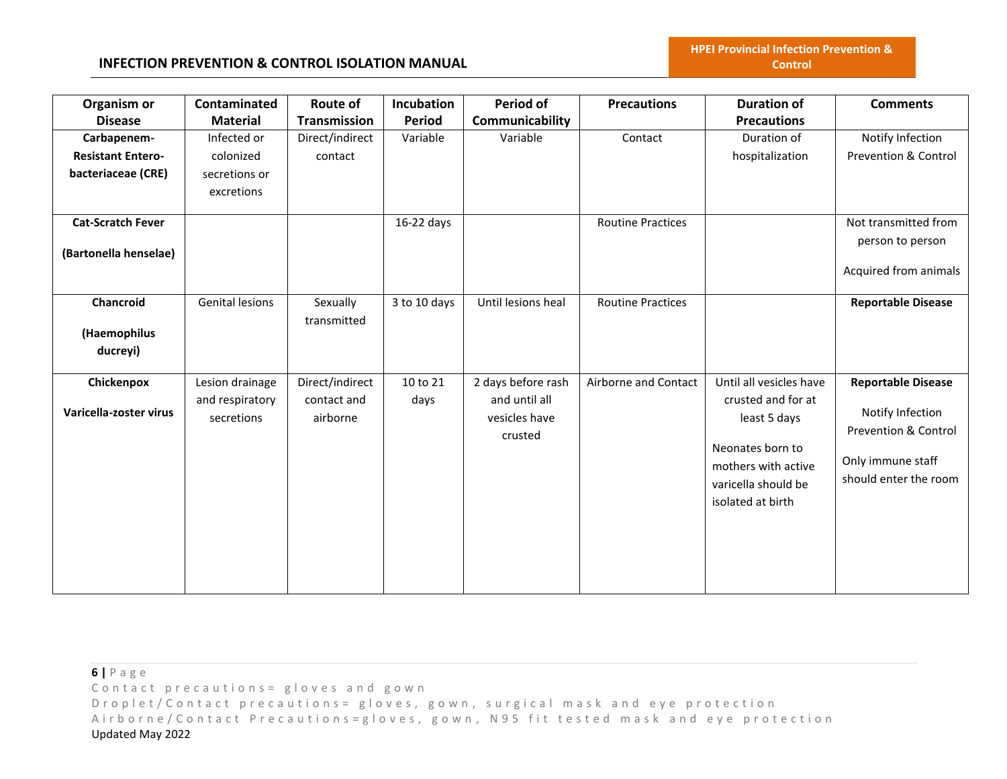| Organism or<br><b>Disease</b> | Contaminated<br><b>Material</b> | <b>Route of</b><br>Transmission | Incubation<br><b>Period</b> | Period of<br>Communicability | <b>Precautions</b>       | <b>Duration of</b><br><b>Precautions</b> | <b>Comments</b>                 |
|-------------------------------|---------------------------------|---------------------------------|-----------------------------|------------------------------|--------------------------|------------------------------------------|---------------------------------|
|                               |                                 |                                 |                             |                              |                          |                                          |                                 |
| Carbapenem-                   | Infected or                     | Direct/indirect                 | Variable                    | Variable                     | Contact                  | Duration of                              | Notify Infection                |
| <b>Resistant Entero-</b>      | colonized                       | contact                         |                             |                              |                          | hospitalization                          | <b>Prevention &amp; Control</b> |
| bacteriaceae (CRE)            | secretions or                   |                                 |                             |                              |                          |                                          |                                 |
|                               | excretions                      |                                 |                             |                              |                          |                                          |                                 |
| <b>Cat-Scratch Fever</b>      |                                 |                                 | $16-22$ days                |                              | <b>Routine Practices</b> |                                          | Not transmitted from            |
|                               |                                 |                                 |                             |                              |                          |                                          | person to person                |
| (Bartonella henselae)         |                                 |                                 |                             |                              |                          |                                          |                                 |
|                               |                                 |                                 |                             |                              |                          |                                          | Acquired from animals           |
| Chancroid                     | Genital lesions                 | Sexually                        | 3 to 10 days                | Until lesions heal           | <b>Routine Practices</b> |                                          | <b>Reportable Disease</b>       |
|                               |                                 | transmitted                     |                             |                              |                          |                                          |                                 |
| (Haemophilus                  |                                 |                                 |                             |                              |                          |                                          |                                 |
| ducreyi)                      |                                 |                                 |                             |                              |                          |                                          |                                 |
|                               |                                 |                                 |                             |                              |                          |                                          |                                 |
| Chickenpox                    | Lesion drainage                 | Direct/indirect                 | 10 to 21                    | 2 days before rash           | Airborne and Contact     | Until all vesicles have                  | <b>Reportable Disease</b>       |
|                               | and respiratory                 | contact and                     | days                        | and until all                |                          | crusted and for at                       |                                 |
| Varicella-zoster virus        | secretions                      | airborne                        |                             | vesicles have                |                          | least 5 days                             | Notify Infection                |
|                               |                                 |                                 |                             | crusted                      |                          |                                          | <b>Prevention &amp; Control</b> |
|                               |                                 |                                 |                             |                              |                          | Neonates born to                         |                                 |
|                               |                                 |                                 |                             |                              |                          | mothers with active                      | Only immune staff               |
|                               |                                 |                                 |                             |                              |                          | varicella should be                      | should enter the room           |
|                               |                                 |                                 |                             |                              |                          | isolated at birth                        |                                 |
|                               |                                 |                                 |                             |                              |                          |                                          |                                 |
|                               |                                 |                                 |                             |                              |                          |                                          |                                 |
|                               |                                 |                                 |                             |                              |                          |                                          |                                 |
|                               |                                 |                                 |                             |                              |                          |                                          |                                 |
|                               |                                 |                                 |                             |                              |                          |                                          |                                 |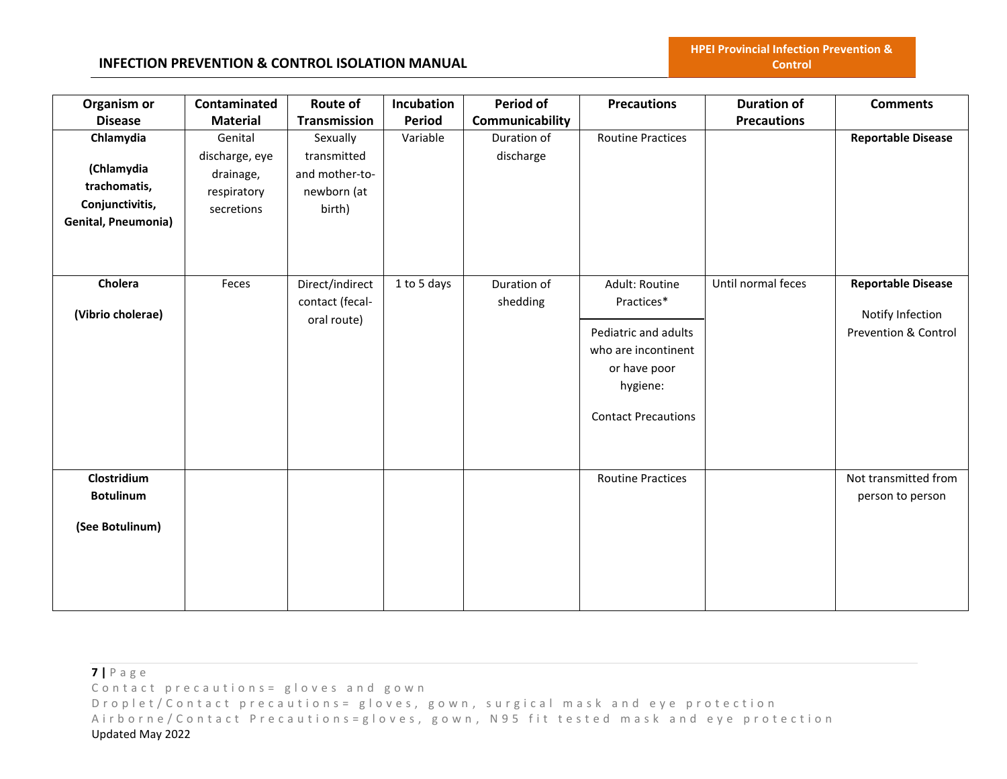**HPEI Provincial Infection Prevention & Control**

| Organism or                                                                              | Contaminated                                                        | Route of                                                           | Incubation  | Period of                | <b>Precautions</b>                                                                                                                    | <b>Duration of</b> | <b>Comments</b>                                                                  |
|------------------------------------------------------------------------------------------|---------------------------------------------------------------------|--------------------------------------------------------------------|-------------|--------------------------|---------------------------------------------------------------------------------------------------------------------------------------|--------------------|----------------------------------------------------------------------------------|
| <b>Disease</b>                                                                           | <b>Material</b>                                                     | <b>Transmission</b>                                                | Period      | Communicability          |                                                                                                                                       | <b>Precautions</b> |                                                                                  |
| Chlamydia<br>(Chlamydia<br>trachomatis,<br>Conjunctivitis,<br><b>Genital, Pneumonia)</b> | Genital<br>discharge, eye<br>drainage,<br>respiratory<br>secretions | Sexually<br>transmitted<br>and mother-to-<br>newborn (at<br>birth) | Variable    | Duration of<br>discharge | <b>Routine Practices</b>                                                                                                              |                    | <b>Reportable Disease</b>                                                        |
| Cholera<br>(Vibrio cholerae)                                                             | Feces                                                               | Direct/indirect<br>contact (fecal-<br>oral route)                  | 1 to 5 days | Duration of<br>shedding  | Adult: Routine<br>Practices*<br>Pediatric and adults<br>who are incontinent<br>or have poor<br>hygiene:<br><b>Contact Precautions</b> | Until normal feces | <b>Reportable Disease</b><br>Notify Infection<br><b>Prevention &amp; Control</b> |
| Clostridium<br><b>Botulinum</b><br>(See Botulinum)                                       |                                                                     |                                                                    |             |                          | <b>Routine Practices</b>                                                                                                              |                    | Not transmitted from<br>person to person                                         |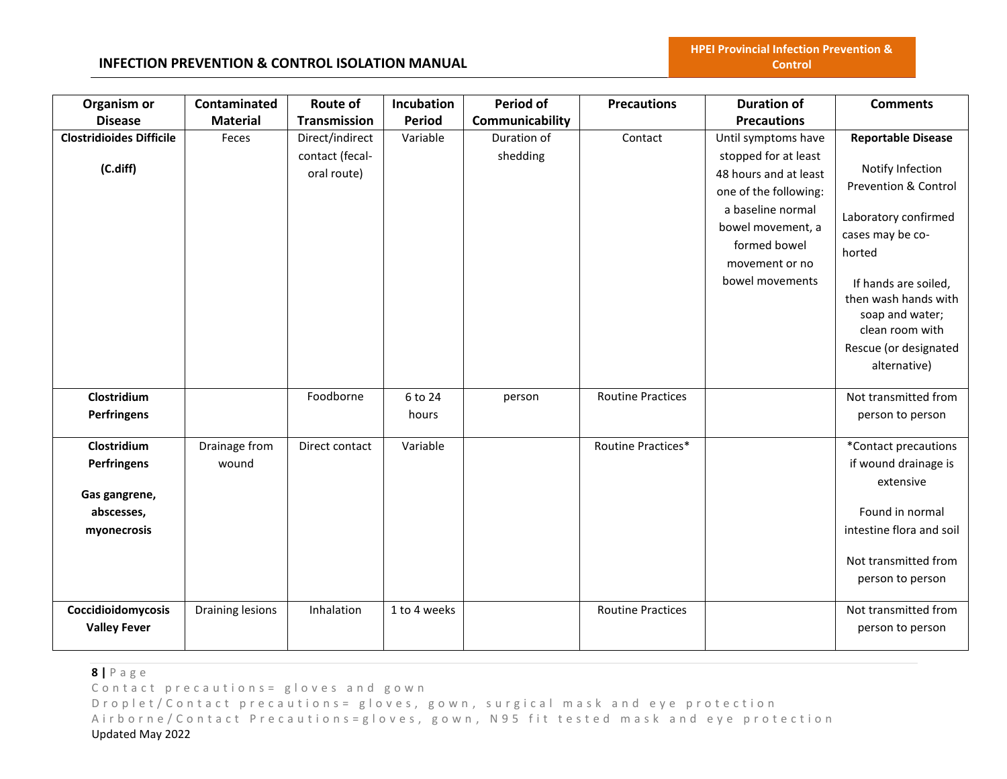# **INFECTION PREVENTION & CONTROL ISOLATION MANUAL**

| Organism or                                                              | Contaminated           | <b>Route of</b>                | Incubation       | Period of       | <b>Precautions</b>       | <b>Duration of</b>                                                                                                                                                    | <b>Comments</b>                                                                                                                                                                                                               |
|--------------------------------------------------------------------------|------------------------|--------------------------------|------------------|-----------------|--------------------------|-----------------------------------------------------------------------------------------------------------------------------------------------------------------------|-------------------------------------------------------------------------------------------------------------------------------------------------------------------------------------------------------------------------------|
| <b>Disease</b>                                                           | <b>Material</b>        | <b>Transmission</b>            | <b>Period</b>    | Communicability |                          | <b>Precautions</b>                                                                                                                                                    |                                                                                                                                                                                                                               |
| <b>Clostridioides Difficile</b>                                          | Feces                  | Direct/indirect                | Variable         | Duration of     | Contact                  | Until symptoms have                                                                                                                                                   | <b>Reportable Disease</b>                                                                                                                                                                                                     |
| (C.diff)                                                                 |                        | contact (fecal-<br>oral route) |                  | shedding        |                          | stopped for at least<br>48 hours and at least<br>one of the following:<br>a baseline normal<br>bowel movement, a<br>formed bowel<br>movement or no<br>bowel movements | Notify Infection<br>Prevention & Control<br>Laboratory confirmed<br>cases may be co-<br>horted<br>If hands are soiled,<br>then wash hands with<br>soap and water;<br>clean room with<br>Rescue (or designated<br>alternative) |
| Clostridium<br><b>Perfringens</b>                                        |                        | Foodborne                      | 6 to 24<br>hours | person          | <b>Routine Practices</b> |                                                                                                                                                                       | Not transmitted from<br>person to person                                                                                                                                                                                      |
| Clostridium<br>Perfringens<br>Gas gangrene,<br>abscesses,<br>myonecrosis | Drainage from<br>wound | Direct contact                 | Variable         |                 | Routine Practices*       |                                                                                                                                                                       | *Contact precautions<br>if wound drainage is<br>extensive<br>Found in normal<br>intestine flora and soil<br>Not transmitted from<br>person to person                                                                          |
| Coccidioidomycosis<br><b>Valley Fever</b>                                | Draining lesions       | Inhalation                     | 1 to 4 weeks     |                 | <b>Routine Practices</b> |                                                                                                                                                                       | Not transmitted from<br>person to person                                                                                                                                                                                      |

**8 |** P a g e

Contact precautions = gloves and gown

D r o p l e t / C o n t a c t p r e c a u t i o n s = g l o v e s, g o w n, surgical mask and eye protection Airborne/Contact Precautions=gloves, gown, N95 fit tested mask and eye protection Updated May 2022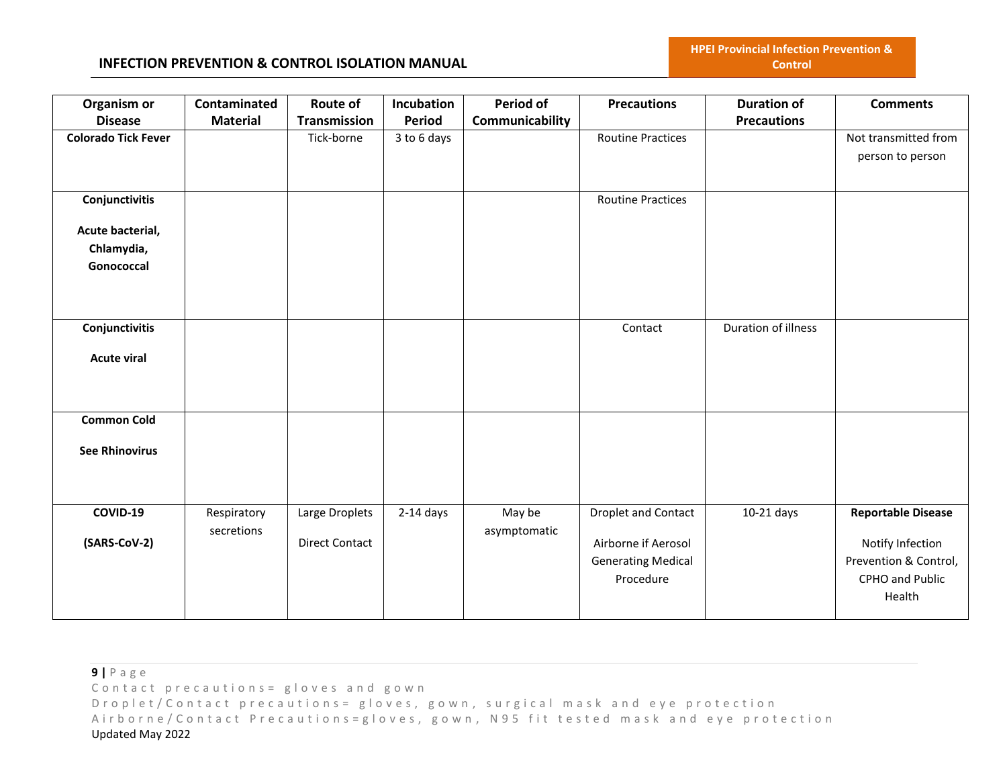| Organism or<br><b>Disease</b> | Contaminated<br><b>Material</b> | <b>Route of</b><br><b>Transmission</b> | Incubation<br>Period | <b>Period of</b><br>Communicability | <b>Precautions</b>         | <b>Duration of</b><br><b>Precautions</b> | <b>Comments</b>           |
|-------------------------------|---------------------------------|----------------------------------------|----------------------|-------------------------------------|----------------------------|------------------------------------------|---------------------------|
|                               |                                 |                                        |                      |                                     |                            |                                          |                           |
| <b>Colorado Tick Fever</b>    |                                 | Tick-borne                             | 3 to 6 days          |                                     | <b>Routine Practices</b>   |                                          | Not transmitted from      |
|                               |                                 |                                        |                      |                                     |                            |                                          | person to person          |
|                               |                                 |                                        |                      |                                     |                            |                                          |                           |
| Conjunctivitis                |                                 |                                        |                      |                                     | <b>Routine Practices</b>   |                                          |                           |
|                               |                                 |                                        |                      |                                     |                            |                                          |                           |
| Acute bacterial,              |                                 |                                        |                      |                                     |                            |                                          |                           |
| Chlamydia,                    |                                 |                                        |                      |                                     |                            |                                          |                           |
| Gonococcal                    |                                 |                                        |                      |                                     |                            |                                          |                           |
|                               |                                 |                                        |                      |                                     |                            |                                          |                           |
|                               |                                 |                                        |                      |                                     |                            |                                          |                           |
|                               |                                 |                                        |                      |                                     |                            |                                          |                           |
| Conjunctivitis                |                                 |                                        |                      |                                     | Contact                    | Duration of illness                      |                           |
| <b>Acute viral</b>            |                                 |                                        |                      |                                     |                            |                                          |                           |
|                               |                                 |                                        |                      |                                     |                            |                                          |                           |
|                               |                                 |                                        |                      |                                     |                            |                                          |                           |
|                               |                                 |                                        |                      |                                     |                            |                                          |                           |
| <b>Common Cold</b>            |                                 |                                        |                      |                                     |                            |                                          |                           |
|                               |                                 |                                        |                      |                                     |                            |                                          |                           |
| <b>See Rhinovirus</b>         |                                 |                                        |                      |                                     |                            |                                          |                           |
|                               |                                 |                                        |                      |                                     |                            |                                          |                           |
|                               |                                 |                                        |                      |                                     |                            |                                          |                           |
| COVID-19                      | Respiratory                     | Large Droplets                         | $2-14$ days          | May be                              | <b>Droplet and Contact</b> | $10-21$ days                             | <b>Reportable Disease</b> |
|                               | secretions                      |                                        |                      | asymptomatic                        |                            |                                          |                           |
| (SARS-CoV-2)                  |                                 | <b>Direct Contact</b>                  |                      |                                     | Airborne if Aerosol        |                                          | Notify Infection          |
|                               |                                 |                                        |                      |                                     | <b>Generating Medical</b>  |                                          | Prevention & Control,     |
|                               |                                 |                                        |                      |                                     | Procedure                  |                                          | CPHO and Public           |
|                               |                                 |                                        |                      |                                     |                            |                                          | Health                    |
|                               |                                 |                                        |                      |                                     |                            |                                          |                           |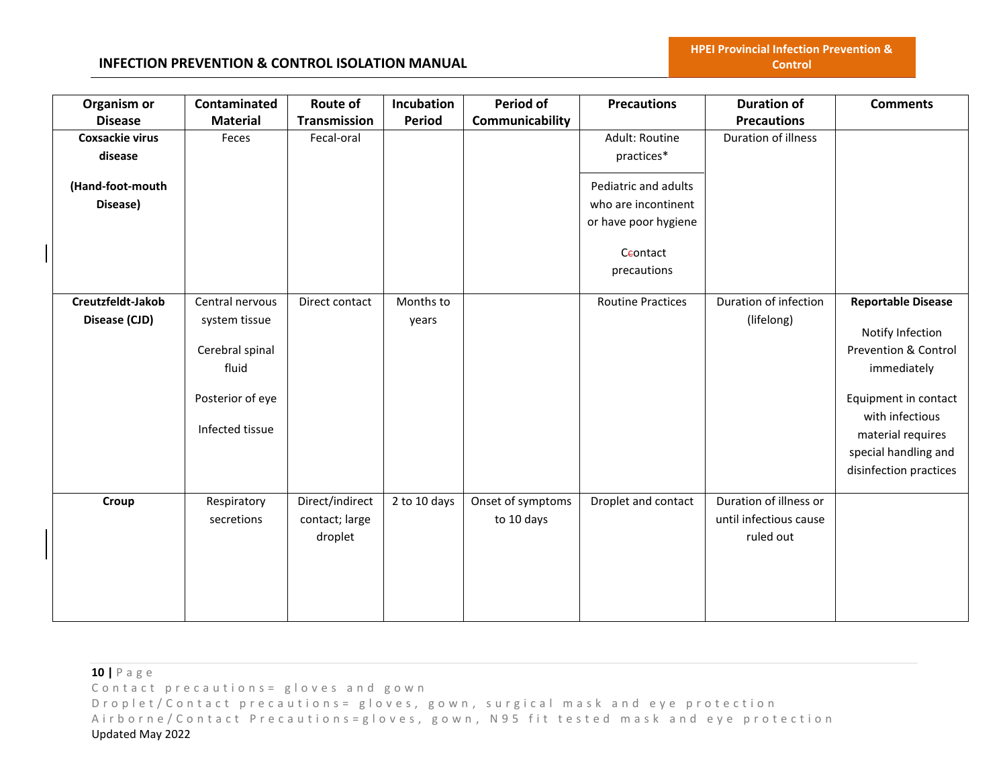## **INFECTION PREVENTION & CONTROL ISOLATION MANUAL**

| Organism or            | Contaminated     | <b>Route of</b> | Incubation    | <b>Period of</b>  | <b>Precautions</b>       | <b>Duration of</b>     | <b>Comments</b>           |
|------------------------|------------------|-----------------|---------------|-------------------|--------------------------|------------------------|---------------------------|
| <b>Disease</b>         | <b>Material</b>  | Transmission    | <b>Period</b> | Communicability   |                          | <b>Precautions</b>     |                           |
| <b>Coxsackie virus</b> | Feces            | Fecal-oral      |               |                   | Adult: Routine           | Duration of illness    |                           |
| disease                |                  |                 |               |                   | practices*               |                        |                           |
| (Hand-foot-mouth       |                  |                 |               |                   | Pediatric and adults     |                        |                           |
| Disease)               |                  |                 |               |                   | who are incontinent      |                        |                           |
|                        |                  |                 |               |                   |                          |                        |                           |
|                        |                  |                 |               |                   | or have poor hygiene     |                        |                           |
|                        |                  |                 |               |                   | Ceontact                 |                        |                           |
|                        |                  |                 |               |                   | precautions              |                        |                           |
|                        |                  |                 |               |                   |                          |                        |                           |
| Creutzfeldt-Jakob      | Central nervous  | Direct contact  | Months to     |                   | <b>Routine Practices</b> | Duration of infection  | <b>Reportable Disease</b> |
| Disease (CJD)          | system tissue    |                 | years         |                   |                          | (lifelong)             | Notify Infection          |
|                        | Cerebral spinal  |                 |               |                   |                          |                        | Prevention & Control      |
|                        |                  |                 |               |                   |                          |                        |                           |
|                        | fluid            |                 |               |                   |                          |                        | immediately               |
|                        | Posterior of eye |                 |               |                   |                          |                        | Equipment in contact      |
|                        |                  |                 |               |                   |                          |                        | with infectious           |
|                        | Infected tissue  |                 |               |                   |                          |                        | material requires         |
|                        |                  |                 |               |                   |                          |                        | special handling and      |
|                        |                  |                 |               |                   |                          |                        | disinfection practices    |
|                        |                  |                 |               |                   |                          |                        |                           |
| Croup                  | Respiratory      | Direct/indirect | 2 to 10 days  | Onset of symptoms | Droplet and contact      | Duration of illness or |                           |
|                        | secretions       | contact; large  |               | to 10 days        |                          | until infectious cause |                           |
|                        |                  | droplet         |               |                   |                          | ruled out              |                           |
|                        |                  |                 |               |                   |                          |                        |                           |
|                        |                  |                 |               |                   |                          |                        |                           |
|                        |                  |                 |               |                   |                          |                        |                           |
|                        |                  |                 |               |                   |                          |                        |                           |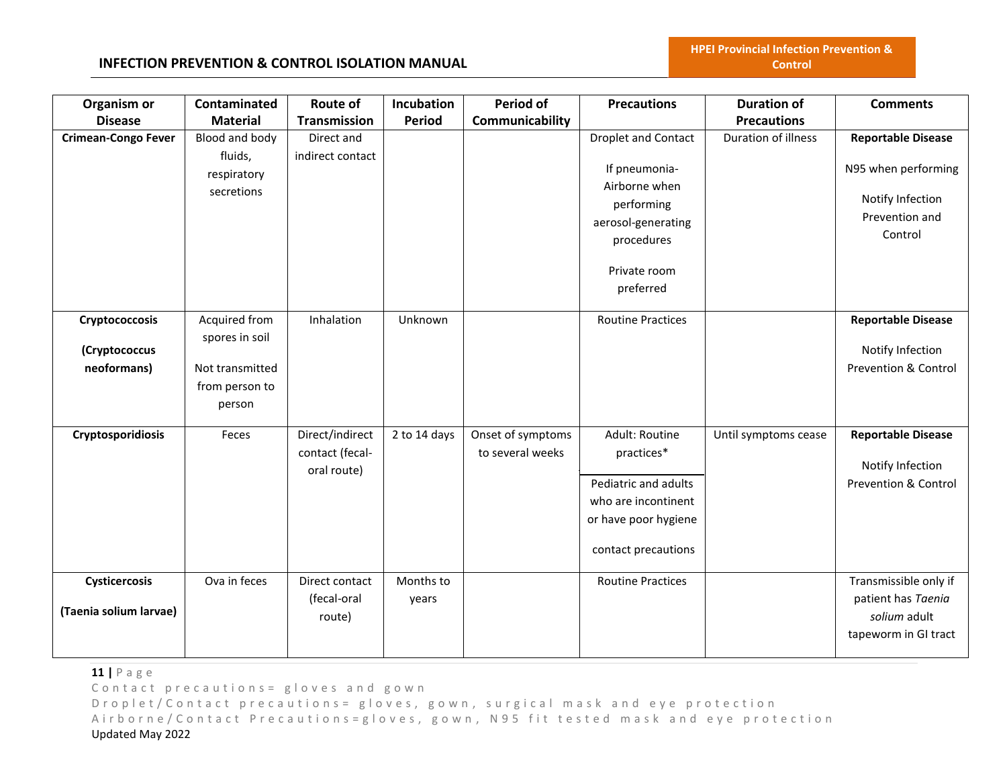# **INFECTION PREVENTION & CONTROL ISOLATION MANUAL**

| Organism or                | Contaminated    | <b>Route of</b>     | Incubation    | Period of         | <b>Precautions</b>         | <b>Duration of</b>   | <b>Comments</b>                 |
|----------------------------|-----------------|---------------------|---------------|-------------------|----------------------------|----------------------|---------------------------------|
| <b>Disease</b>             | <b>Material</b> | <b>Transmission</b> | <b>Period</b> | Communicability   |                            | <b>Precautions</b>   |                                 |
| <b>Crimean-Congo Fever</b> | Blood and body  | Direct and          |               |                   | <b>Droplet and Contact</b> | Duration of illness  | <b>Reportable Disease</b>       |
|                            | fluids,         | indirect contact    |               |                   |                            |                      |                                 |
|                            | respiratory     |                     |               |                   | If pneumonia-              |                      | N95 when performing             |
|                            | secretions      |                     |               |                   | Airborne when              |                      | Notify Infection                |
|                            |                 |                     |               |                   | performing                 |                      | Prevention and                  |
|                            |                 |                     |               |                   | aerosol-generating         |                      | Control                         |
|                            |                 |                     |               |                   | procedures                 |                      |                                 |
|                            |                 |                     |               |                   | Private room               |                      |                                 |
|                            |                 |                     |               |                   | preferred                  |                      |                                 |
|                            |                 |                     |               |                   |                            |                      |                                 |
| Cryptococcosis             | Acquired from   | Inhalation          | Unknown       |                   | <b>Routine Practices</b>   |                      | <b>Reportable Disease</b>       |
|                            | spores in soil  |                     |               |                   |                            |                      |                                 |
| (Cryptococcus              |                 |                     |               |                   |                            |                      | Notify Infection                |
| neoformans)                | Not transmitted |                     |               |                   |                            |                      | <b>Prevention &amp; Control</b> |
|                            | from person to  |                     |               |                   |                            |                      |                                 |
|                            | person          |                     |               |                   |                            |                      |                                 |
| Cryptosporidiosis          | Feces           | Direct/indirect     | 2 to 14 days  | Onset of symptoms | Adult: Routine             | Until symptoms cease | <b>Reportable Disease</b>       |
|                            |                 | contact (fecal-     |               | to several weeks  | practices*                 |                      |                                 |
|                            |                 | oral route)         |               |                   |                            |                      | Notify Infection                |
|                            |                 |                     |               |                   | Pediatric and adults       |                      | <b>Prevention &amp; Control</b> |
|                            |                 |                     |               |                   | who are incontinent        |                      |                                 |
|                            |                 |                     |               |                   | or have poor hygiene       |                      |                                 |
|                            |                 |                     |               |                   |                            |                      |                                 |
|                            |                 |                     |               |                   | contact precautions        |                      |                                 |
| Cysticercosis              | Ova in feces    | Direct contact      | Months to     |                   | <b>Routine Practices</b>   |                      | Transmissible only if           |
|                            |                 | (fecal-oral         | years         |                   |                            |                      | patient has Taenia              |
| (Taenia solium larvae)     |                 | route)              |               |                   |                            |                      | solium adult                    |
|                            |                 |                     |               |                   |                            |                      | tapeworm in GI tract            |
|                            |                 |                     |               |                   |                            |                      |                                 |

**11 |** P a g e

Contact precautions = gloves and gown

D r o p l e t / C o n t a c t p r e c a u t i o n s = g l o v e s, g o w n, surgical mask and eye protection Airborne/Contact Precautions=gloves, gown, N95 fit tested mask and eye protection Updated May 2022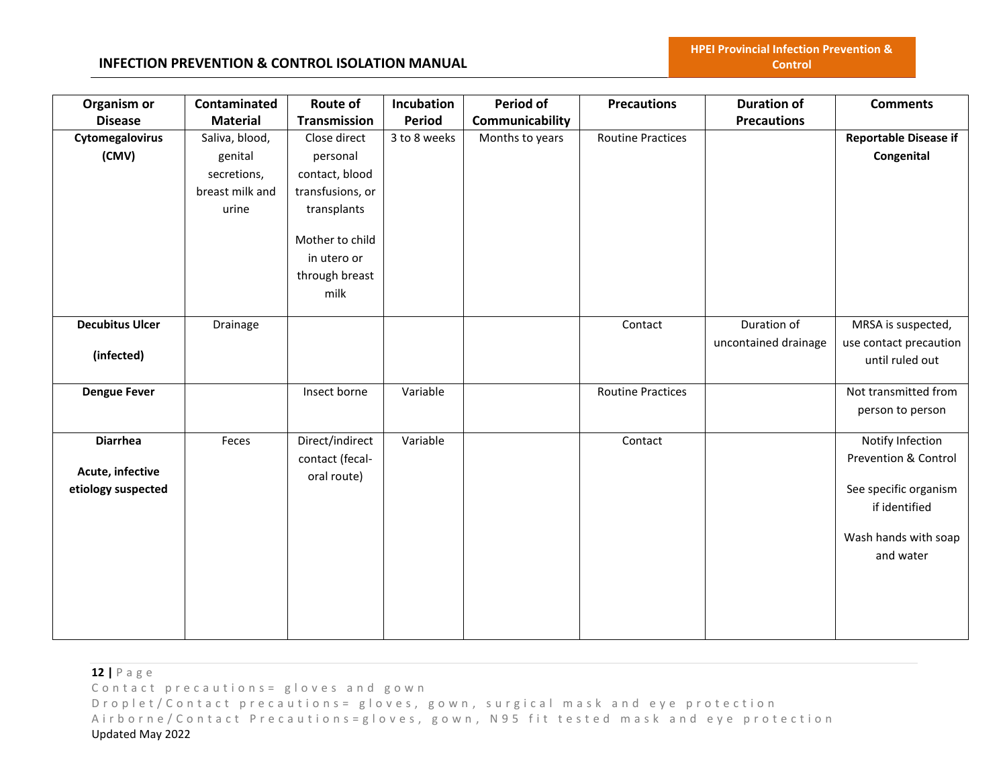### **INFECTION PREVENTION & CONTROL ISOLATION MANUAL**

| Organism or            | Contaminated    | Route of         | <b>Incubation</b> | Period of       | <b>Precautions</b>       | <b>Duration of</b>   | <b>Comments</b>              |
|------------------------|-----------------|------------------|-------------------|-----------------|--------------------------|----------------------|------------------------------|
| <b>Disease</b>         | <b>Material</b> | Transmission     | <b>Period</b>     | Communicability |                          | <b>Precautions</b>   |                              |
| Cytomegalovirus        | Saliva, blood,  | Close direct     | 3 to 8 weeks      | Months to years | <b>Routine Practices</b> |                      | <b>Reportable Disease if</b> |
| (CMV)                  | genital         | personal         |                   |                 |                          |                      | Congenital                   |
|                        | secretions,     | contact, blood   |                   |                 |                          |                      |                              |
|                        | breast milk and | transfusions, or |                   |                 |                          |                      |                              |
|                        | urine           | transplants      |                   |                 |                          |                      |                              |
|                        |                 | Mother to child  |                   |                 |                          |                      |                              |
|                        |                 | in utero or      |                   |                 |                          |                      |                              |
|                        |                 | through breast   |                   |                 |                          |                      |                              |
|                        |                 | milk             |                   |                 |                          |                      |                              |
| <b>Decubitus Ulcer</b> | Drainage        |                  |                   |                 | Contact                  | Duration of          | MRSA is suspected,           |
| (infected)             |                 |                  |                   |                 |                          | uncontained drainage | use contact precaution       |
|                        |                 |                  |                   |                 |                          |                      | until ruled out              |
| <b>Dengue Fever</b>    |                 | Insect borne     | Variable          |                 | <b>Routine Practices</b> |                      | Not transmitted from         |
|                        |                 |                  |                   |                 |                          |                      | person to person             |
| <b>Diarrhea</b>        | Feces           | Direct/indirect  | Variable          |                 | Contact                  |                      | Notify Infection             |
|                        |                 | contact (fecal-  |                   |                 |                          |                      | Prevention & Control         |
| Acute, infective       |                 | oral route)      |                   |                 |                          |                      |                              |
| etiology suspected     |                 |                  |                   |                 |                          |                      | See specific organism        |
|                        |                 |                  |                   |                 |                          |                      | if identified                |
|                        |                 |                  |                   |                 |                          |                      | Wash hands with soap         |
|                        |                 |                  |                   |                 |                          |                      | and water                    |
|                        |                 |                  |                   |                 |                          |                      |                              |
|                        |                 |                  |                   |                 |                          |                      |                              |
|                        |                 |                  |                   |                 |                          |                      |                              |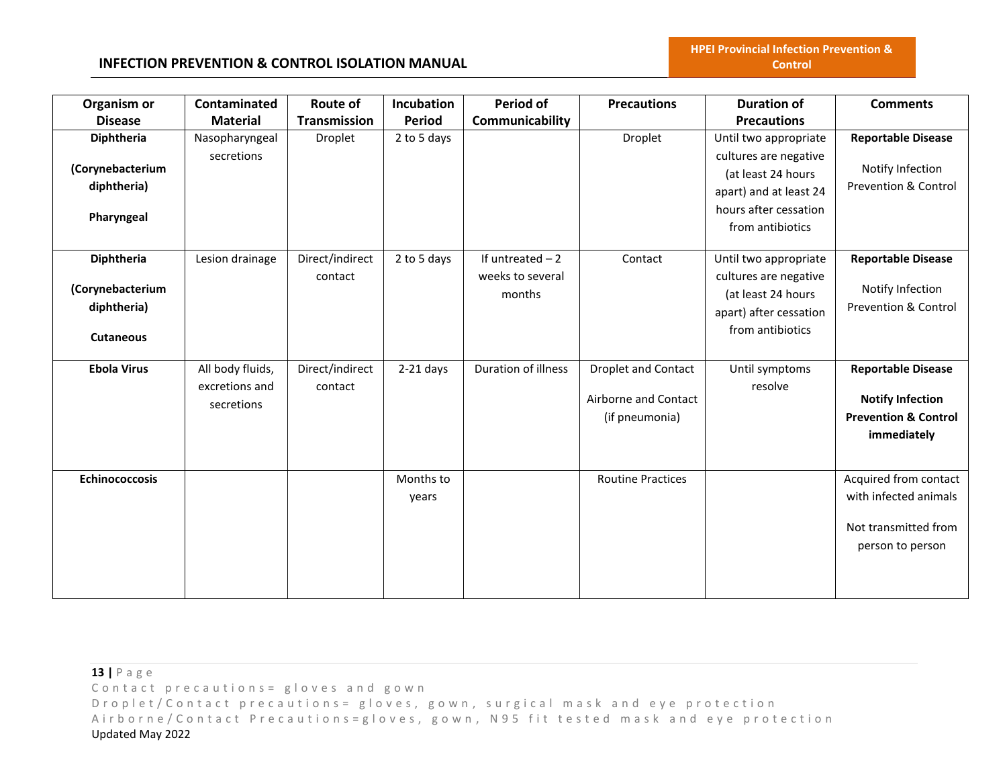# **INFECTION PREVENTION & CONTROL ISOLATION MANUAL**

| Organism or                    | Contaminated                                     | Route of                   | Incubation         | <b>Period of</b>                      | <b>Precautions</b>                                            | <b>Duration of</b>                                                   | <b>Comments</b>                                                                                        |
|--------------------------------|--------------------------------------------------|----------------------------|--------------------|---------------------------------------|---------------------------------------------------------------|----------------------------------------------------------------------|--------------------------------------------------------------------------------------------------------|
| <b>Disease</b>                 | <b>Material</b>                                  | <b>Transmission</b>        | <b>Period</b>      | Communicability                       |                                                               | <b>Precautions</b>                                                   |                                                                                                        |
| Diphtheria<br>(Corynebacterium | Nasopharyngeal<br>secretions                     | Droplet                    | 2 to 5 days        |                                       | Droplet                                                       | Until two appropriate<br>cultures are negative<br>(at least 24 hours | <b>Reportable Disease</b><br>Notify Infection                                                          |
| diphtheria)                    |                                                  |                            |                    |                                       |                                                               | apart) and at least 24<br>hours after cessation                      | <b>Prevention &amp; Control</b>                                                                        |
| Pharyngeal                     |                                                  |                            |                    |                                       |                                                               | from antibiotics                                                     |                                                                                                        |
| Diphtheria                     | Lesion drainage                                  | Direct/indirect<br>contact | 2 to 5 days        | If untreated $-2$<br>weeks to several | Contact                                                       | Until two appropriate<br>cultures are negative                       | <b>Reportable Disease</b>                                                                              |
| (Corynebacterium               |                                                  |                            |                    | months                                |                                                               | (at least 24 hours                                                   | Notify Infection                                                                                       |
| diphtheria)                    |                                                  |                            |                    |                                       |                                                               | apart) after cessation                                               | <b>Prevention &amp; Control</b>                                                                        |
| <b>Cutaneous</b>               |                                                  |                            |                    |                                       |                                                               | from antibiotics                                                     |                                                                                                        |
| <b>Ebola Virus</b>             | All body fluids,<br>excretions and<br>secretions | Direct/indirect<br>contact | $2-21$ days        | Duration of illness                   | Droplet and Contact<br>Airborne and Contact<br>(if pneumonia) | Until symptoms<br>resolve                                            | <b>Reportable Disease</b><br><b>Notify Infection</b><br><b>Prevention &amp; Control</b><br>immediately |
| <b>Echinococcosis</b>          |                                                  |                            | Months to<br>years |                                       | <b>Routine Practices</b>                                      |                                                                      | Acquired from contact<br>with infected animals<br>Not transmitted from<br>person to person             |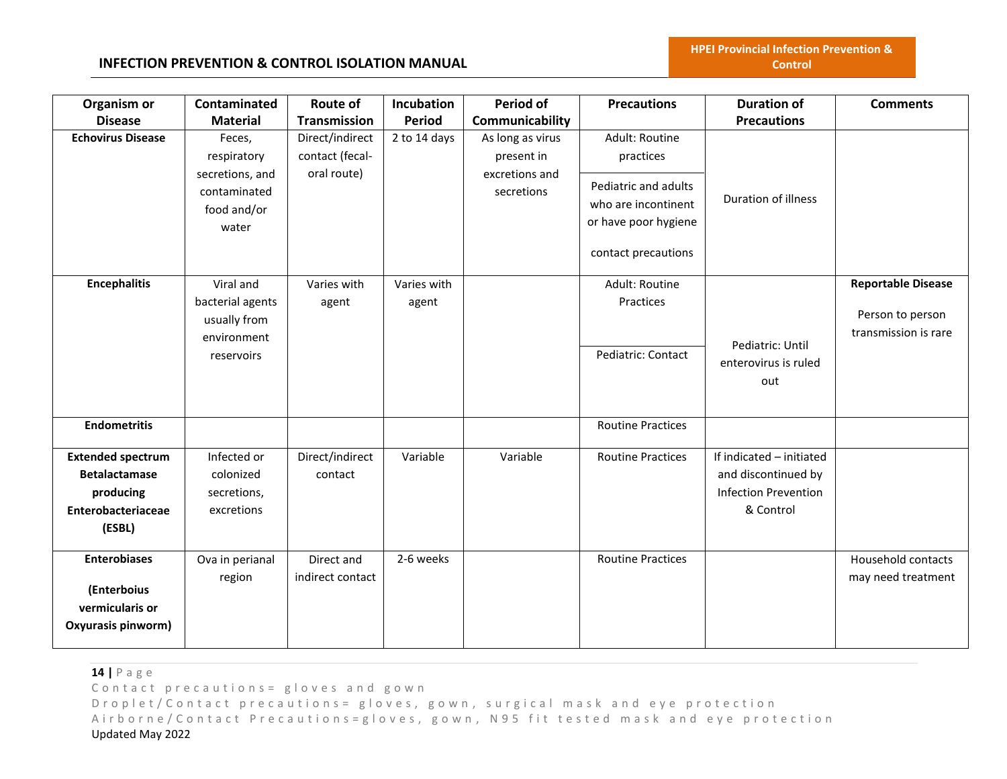| Organism or                       | Contaminated                     | Route of            | Incubation    | Period of        | <b>Precautions</b>       | <b>Duration of</b>                                 | <b>Comments</b>           |
|-----------------------------------|----------------------------------|---------------------|---------------|------------------|--------------------------|----------------------------------------------------|---------------------------|
| <b>Disease</b>                    | <b>Material</b>                  | <b>Transmission</b> | <b>Period</b> | Communicability  |                          | <b>Precautions</b>                                 |                           |
| <b>Echovirus Disease</b>          | Feces,                           | Direct/indirect     | 2 to 14 days  | As long as virus | Adult: Routine           |                                                    |                           |
|                                   | respiratory                      | contact (fecal-     |               | present in       | practices                |                                                    |                           |
|                                   | secretions, and                  | oral route)         |               | excretions and   | Pediatric and adults     |                                                    |                           |
|                                   | contaminated                     |                     |               | secretions       | who are incontinent      | Duration of illness                                |                           |
|                                   | food and/or                      |                     |               |                  | or have poor hygiene     |                                                    |                           |
|                                   | water                            |                     |               |                  |                          |                                                    |                           |
|                                   |                                  |                     |               |                  | contact precautions      |                                                    |                           |
|                                   | Viral and                        | Varies with         | Varies with   |                  | Adult: Routine           |                                                    |                           |
| <b>Encephalitis</b>               |                                  |                     |               |                  | Practices                |                                                    | <b>Reportable Disease</b> |
|                                   | bacterial agents<br>usually from | agent               | agent         |                  |                          |                                                    | Person to person          |
|                                   | environment                      |                     |               |                  |                          |                                                    | transmission is rare      |
|                                   | reservoirs                       |                     |               |                  | Pediatric: Contact       | Pediatric: Until                                   |                           |
|                                   |                                  |                     |               |                  |                          | enterovirus is ruled                               |                           |
|                                   |                                  |                     |               |                  |                          | out                                                |                           |
|                                   |                                  |                     |               |                  |                          |                                                    |                           |
| <b>Endometritis</b>               |                                  |                     |               |                  | <b>Routine Practices</b> |                                                    |                           |
|                                   | Infected or                      |                     | Variable      | Variable         |                          | If indicated - initiated                           |                           |
| <b>Extended spectrum</b>          |                                  | Direct/indirect     |               |                  | <b>Routine Practices</b> |                                                    |                           |
| <b>Betalactamase</b><br>producing | colonized<br>secretions,         | contact             |               |                  |                          | and discontinued by<br><b>Infection Prevention</b> |                           |
| Enterobacteriaceae                | excretions                       |                     |               |                  |                          | & Control                                          |                           |
| (ESBL)                            |                                  |                     |               |                  |                          |                                                    |                           |
|                                   |                                  |                     |               |                  |                          |                                                    |                           |
| <b>Enterobiases</b>               | Ova in perianal                  | Direct and          | 2-6 weeks     |                  | <b>Routine Practices</b> |                                                    | Household contacts        |
|                                   | region                           | indirect contact    |               |                  |                          |                                                    | may need treatment        |
| (Enterboius                       |                                  |                     |               |                  |                          |                                                    |                           |
| vermicularis or                   |                                  |                     |               |                  |                          |                                                    |                           |
| Oxyurasis pinworm)                |                                  |                     |               |                  |                          |                                                    |                           |
|                                   |                                  |                     |               |                  |                          |                                                    |                           |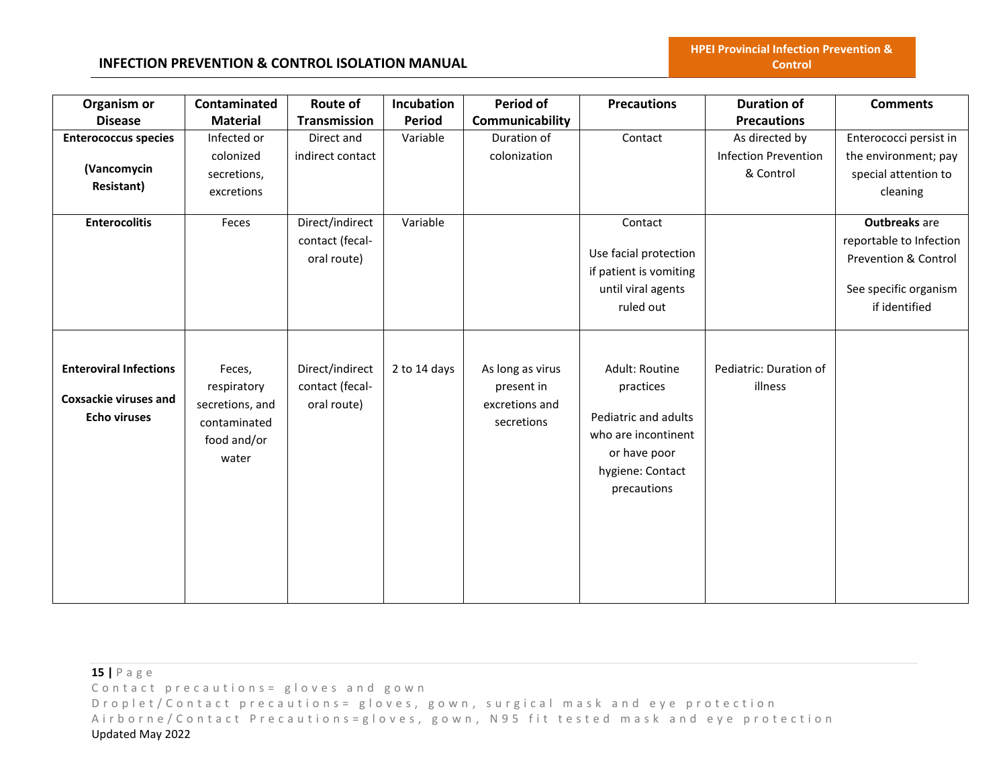| Organism or<br><b>Disease</b>                                                        | Contaminated<br><b>Material</b>                                                  | Route of<br><b>Transmission</b>                   | Incubation<br>Period | Period of<br>Communicability                                   | <b>Precautions</b>                                                                                                            | <b>Duration of</b><br><b>Precautions</b>                   | <b>Comments</b>                                                                                                              |
|--------------------------------------------------------------------------------------|----------------------------------------------------------------------------------|---------------------------------------------------|----------------------|----------------------------------------------------------------|-------------------------------------------------------------------------------------------------------------------------------|------------------------------------------------------------|------------------------------------------------------------------------------------------------------------------------------|
| <b>Enterococcus species</b><br>(Vancomycin<br><b>Resistant)</b>                      | Infected or<br>colonized<br>secretions,<br>excretions                            | Direct and<br>indirect contact                    | Variable             | Duration of<br>colonization                                    | Contact                                                                                                                       | As directed by<br><b>Infection Prevention</b><br>& Control | Enterococci persist in<br>the environment; pay<br>special attention to<br>cleaning                                           |
| <b>Enterocolitis</b>                                                                 | Feces                                                                            | Direct/indirect<br>contact (fecal-<br>oral route) | Variable             |                                                                | Contact<br>Use facial protection<br>if patient is vomiting<br>until viral agents<br>ruled out                                 |                                                            | <b>Outbreaks</b> are<br>reportable to Infection<br><b>Prevention &amp; Control</b><br>See specific organism<br>if identified |
| <b>Enteroviral Infections</b><br><b>Coxsackie viruses and</b><br><b>Echo viruses</b> | Feces,<br>respiratory<br>secretions, and<br>contaminated<br>food and/or<br>water | Direct/indirect<br>contact (fecal-<br>oral route) | 2 to 14 days         | As long as virus<br>present in<br>excretions and<br>secretions | Adult: Routine<br>practices<br>Pediatric and adults<br>who are incontinent<br>or have poor<br>hygiene: Contact<br>precautions | Pediatric: Duration of<br>illness                          |                                                                                                                              |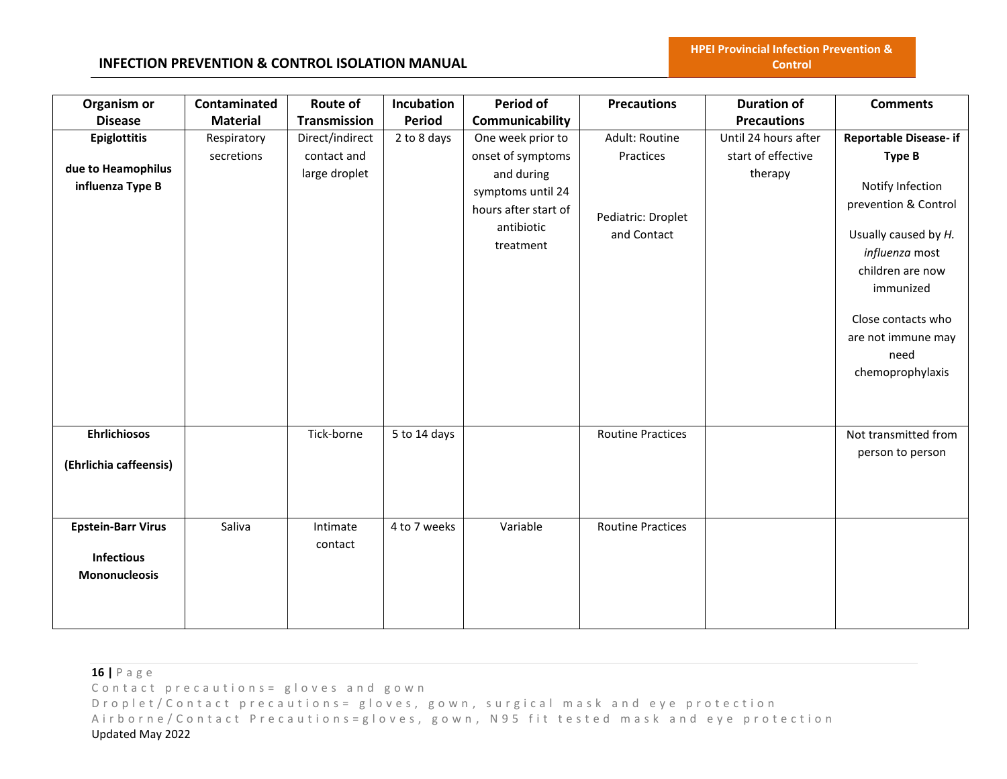#### **INFECTION PREVENTION & CONTROL ISOLATION MANUAL**

| Organism or                                                            | Contaminated              | Route of                                        | Incubation    | Period of                                                                                                                    | <b>Precautions</b>                                               | <b>Duration of</b>                                    | <b>Comments</b>                                                                                                                                                                                                                               |
|------------------------------------------------------------------------|---------------------------|-------------------------------------------------|---------------|------------------------------------------------------------------------------------------------------------------------------|------------------------------------------------------------------|-------------------------------------------------------|-----------------------------------------------------------------------------------------------------------------------------------------------------------------------------------------------------------------------------------------------|
| <b>Disease</b>                                                         | <b>Material</b>           | <b>Transmission</b>                             | <b>Period</b> | Communicability                                                                                                              |                                                                  | <b>Precautions</b>                                    |                                                                                                                                                                                                                                               |
| <b>Epiglottitis</b><br>due to Heamophilus<br>influenza Type B          | Respiratory<br>secretions | Direct/indirect<br>contact and<br>large droplet | 2 to 8 days   | One week prior to<br>onset of symptoms<br>and during<br>symptoms until 24<br>hours after start of<br>antibiotic<br>treatment | Adult: Routine<br>Practices<br>Pediatric: Droplet<br>and Contact | Until 24 hours after<br>start of effective<br>therapy | <b>Reportable Disease- if</b><br><b>Type B</b><br>Notify Infection<br>prevention & Control<br>Usually caused by H.<br>influenza most<br>children are now<br>immunized<br>Close contacts who<br>are not immune may<br>need<br>chemoprophylaxis |
| <b>Ehrlichiosos</b><br>(Ehrlichia caffeensis)                          |                           | Tick-borne                                      | 5 to 14 days  |                                                                                                                              | <b>Routine Practices</b>                                         |                                                       | Not transmitted from<br>person to person                                                                                                                                                                                                      |
| <b>Epstein-Barr Virus</b><br><b>Infectious</b><br><b>Mononucleosis</b> | Saliva                    | Intimate<br>contact                             | 4 to 7 weeks  | Variable                                                                                                                     | <b>Routine Practices</b>                                         |                                                       |                                                                                                                                                                                                                                               |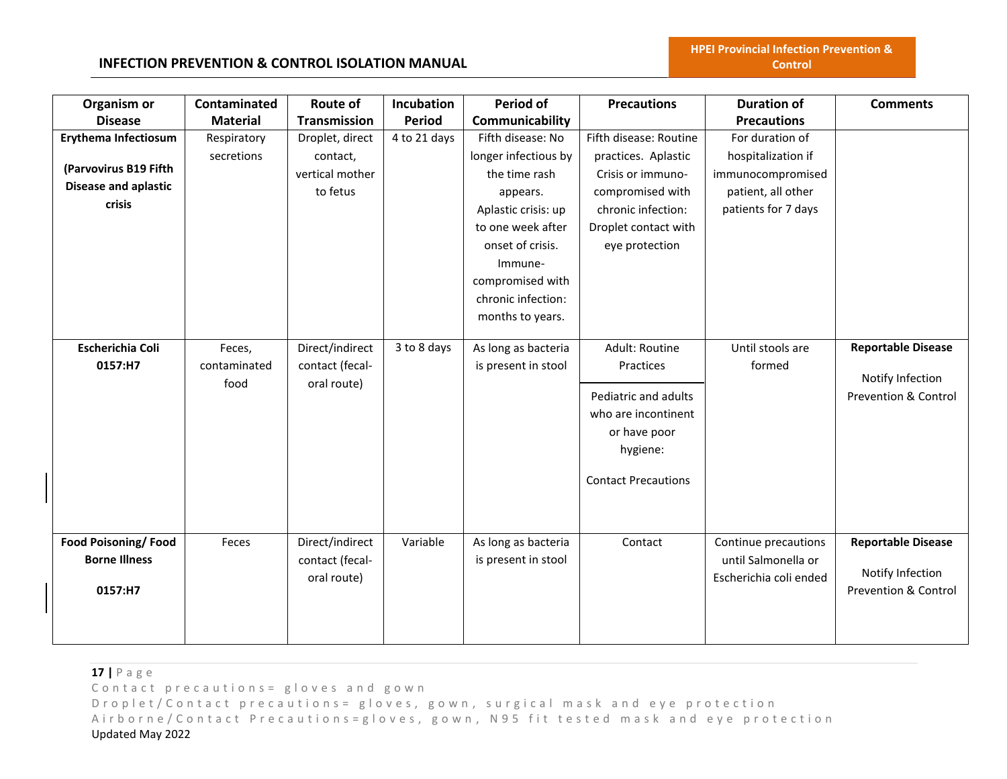#### **INFECTION PREVENTION & CONTROL ISOLATION MANUAL**

| Organism or                 | Contaminated    | <b>Route of</b>     | <b>Incubation</b> | <b>Period of</b>     | <b>Precautions</b>         | <b>Duration of</b>     | <b>Comments</b>                 |
|-----------------------------|-----------------|---------------------|-------------------|----------------------|----------------------------|------------------------|---------------------------------|
| <b>Disease</b>              | <b>Material</b> | <b>Transmission</b> | <b>Period</b>     | Communicability      |                            | <b>Precautions</b>     |                                 |
| <b>Erythema Infectiosum</b> | Respiratory     | Droplet, direct     | 4 to 21 days      | Fifth disease: No    | Fifth disease: Routine     | For duration of        |                                 |
|                             | secretions      | contact,            |                   | longer infectious by | practices. Aplastic        | hospitalization if     |                                 |
| (Parvovirus B19 Fifth       |                 | vertical mother     |                   | the time rash        | Crisis or immuno-          | immunocompromised      |                                 |
| <b>Disease and aplastic</b> |                 | to fetus            |                   | appears.             | compromised with           | patient, all other     |                                 |
| crisis                      |                 |                     |                   | Aplastic crisis: up  | chronic infection:         | patients for 7 days    |                                 |
|                             |                 |                     |                   | to one week after    | Droplet contact with       |                        |                                 |
|                             |                 |                     |                   | onset of crisis.     | eye protection             |                        |                                 |
|                             |                 |                     |                   | Immune-              |                            |                        |                                 |
|                             |                 |                     |                   | compromised with     |                            |                        |                                 |
|                             |                 |                     |                   | chronic infection:   |                            |                        |                                 |
|                             |                 |                     |                   | months to years.     |                            |                        |                                 |
|                             |                 |                     |                   |                      |                            |                        |                                 |
| <b>Escherichia Coli</b>     | Feces,          | Direct/indirect     | 3 to 8 days       | As long as bacteria  | Adult: Routine             | Until stools are       | <b>Reportable Disease</b>       |
| 0157:H7                     | contaminated    | contact (fecal-     |                   | is present in stool  | Practices                  | formed                 | Notify Infection                |
|                             | food            | oral route)         |                   |                      | Pediatric and adults       |                        | <b>Prevention &amp; Control</b> |
|                             |                 |                     |                   |                      | who are incontinent        |                        |                                 |
|                             |                 |                     |                   |                      | or have poor               |                        |                                 |
|                             |                 |                     |                   |                      | hygiene:                   |                        |                                 |
|                             |                 |                     |                   |                      |                            |                        |                                 |
|                             |                 |                     |                   |                      | <b>Contact Precautions</b> |                        |                                 |
|                             |                 |                     |                   |                      |                            |                        |                                 |
|                             |                 |                     |                   |                      |                            |                        |                                 |
| <b>Food Poisoning/Food</b>  | Feces           | Direct/indirect     | Variable          | As long as bacteria  | Contact                    | Continue precautions   | <b>Reportable Disease</b>       |
| <b>Borne Illness</b>        |                 | contact (fecal-     |                   | is present in stool  |                            | until Salmonella or    |                                 |
|                             |                 | oral route)         |                   |                      |                            | Escherichia coli ended | Notify Infection                |
| 0157:H7                     |                 |                     |                   |                      |                            |                        | <b>Prevention &amp; Control</b> |
|                             |                 |                     |                   |                      |                            |                        |                                 |
|                             |                 |                     |                   |                      |                            |                        |                                 |
|                             |                 |                     |                   |                      |                            |                        |                                 |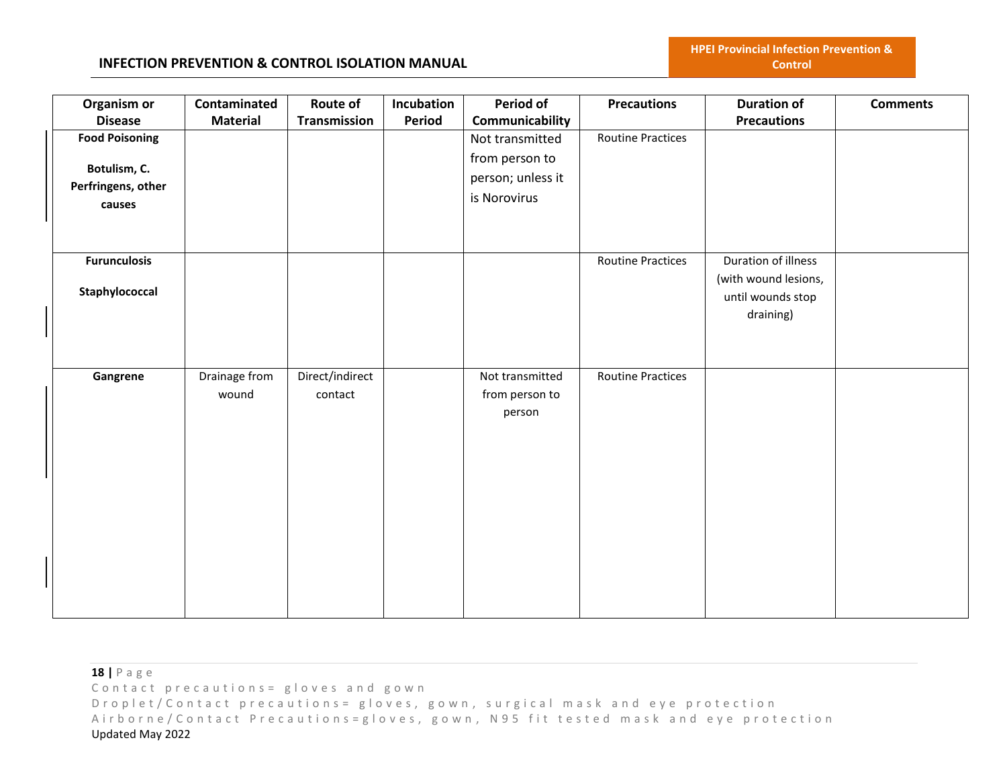| Organism or<br><b>Disease</b>                                         | Contaminated<br><b>Material</b> | Route of<br>Transmission   | Incubation<br>Period | Period of<br>Communicability                                           | <b>Precautions</b>       | <b>Duration of</b><br><b>Precautions</b>                                      | <b>Comments</b> |
|-----------------------------------------------------------------------|---------------------------------|----------------------------|----------------------|------------------------------------------------------------------------|--------------------------|-------------------------------------------------------------------------------|-----------------|
| <b>Food Poisoning</b><br>Botulism, C.<br>Perfringens, other<br>causes |                                 |                            |                      | Not transmitted<br>from person to<br>person; unless it<br>is Norovirus | Routine Practices        |                                                                               |                 |
| <b>Furunculosis</b><br>Staphylococcal                                 |                                 |                            |                      |                                                                        | <b>Routine Practices</b> | Duration of illness<br>(with wound lesions,<br>until wounds stop<br>draining) |                 |
| Gangrene                                                              | Drainage from<br>wound          | Direct/indirect<br>contact |                      | Not transmitted<br>from person to<br>person                            | <b>Routine Practices</b> |                                                                               |                 |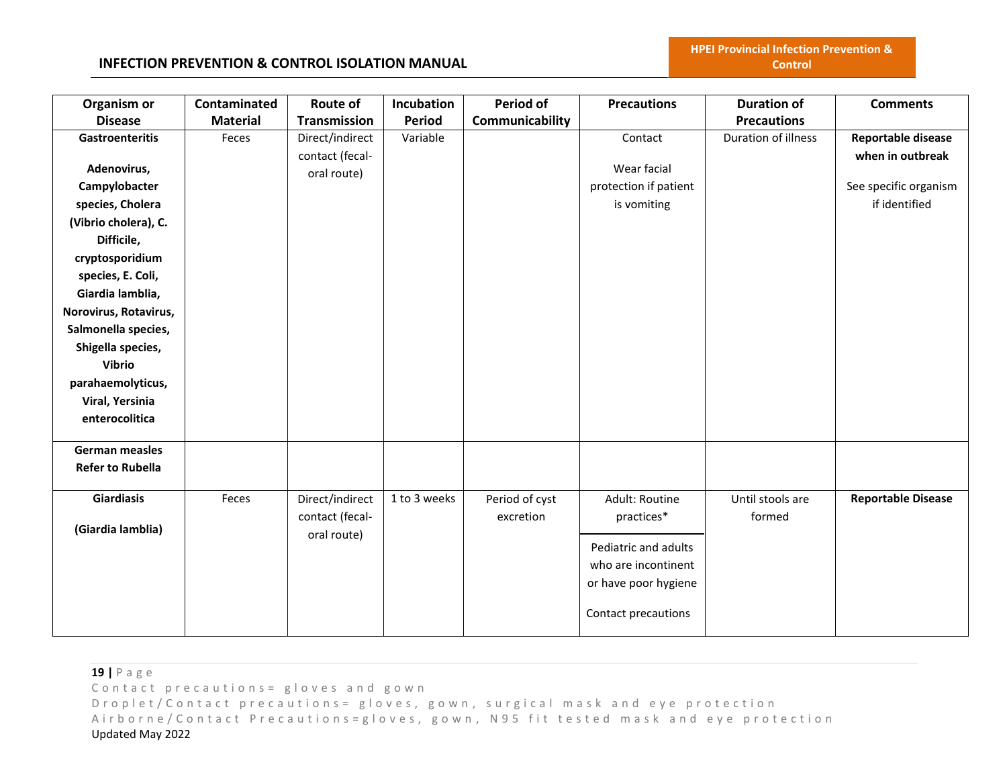### **INFECTION PREVENTION & CONTROL ISOLATION MANUAL**

| Organism or                       | Contaminated    | <b>Route of</b>                    | Incubation    | <b>Period of</b> | <b>Precautions</b>    | <b>Duration of</b>  | <b>Comments</b>                        |
|-----------------------------------|-----------------|------------------------------------|---------------|------------------|-----------------------|---------------------|----------------------------------------|
| <b>Disease</b>                    | <b>Material</b> | Transmission                       | <b>Period</b> | Communicability  |                       | <b>Precautions</b>  |                                        |
| <b>Gastroenteritis</b>            | Feces           | Direct/indirect<br>contact (fecal- | Variable      |                  | Contact               | Duration of illness | Reportable disease<br>when in outbreak |
| Adenovirus,                       |                 | oral route)                        |               |                  | Wear facial           |                     |                                        |
| Campylobacter                     |                 |                                    |               |                  | protection if patient |                     | See specific organism                  |
| species, Cholera                  |                 |                                    |               |                  | is vomiting           |                     | if identified                          |
| (Vibrio cholera), C.              |                 |                                    |               |                  |                       |                     |                                        |
| Difficile,                        |                 |                                    |               |                  |                       |                     |                                        |
| cryptosporidium                   |                 |                                    |               |                  |                       |                     |                                        |
| species, E. Coli,                 |                 |                                    |               |                  |                       |                     |                                        |
| Giardia lamblia,                  |                 |                                    |               |                  |                       |                     |                                        |
| Norovirus, Rotavirus,             |                 |                                    |               |                  |                       |                     |                                        |
| Salmonella species,               |                 |                                    |               |                  |                       |                     |                                        |
| Shigella species,                 |                 |                                    |               |                  |                       |                     |                                        |
| <b>Vibrio</b>                     |                 |                                    |               |                  |                       |                     |                                        |
| parahaemolyticus,                 |                 |                                    |               |                  |                       |                     |                                        |
| Viral, Yersinia<br>enterocolitica |                 |                                    |               |                  |                       |                     |                                        |
|                                   |                 |                                    |               |                  |                       |                     |                                        |
| German measles                    |                 |                                    |               |                  |                       |                     |                                        |
| <b>Refer to Rubella</b>           |                 |                                    |               |                  |                       |                     |                                        |
| <b>Giardiasis</b>                 | Feces           | Direct/indirect                    | 1 to 3 weeks  | Period of cyst   | Adult: Routine        | Until stools are    | <b>Reportable Disease</b>              |
| (Giardia lamblia)                 |                 | contact (fecal-                    |               | excretion        | practices*            | formed              |                                        |
|                                   |                 | oral route)                        |               |                  | Pediatric and adults  |                     |                                        |
|                                   |                 |                                    |               |                  | who are incontinent   |                     |                                        |
|                                   |                 |                                    |               |                  | or have poor hygiene  |                     |                                        |
|                                   |                 |                                    |               |                  |                       |                     |                                        |
|                                   |                 |                                    |               |                  | Contact precautions   |                     |                                        |
|                                   |                 |                                    |               |                  |                       |                     |                                        |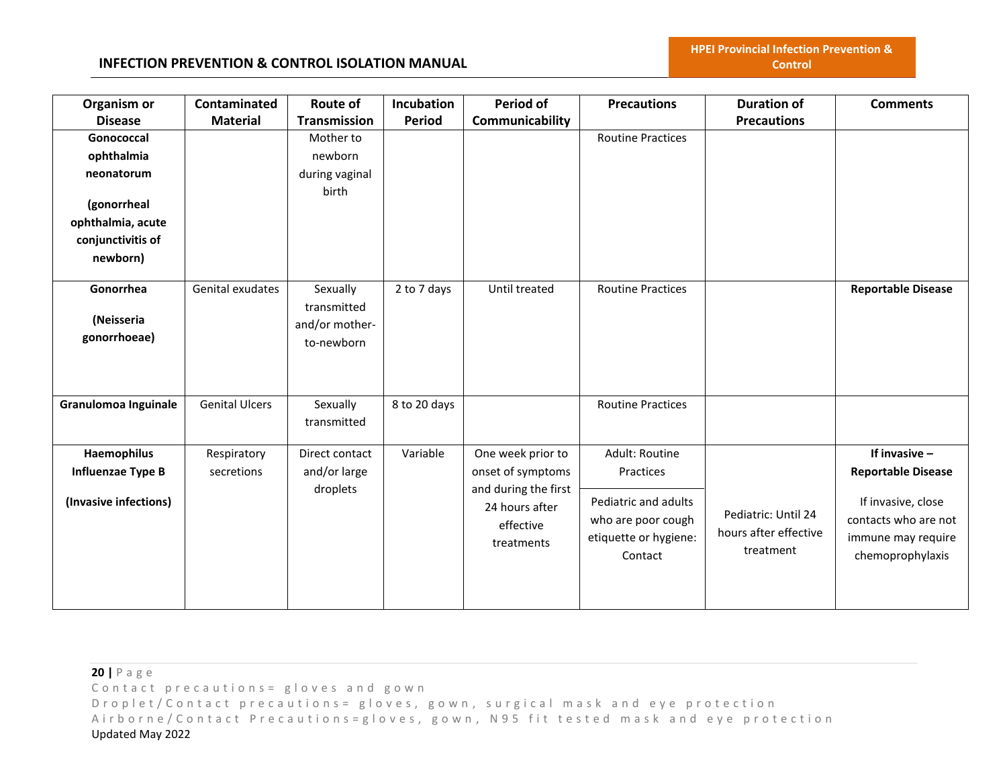| Organism or           | Contaminated          | Route of            | Incubation   | Period of                              | <b>Precautions</b>       | <b>Duration of</b>    | <b>Comments</b>           |
|-----------------------|-----------------------|---------------------|--------------|----------------------------------------|--------------------------|-----------------------|---------------------------|
| <b>Disease</b>        | <b>Material</b>       | <b>Transmission</b> | Period       | Communicability                        |                          | <b>Precautions</b>    |                           |
| Gonococcal            |                       | Mother to           |              |                                        | <b>Routine Practices</b> |                       |                           |
| ophthalmia            |                       | newborn             |              |                                        |                          |                       |                           |
| neonatorum            |                       | during vaginal      |              |                                        |                          |                       |                           |
|                       |                       | birth               |              |                                        |                          |                       |                           |
| (gonorrheal           |                       |                     |              |                                        |                          |                       |                           |
| ophthalmia, acute     |                       |                     |              |                                        |                          |                       |                           |
| conjunctivitis of     |                       |                     |              |                                        |                          |                       |                           |
| newborn)              |                       |                     |              |                                        |                          |                       |                           |
| Gonorrhea             | Genital exudates      | Sexually            | 2 to 7 days  | Until treated                          | <b>Routine Practices</b> |                       | <b>Reportable Disease</b> |
|                       |                       | transmitted         |              |                                        |                          |                       |                           |
| (Neisseria            |                       | and/or mother-      |              |                                        |                          |                       |                           |
| gonorrhoeae)          |                       | to-newborn          |              |                                        |                          |                       |                           |
|                       |                       |                     |              |                                        |                          |                       |                           |
|                       |                       |                     |              |                                        |                          |                       |                           |
|                       |                       |                     |              |                                        |                          |                       |                           |
| Granulomoa Inguinale  | <b>Genital Ulcers</b> | Sexually            | 8 to 20 days |                                        | <b>Routine Practices</b> |                       |                           |
|                       |                       | transmitted         |              |                                        |                          |                       |                           |
| Haemophilus           | Respiratory           | Direct contact      | Variable     | One week prior to                      | Adult: Routine           |                       | If invasive $-$           |
| Influenzae Type B     | secretions            | and/or large        |              | onset of symptoms                      | Practices                |                       |                           |
|                       |                       |                     |              |                                        |                          |                       | <b>Reportable Disease</b> |
| (Invasive infections) |                       | droplets            |              | and during the first<br>24 hours after | Pediatric and adults     |                       | If invasive, close        |
|                       |                       |                     |              |                                        | who are poor cough       | Pediatric: Until 24   | contacts who are not      |
|                       |                       |                     |              | effective                              | etiquette or hygiene:    | hours after effective | immune may require        |
|                       |                       |                     |              | treatments                             | Contact                  | treatment             | chemoprophylaxis          |
|                       |                       |                     |              |                                        |                          |                       |                           |
|                       |                       |                     |              |                                        |                          |                       |                           |
|                       |                       |                     |              |                                        |                          |                       |                           |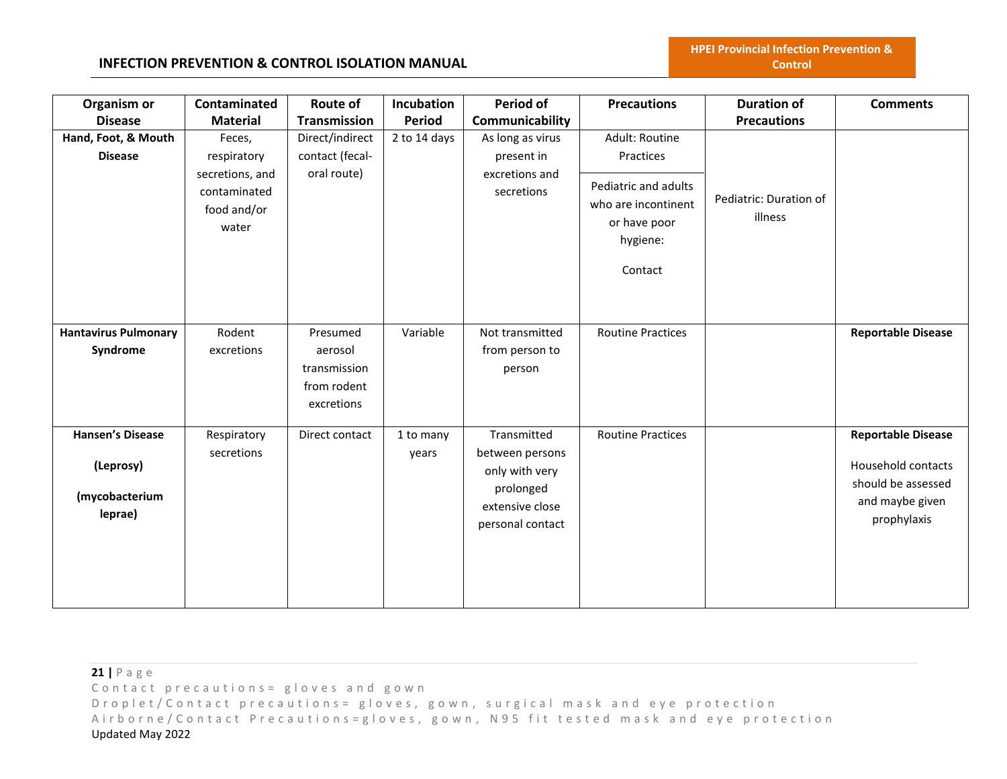| Organism or<br><b>Disease</b>                                     | Contaminated<br><b>Material</b>                                                  | <b>Route of</b><br><b>Transmission</b>                           | Incubation<br><b>Period</b> | Period of<br>Communicability                                                                         | <b>Precautions</b>                                                                                                | <b>Duration of</b><br><b>Precautions</b> | <b>Comments</b>                                                                                         |
|-------------------------------------------------------------------|----------------------------------------------------------------------------------|------------------------------------------------------------------|-----------------------------|------------------------------------------------------------------------------------------------------|-------------------------------------------------------------------------------------------------------------------|------------------------------------------|---------------------------------------------------------------------------------------------------------|
| Hand, Foot, & Mouth<br><b>Disease</b>                             | Feces,<br>respiratory<br>secretions, and<br>contaminated<br>food and/or<br>water | Direct/indirect<br>contact (fecal-<br>oral route)                | 2 to 14 days                | As long as virus<br>present in<br>excretions and<br>secretions                                       | Adult: Routine<br>Practices<br>Pediatric and adults<br>who are incontinent<br>or have poor<br>hygiene:<br>Contact | Pediatric: Duration of<br>illness        |                                                                                                         |
| <b>Hantavirus Pulmonary</b><br>Syndrome                           | Rodent<br>excretions                                                             | Presumed<br>aerosol<br>transmission<br>from rodent<br>excretions | Variable                    | Not transmitted<br>from person to<br>person                                                          | <b>Routine Practices</b>                                                                                          |                                          | <b>Reportable Disease</b>                                                                               |
| <b>Hansen's Disease</b><br>(Leprosy)<br>(mycobacterium<br>leprae) | Respiratory<br>secretions                                                        | Direct contact                                                   | 1 to many<br>years          | Transmitted<br>between persons<br>only with very<br>prolonged<br>extensive close<br>personal contact | <b>Routine Practices</b>                                                                                          |                                          | <b>Reportable Disease</b><br>Household contacts<br>should be assessed<br>and maybe given<br>prophylaxis |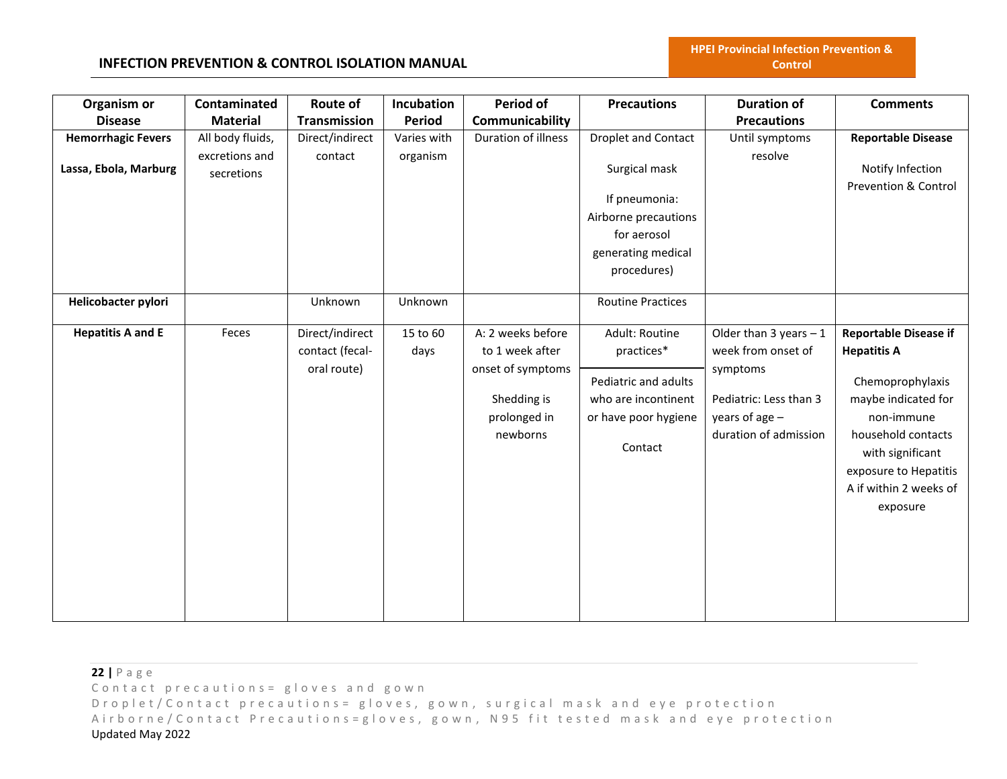# **INFECTION PREVENTION & CONTROL ISOLATION MANUAL**

| Organism or               | Contaminated     | Route of        | Incubation    | Period of           | <b>Precautions</b>         | <b>Duration of</b>        | <b>Comments</b>              |
|---------------------------|------------------|-----------------|---------------|---------------------|----------------------------|---------------------------|------------------------------|
| <b>Disease</b>            | <b>Material</b>  | Transmission    | <b>Period</b> | Communicability     |                            | <b>Precautions</b>        |                              |
| <b>Hemorrhagic Fevers</b> | All body fluids, | Direct/indirect | Varies with   | Duration of illness | <b>Droplet and Contact</b> | Until symptoms            | <b>Reportable Disease</b>    |
|                           | excretions and   | contact         | organism      |                     |                            | resolve                   |                              |
| Lassa, Ebola, Marburg     | secretions       |                 |               |                     | Surgical mask              |                           | Notify Infection             |
|                           |                  |                 |               |                     | If pneumonia:              |                           | Prevention & Control         |
|                           |                  |                 |               |                     | Airborne precautions       |                           |                              |
|                           |                  |                 |               |                     | for aerosol                |                           |                              |
|                           |                  |                 |               |                     |                            |                           |                              |
|                           |                  |                 |               |                     | generating medical         |                           |                              |
|                           |                  |                 |               |                     | procedures)                |                           |                              |
| Helicobacter pylori       |                  | Unknown         | Unknown       |                     | <b>Routine Practices</b>   |                           |                              |
|                           |                  |                 |               |                     |                            |                           |                              |
| <b>Hepatitis A and E</b>  | Feces            | Direct/indirect | 15 to 60      | A: 2 weeks before   | Adult: Routine             | Older than $3$ years $-1$ | <b>Reportable Disease if</b> |
|                           |                  | contact (fecal- | days          | to 1 week after     | practices*                 | week from onset of        | <b>Hepatitis A</b>           |
|                           |                  | oral route)     |               | onset of symptoms   |                            | symptoms                  |                              |
|                           |                  |                 |               |                     | Pediatric and adults       |                           | Chemoprophylaxis             |
|                           |                  |                 |               | Shedding is         | who are incontinent        | Pediatric: Less than 3    | maybe indicated for          |
|                           |                  |                 |               | prolonged in        | or have poor hygiene       | years of age $-$          | non-immune                   |
|                           |                  |                 |               | newborns            |                            | duration of admission     | household contacts           |
|                           |                  |                 |               |                     | Contact                    |                           | with significant             |
|                           |                  |                 |               |                     |                            |                           | exposure to Hepatitis        |
|                           |                  |                 |               |                     |                            |                           | A if within 2 weeks of       |
|                           |                  |                 |               |                     |                            |                           | exposure                     |
|                           |                  |                 |               |                     |                            |                           |                              |
|                           |                  |                 |               |                     |                            |                           |                              |
|                           |                  |                 |               |                     |                            |                           |                              |
|                           |                  |                 |               |                     |                            |                           |                              |
|                           |                  |                 |               |                     |                            |                           |                              |
|                           |                  |                 |               |                     |                            |                           |                              |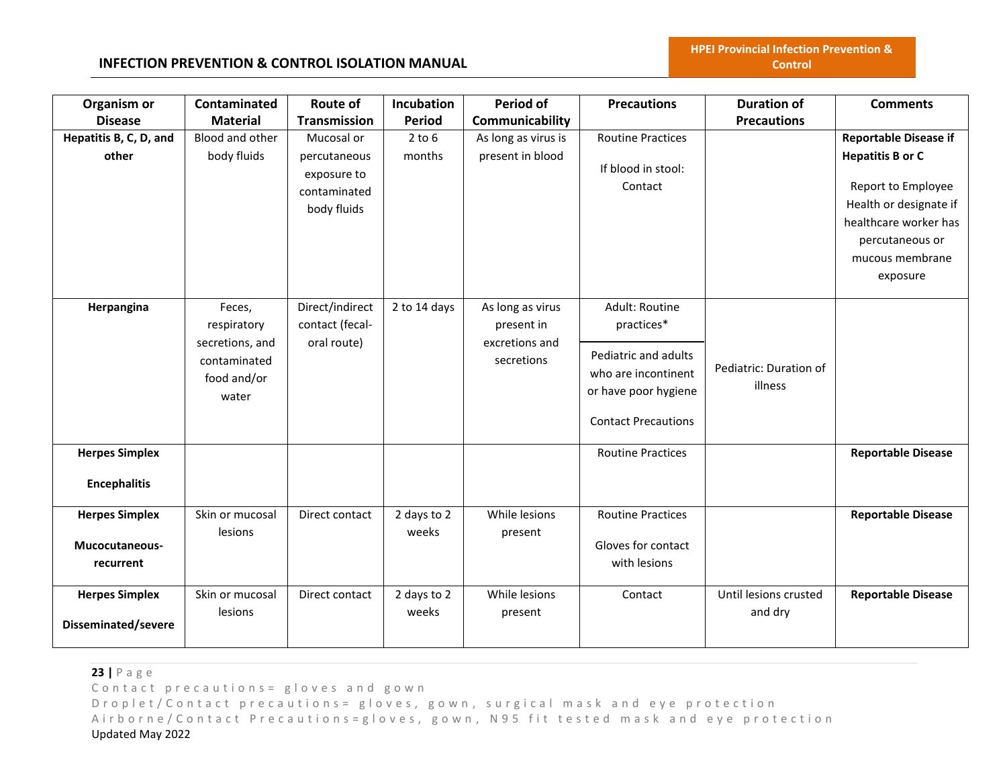# **INFECTION PREVENTION & CONTROL ISOLATION MANUAL**

| Organism or            | Contaminated    | Route of            | Incubation    | <b>Period of</b>    | <b>Precautions</b>         | <b>Duration of</b>     | <b>Comments</b>              |
|------------------------|-----------------|---------------------|---------------|---------------------|----------------------------|------------------------|------------------------------|
| <b>Disease</b>         | <b>Material</b> | <b>Transmission</b> | <b>Period</b> | Communicability     |                            | <b>Precautions</b>     |                              |
| Hepatitis B, C, D, and | Blood and other | Mucosal or          | $2$ to $6$    | As long as virus is | <b>Routine Practices</b>   |                        | <b>Reportable Disease if</b> |
| other                  | body fluids     | percutaneous        | months        | present in blood    |                            |                        | <b>Hepatitis B or C</b>      |
|                        |                 | exposure to         |               |                     | If blood in stool:         |                        |                              |
|                        |                 | contaminated        |               |                     | Contact                    |                        | Report to Employee           |
|                        |                 | body fluids         |               |                     |                            |                        | Health or designate if       |
|                        |                 |                     |               |                     |                            |                        | healthcare worker has        |
|                        |                 |                     |               |                     |                            |                        | percutaneous or              |
|                        |                 |                     |               |                     |                            |                        | mucous membrane              |
|                        |                 |                     |               |                     |                            |                        | exposure                     |
| Herpangina             | Feces,          | Direct/indirect     | 2 to 14 days  | As long as virus    | Adult: Routine             |                        |                              |
|                        | respiratory     | contact (fecal-     |               | present in          | practices*                 |                        |                              |
|                        | secretions, and | oral route)         |               | excretions and      |                            |                        |                              |
|                        | contaminated    |                     |               | secretions          | Pediatric and adults       |                        |                              |
|                        | food and/or     |                     |               |                     | who are incontinent        | Pediatric: Duration of |                              |
|                        | water           |                     |               |                     | or have poor hygiene       | illness                |                              |
|                        |                 |                     |               |                     |                            |                        |                              |
|                        |                 |                     |               |                     | <b>Contact Precautions</b> |                        |                              |
| <b>Herpes Simplex</b>  |                 |                     |               |                     | <b>Routine Practices</b>   |                        | <b>Reportable Disease</b>    |
| <b>Encephalitis</b>    |                 |                     |               |                     |                            |                        |                              |
| <b>Herpes Simplex</b>  | Skin or mucosal | Direct contact      | 2 days to 2   | While lesions       | <b>Routine Practices</b>   |                        | <b>Reportable Disease</b>    |
|                        | lesions         |                     | weeks         | present             |                            |                        |                              |
| Mucocutaneous-         |                 |                     |               |                     | Gloves for contact         |                        |                              |
| recurrent              |                 |                     |               |                     | with lesions               |                        |                              |
| <b>Herpes Simplex</b>  | Skin or mucosal | Direct contact      | 2 days to 2   | While lesions       | Contact                    | Until lesions crusted  | <b>Reportable Disease</b>    |
| Disseminated/severe    | lesions         |                     | weeks         | present             |                            | and dry                |                              |
|                        |                 |                     |               |                     |                            |                        |                              |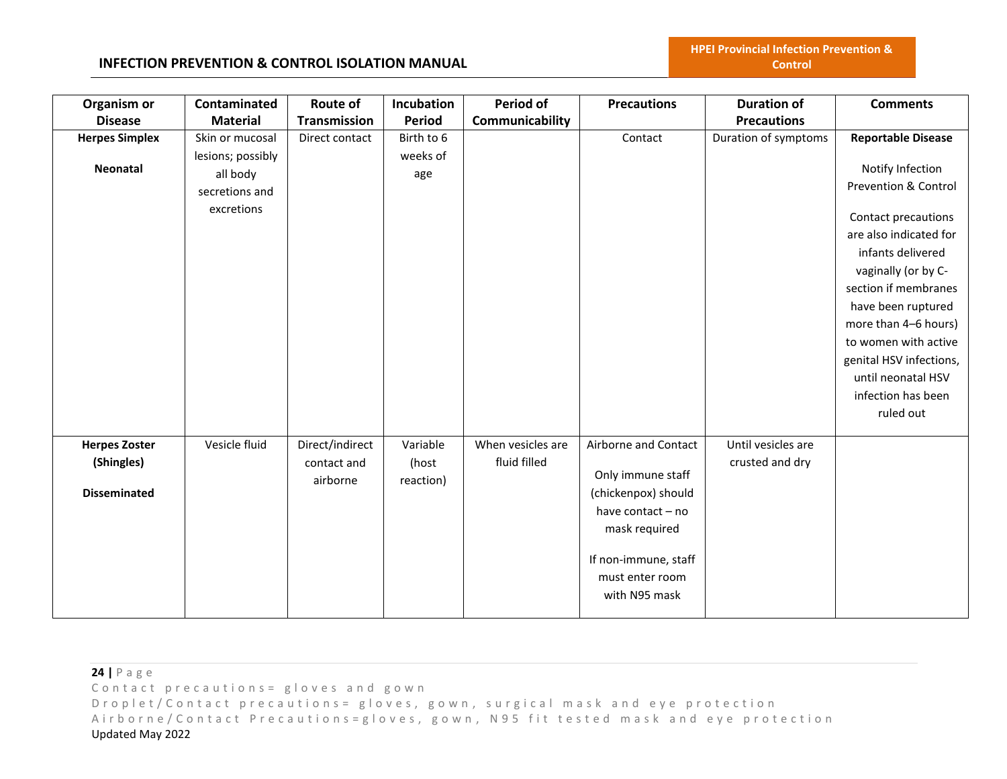| Organism or<br><b>Disease</b>                             | Contaminated<br><b>Material</b>                               | Route of<br>Transmission                   | Incubation<br><b>Period</b>    | Period of<br>Communicability      | <b>Precautions</b>                                                                                                                                                 | <b>Duration of</b><br><b>Precautions</b> | <b>Comments</b>                                                                                                                                                                                                                                                             |
|-----------------------------------------------------------|---------------------------------------------------------------|--------------------------------------------|--------------------------------|-----------------------------------|--------------------------------------------------------------------------------------------------------------------------------------------------------------------|------------------------------------------|-----------------------------------------------------------------------------------------------------------------------------------------------------------------------------------------------------------------------------------------------------------------------------|
| <b>Herpes Simplex</b>                                     | Skin or mucosal                                               | Direct contact                             | Birth to 6                     |                                   | Contact                                                                                                                                                            | Duration of symptoms                     | <b>Reportable Disease</b>                                                                                                                                                                                                                                                   |
| <b>Neonatal</b>                                           | lesions; possibly<br>all body<br>secretions and<br>excretions |                                            | weeks of<br>age                |                                   |                                                                                                                                                                    |                                          | Notify Infection<br><b>Prevention &amp; Control</b>                                                                                                                                                                                                                         |
|                                                           |                                                               |                                            |                                |                                   |                                                                                                                                                                    |                                          | Contact precautions<br>are also indicated for<br>infants delivered<br>vaginally (or by C-<br>section if membranes<br>have been ruptured<br>more than 4-6 hours)<br>to women with active<br>genital HSV infections,<br>until neonatal HSV<br>infection has been<br>ruled out |
| <b>Herpes Zoster</b><br>(Shingles)<br><b>Disseminated</b> | Vesicle fluid                                                 | Direct/indirect<br>contact and<br>airborne | Variable<br>(host<br>reaction) | When vesicles are<br>fluid filled | Airborne and Contact<br>Only immune staff<br>(chickenpox) should<br>have contact - no<br>mask required<br>If non-immune, staff<br>must enter room<br>with N95 mask | Until vesicles are<br>crusted and dry    |                                                                                                                                                                                                                                                                             |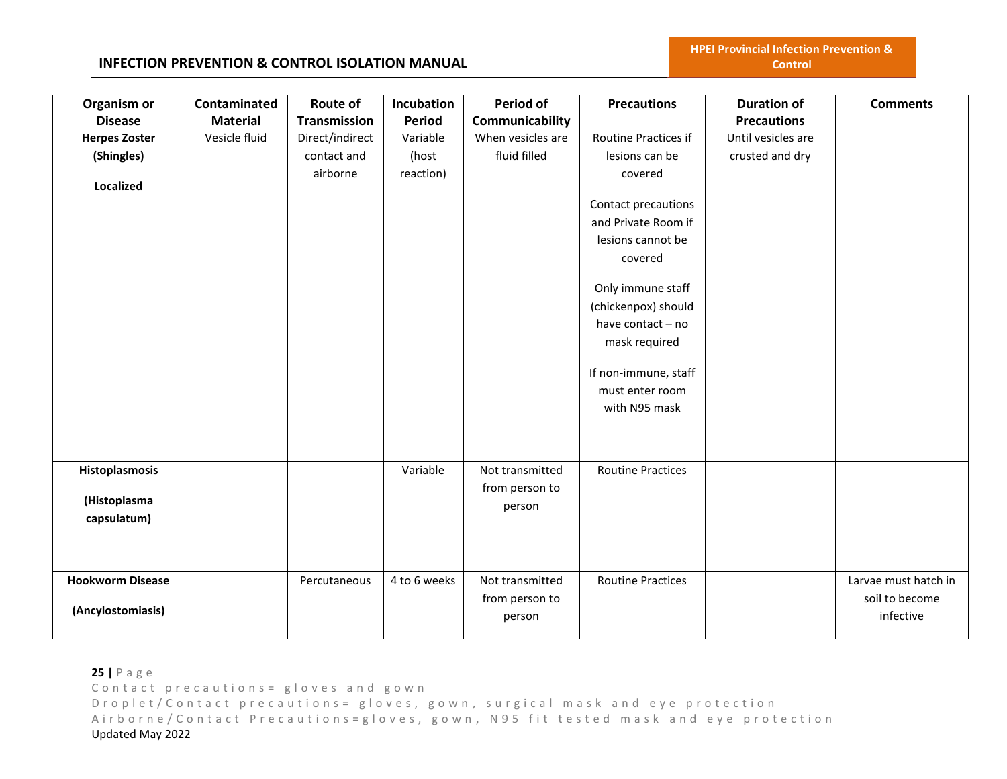| Organism or             | Contaminated    | Route of            | Incubation    | Period of         | <b>Precautions</b>       | <b>Duration of</b> | <b>Comments</b>      |
|-------------------------|-----------------|---------------------|---------------|-------------------|--------------------------|--------------------|----------------------|
| <b>Disease</b>          | <b>Material</b> | <b>Transmission</b> | <b>Period</b> | Communicability   |                          | <b>Precautions</b> |                      |
| <b>Herpes Zoster</b>    | Vesicle fluid   | Direct/indirect     | Variable      | When vesicles are | Routine Practices if     | Until vesicles are |                      |
| (Shingles)              |                 | contact and         | (host         | fluid filled      | lesions can be           | crusted and dry    |                      |
|                         |                 | airborne            | reaction)     |                   | covered                  |                    |                      |
| Localized               |                 |                     |               |                   |                          |                    |                      |
|                         |                 |                     |               |                   | Contact precautions      |                    |                      |
|                         |                 |                     |               |                   | and Private Room if      |                    |                      |
|                         |                 |                     |               |                   | lesions cannot be        |                    |                      |
|                         |                 |                     |               |                   | covered                  |                    |                      |
|                         |                 |                     |               |                   | Only immune staff        |                    |                      |
|                         |                 |                     |               |                   | (chickenpox) should      |                    |                      |
|                         |                 |                     |               |                   | have contact - no        |                    |                      |
|                         |                 |                     |               |                   | mask required            |                    |                      |
|                         |                 |                     |               |                   | If non-immune, staff     |                    |                      |
|                         |                 |                     |               |                   | must enter room          |                    |                      |
|                         |                 |                     |               |                   | with N95 mask            |                    |                      |
|                         |                 |                     |               |                   |                          |                    |                      |
|                         |                 |                     |               |                   |                          |                    |                      |
| Histoplasmosis          |                 |                     | Variable      | Not transmitted   | <b>Routine Practices</b> |                    |                      |
|                         |                 |                     |               | from person to    |                          |                    |                      |
| (Histoplasma            |                 |                     |               | person            |                          |                    |                      |
| capsulatum)             |                 |                     |               |                   |                          |                    |                      |
|                         |                 |                     |               |                   |                          |                    |                      |
|                         |                 |                     |               |                   |                          |                    |                      |
| <b>Hookworm Disease</b> |                 | Percutaneous        | 4 to 6 weeks  | Not transmitted   | <b>Routine Practices</b> |                    | Larvae must hatch in |
|                         |                 |                     |               | from person to    |                          |                    | soil to become       |
| (Ancylostomiasis)       |                 |                     |               | person            |                          |                    | infective            |
|                         |                 |                     |               |                   |                          |                    |                      |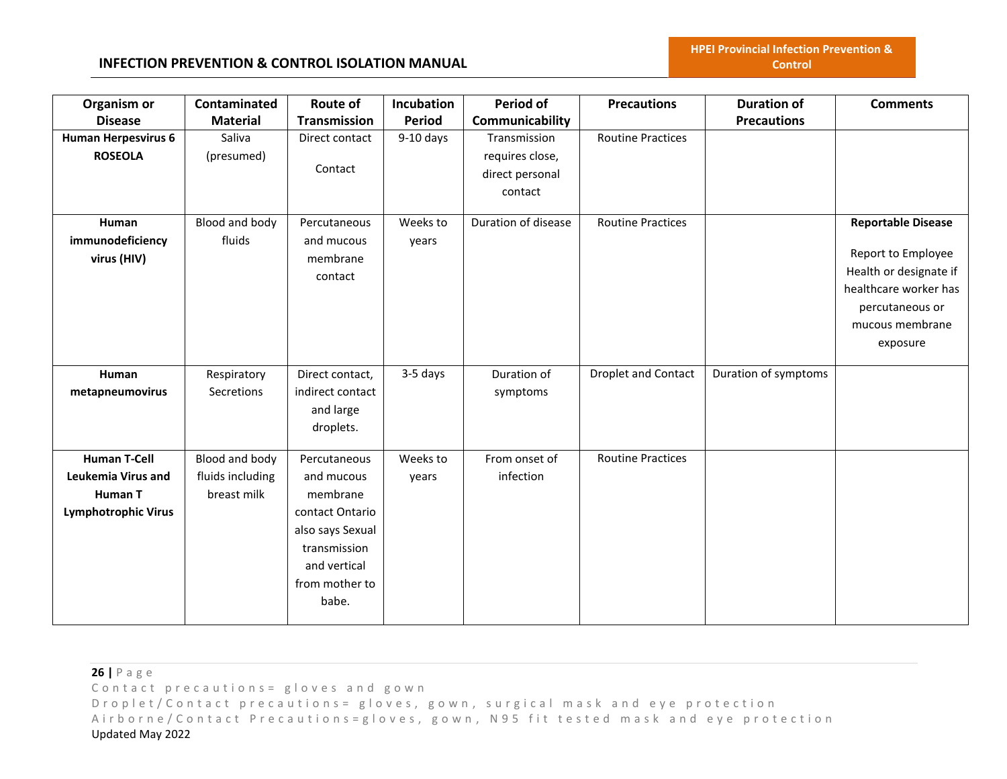# **INFECTION PREVENTION & CONTROL ISOLATION MANUAL**

| Organism or<br><b>Disease</b> | Contaminated<br><b>Material</b> | <b>Route of</b><br><b>Transmission</b> | Incubation<br><b>Period</b> | Period of<br>Communicability | <b>Precautions</b>       | <b>Duration of</b><br><b>Precautions</b> | <b>Comments</b>           |
|-------------------------------|---------------------------------|----------------------------------------|-----------------------------|------------------------------|--------------------------|------------------------------------------|---------------------------|
| Human Herpesvirus 6           | Saliva                          | Direct contact                         | $9-10$ days                 | Transmission                 | <b>Routine Practices</b> |                                          |                           |
| <b>ROSEOLA</b>                | (presumed)                      |                                        |                             | requires close,              |                          |                                          |                           |
|                               |                                 | Contact                                |                             | direct personal              |                          |                                          |                           |
|                               |                                 |                                        |                             | contact                      |                          |                                          |                           |
|                               |                                 |                                        |                             |                              |                          |                                          |                           |
| Human                         | Blood and body                  | Percutaneous                           | Weeks to                    | Duration of disease          | <b>Routine Practices</b> |                                          | <b>Reportable Disease</b> |
| immunodeficiency              | fluids                          | and mucous                             | years                       |                              |                          |                                          |                           |
| virus (HIV)                   |                                 | membrane                               |                             |                              |                          |                                          | Report to Employee        |
|                               |                                 | contact                                |                             |                              |                          |                                          | Health or designate if    |
|                               |                                 |                                        |                             |                              |                          |                                          | healthcare worker has     |
|                               |                                 |                                        |                             |                              |                          |                                          | percutaneous or           |
|                               |                                 |                                        |                             |                              |                          |                                          | mucous membrane           |
|                               |                                 |                                        |                             |                              |                          |                                          | exposure                  |
|                               |                                 |                                        |                             |                              |                          |                                          |                           |
| Human                         | Respiratory                     | Direct contact,                        | 3-5 days                    | Duration of                  | Droplet and Contact      | Duration of symptoms                     |                           |
| metapneumovirus               | Secretions                      | indirect contact                       |                             | symptoms                     |                          |                                          |                           |
|                               |                                 | and large                              |                             |                              |                          |                                          |                           |
|                               |                                 | droplets.                              |                             |                              |                          |                                          |                           |
| <b>Human T-Cell</b>           | Blood and body                  | Percutaneous                           | Weeks to                    | From onset of                | <b>Routine Practices</b> |                                          |                           |
| Leukemia Virus and            | fluids including                | and mucous                             | years                       | infection                    |                          |                                          |                           |
| Human T                       | breast milk                     | membrane                               |                             |                              |                          |                                          |                           |
| <b>Lymphotrophic Virus</b>    |                                 | contact Ontario                        |                             |                              |                          |                                          |                           |
|                               |                                 | also says Sexual                       |                             |                              |                          |                                          |                           |
|                               |                                 | transmission                           |                             |                              |                          |                                          |                           |
|                               |                                 | and vertical                           |                             |                              |                          |                                          |                           |
|                               |                                 | from mother to                         |                             |                              |                          |                                          |                           |
|                               |                                 | babe.                                  |                             |                              |                          |                                          |                           |
|                               |                                 |                                        |                             |                              |                          |                                          |                           |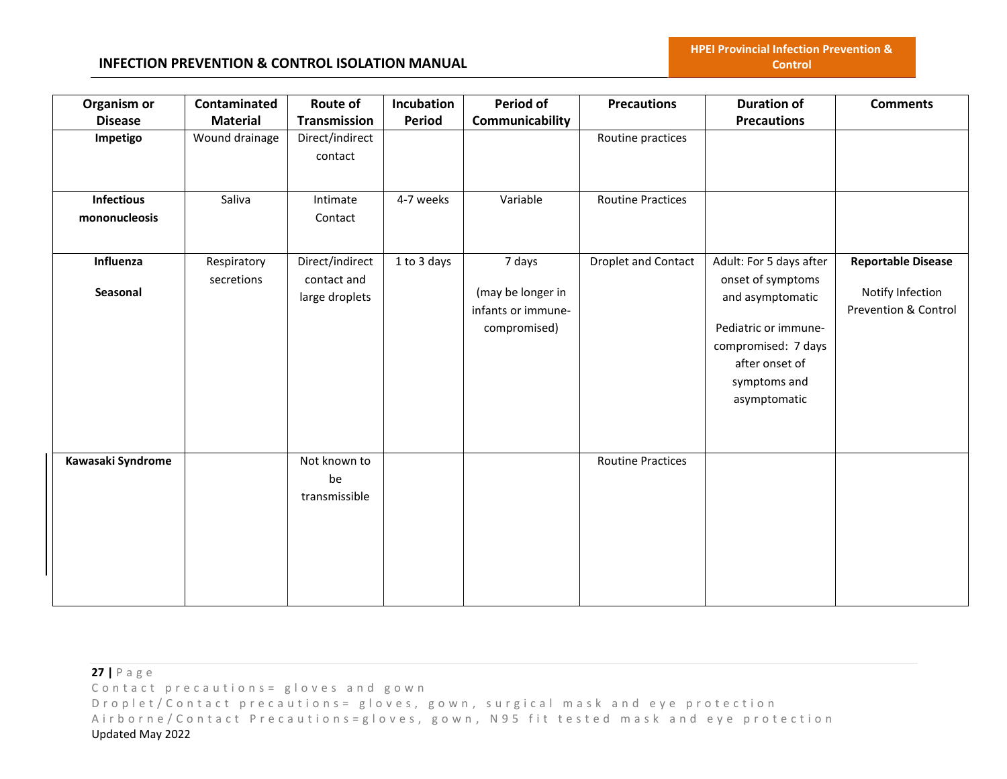| Organism or<br><b>Disease</b>      | Contaminated<br><b>Material</b> | Route of<br><b>Transmission</b>                  | Incubation<br>Period | Period of<br>Communicability                                      | <b>Precautions</b>         | <b>Duration of</b><br><b>Precautions</b>                                                                                                                          | <b>Comments</b>                                                       |
|------------------------------------|---------------------------------|--------------------------------------------------|----------------------|-------------------------------------------------------------------|----------------------------|-------------------------------------------------------------------------------------------------------------------------------------------------------------------|-----------------------------------------------------------------------|
| Impetigo                           | Wound drainage                  | Direct/indirect<br>contact                       |                      |                                                                   | Routine practices          |                                                                                                                                                                   |                                                                       |
| <b>Infectious</b><br>mononucleosis | Saliva                          | Intimate<br>Contact                              | 4-7 weeks            | Variable                                                          | <b>Routine Practices</b>   |                                                                                                                                                                   |                                                                       |
| Influenza<br>Seasonal              | Respiratory<br>secretions       | Direct/indirect<br>contact and<br>large droplets | 1 to 3 days          | 7 days<br>(may be longer in<br>infants or immune-<br>compromised) | <b>Droplet and Contact</b> | Adult: For 5 days after<br>onset of symptoms<br>and asymptomatic<br>Pediatric or immune-<br>compromised: 7 days<br>after onset of<br>symptoms and<br>asymptomatic | <b>Reportable Disease</b><br>Notify Infection<br>Prevention & Control |
| Kawasaki Syndrome                  |                                 | Not known to<br>be<br>transmissible              |                      |                                                                   | <b>Routine Practices</b>   |                                                                                                                                                                   |                                                                       |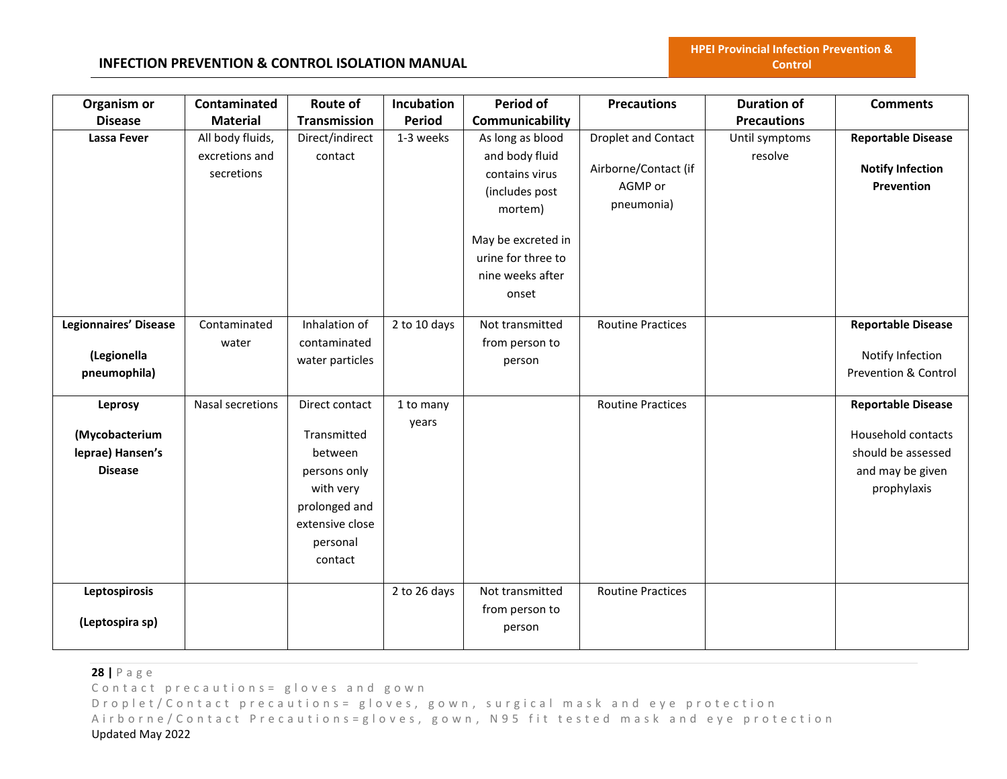# **INFECTION PREVENTION & CONTROL ISOLATION MANUAL**

| Organism or                                                     | Contaminated                                     | Route of                                                                                                                         | Incubation         | <b>Period of</b>                                                                                                                                           | <b>Precautions</b>                                                          | <b>Duration of</b>        | <b>Comments</b>                                                                                          |
|-----------------------------------------------------------------|--------------------------------------------------|----------------------------------------------------------------------------------------------------------------------------------|--------------------|------------------------------------------------------------------------------------------------------------------------------------------------------------|-----------------------------------------------------------------------------|---------------------------|----------------------------------------------------------------------------------------------------------|
| <b>Disease</b>                                                  | <b>Material</b>                                  | <b>Transmission</b>                                                                                                              | Period             | Communicability                                                                                                                                            |                                                                             | <b>Precautions</b>        |                                                                                                          |
| <b>Lassa Fever</b>                                              | All body fluids,<br>excretions and<br>secretions | Direct/indirect<br>contact                                                                                                       | 1-3 weeks          | As long as blood<br>and body fluid<br>contains virus<br>(includes post<br>mortem)<br>May be excreted in<br>urine for three to<br>nine weeks after<br>onset | <b>Droplet and Contact</b><br>Airborne/Contact (if<br>AGMP or<br>pneumonia) | Until symptoms<br>resolve | <b>Reportable Disease</b><br><b>Notify Infection</b><br>Prevention                                       |
| <b>Legionnaires' Disease</b><br>(Legionella<br>pneumophila)     | Contaminated<br>water                            | Inhalation of<br>contaminated<br>water particles                                                                                 | 2 to 10 days       | Not transmitted<br>from person to<br>person                                                                                                                | <b>Routine Practices</b>                                                    |                           | <b>Reportable Disease</b><br>Notify Infection<br>Prevention & Control                                    |
| Leprosy<br>(Mycobacterium<br>leprae) Hansen's<br><b>Disease</b> | Nasal secretions                                 | Direct contact<br>Transmitted<br>between<br>persons only<br>with very<br>prolonged and<br>extensive close<br>personal<br>contact | 1 to many<br>years |                                                                                                                                                            | <b>Routine Practices</b>                                                    |                           | <b>Reportable Disease</b><br>Household contacts<br>should be assessed<br>and may be given<br>prophylaxis |
| Leptospirosis<br>(Leptospira sp)                                |                                                  |                                                                                                                                  | 2 to 26 days       | Not transmitted<br>from person to<br>person                                                                                                                | <b>Routine Practices</b>                                                    |                           |                                                                                                          |

**28 |** P a g e Contact precautions = gloves and gown D r o p l e t / C o n t a c t p r e c a u t i o n s = g l o v e s, g o w n, surgical mask and eye protection

Airborne/Contact Precautions=gloves, gown, N95 fit tested mask and eye protection Updated May 2022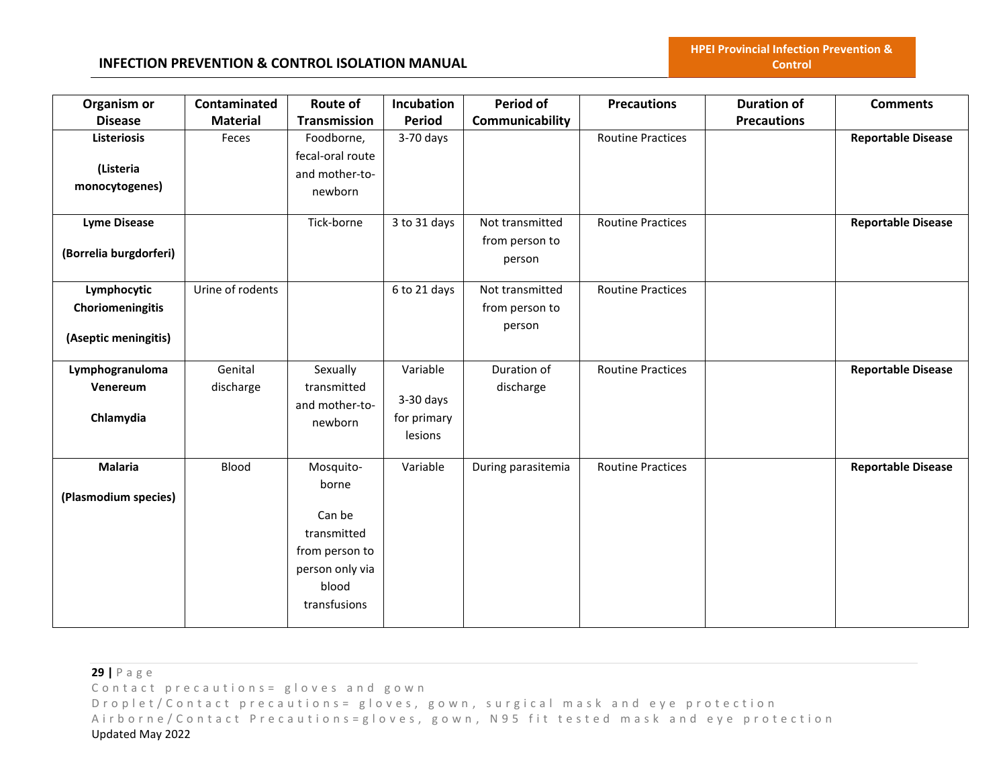| Organism or            | Contaminated     | Route of         | Incubation   | <b>Period of</b>   | <b>Precautions</b>       | <b>Duration of</b> | <b>Comments</b>           |
|------------------------|------------------|------------------|--------------|--------------------|--------------------------|--------------------|---------------------------|
| <b>Disease</b>         | <b>Material</b>  | Transmission     | Period       | Communicability    |                          | <b>Precautions</b> |                           |
| <b>Listeriosis</b>     | Feces            | Foodborne,       | $3-70$ days  |                    | <b>Routine Practices</b> |                    | <b>Reportable Disease</b> |
|                        |                  | fecal-oral route |              |                    |                          |                    |                           |
| (Listeria              |                  | and mother-to-   |              |                    |                          |                    |                           |
| monocytogenes)         |                  | newborn          |              |                    |                          |                    |                           |
| <b>Lyme Disease</b>    |                  | Tick-borne       | 3 to 31 days | Not transmitted    | <b>Routine Practices</b> |                    | <b>Reportable Disease</b> |
|                        |                  |                  |              | from person to     |                          |                    |                           |
| (Borrelia burgdorferi) |                  |                  |              | person             |                          |                    |                           |
| Lymphocytic            | Urine of rodents |                  | 6 to 21 days | Not transmitted    | <b>Routine Practices</b> |                    |                           |
| Choriomeningitis       |                  |                  |              | from person to     |                          |                    |                           |
|                        |                  |                  |              | person             |                          |                    |                           |
| (Aseptic meningitis)   |                  |                  |              |                    |                          |                    |                           |
| Lymphogranuloma        | Genital          | Sexually         | Variable     | Duration of        | <b>Routine Practices</b> |                    | <b>Reportable Disease</b> |
| Venereum               | discharge        | transmitted      |              | discharge          |                          |                    |                           |
|                        |                  | and mother-to-   | $3-30$ days  |                    |                          |                    |                           |
| Chlamydia              |                  | newborn          | for primary  |                    |                          |                    |                           |
|                        |                  |                  | lesions      |                    |                          |                    |                           |
| <b>Malaria</b>         | Blood            | Mosquito-        | Variable     | During parasitemia | <b>Routine Practices</b> |                    | <b>Reportable Disease</b> |
| (Plasmodium species)   |                  | borne            |              |                    |                          |                    |                           |
|                        |                  | Can be           |              |                    |                          |                    |                           |
|                        |                  | transmitted      |              |                    |                          |                    |                           |
|                        |                  | from person to   |              |                    |                          |                    |                           |
|                        |                  | person only via  |              |                    |                          |                    |                           |
|                        |                  | blood            |              |                    |                          |                    |                           |
|                        |                  | transfusions     |              |                    |                          |                    |                           |
|                        |                  |                  |              |                    |                          |                    |                           |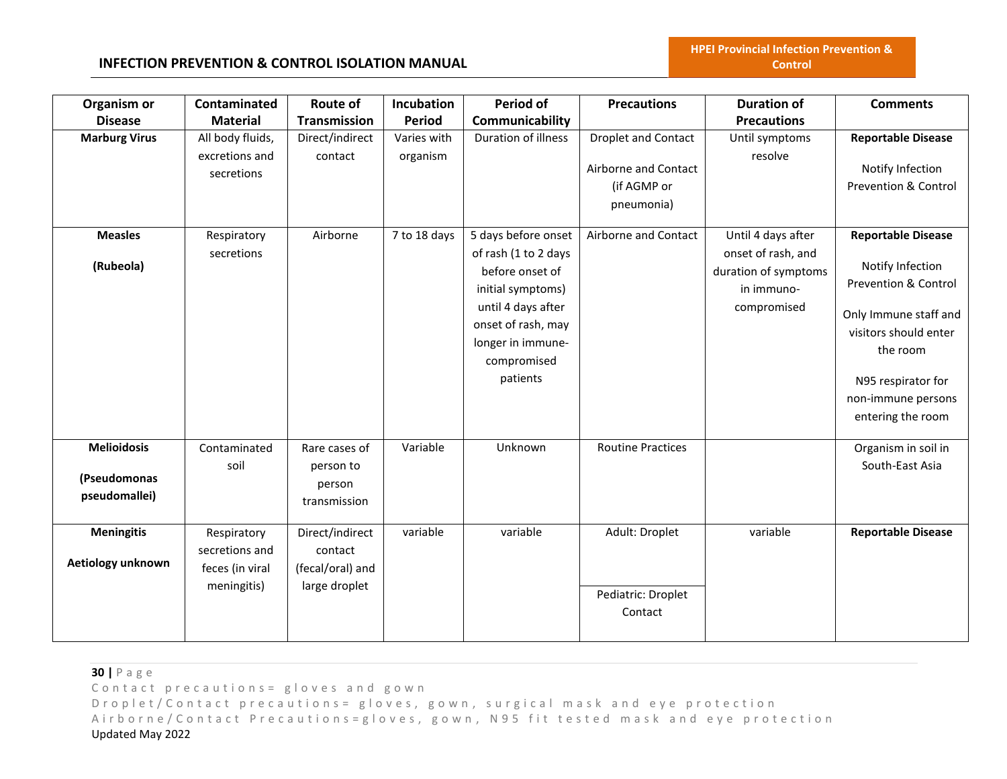# **INFECTION PREVENTION & CONTROL ISOLATION MANUAL**

| Organism or<br><b>Disease</b>                       | Contaminated<br><b>Material</b>                                 | <b>Route of</b><br><b>Transmission</b>                          | Incubation<br><b>Period</b> | Period of<br>Communicability                                                                                                                                                    | <b>Precautions</b>                                                              | <b>Duration of</b><br><b>Precautions</b>                                                      | <b>Comments</b>                                                                                                                                                                                                 |
|-----------------------------------------------------|-----------------------------------------------------------------|-----------------------------------------------------------------|-----------------------------|---------------------------------------------------------------------------------------------------------------------------------------------------------------------------------|---------------------------------------------------------------------------------|-----------------------------------------------------------------------------------------------|-----------------------------------------------------------------------------------------------------------------------------------------------------------------------------------------------------------------|
| <b>Marburg Virus</b>                                | All body fluids,<br>excretions and<br>secretions                | Direct/indirect<br>contact                                      | Varies with<br>organism     | Duration of illness                                                                                                                                                             | <b>Droplet and Contact</b><br>Airborne and Contact<br>(if AGMP or<br>pneumonia) | Until symptoms<br>resolve                                                                     | <b>Reportable Disease</b><br>Notify Infection<br><b>Prevention &amp; Control</b>                                                                                                                                |
| <b>Measles</b><br>(Rubeola)                         | Respiratory<br>secretions                                       | Airborne                                                        | 7 to 18 days                | 5 days before onset<br>of rash (1 to 2 days<br>before onset of<br>initial symptoms)<br>until 4 days after<br>onset of rash, may<br>longer in immune-<br>compromised<br>patients | Airborne and Contact                                                            | Until 4 days after<br>onset of rash, and<br>duration of symptoms<br>in immuno-<br>compromised | <b>Reportable Disease</b><br>Notify Infection<br><b>Prevention &amp; Control</b><br>Only Immune staff and<br>visitors should enter<br>the room<br>N95 respirator for<br>non-immune persons<br>entering the room |
| <b>Melioidosis</b><br>(Pseudomonas<br>pseudomallei) | Contaminated<br>soil                                            | Rare cases of<br>person to<br>person<br>transmission            | Variable                    | Unknown                                                                                                                                                                         | <b>Routine Practices</b>                                                        |                                                                                               | Organism in soil in<br>South-East Asia                                                                                                                                                                          |
| <b>Meningitis</b><br>Aetiology unknown              | Respiratory<br>secretions and<br>feces (in viral<br>meningitis) | Direct/indirect<br>contact<br>(fecal/oral) and<br>large droplet | variable                    | variable                                                                                                                                                                        | Adult: Droplet<br>Pediatric: Droplet<br>Contact                                 | variable                                                                                      | <b>Reportable Disease</b>                                                                                                                                                                                       |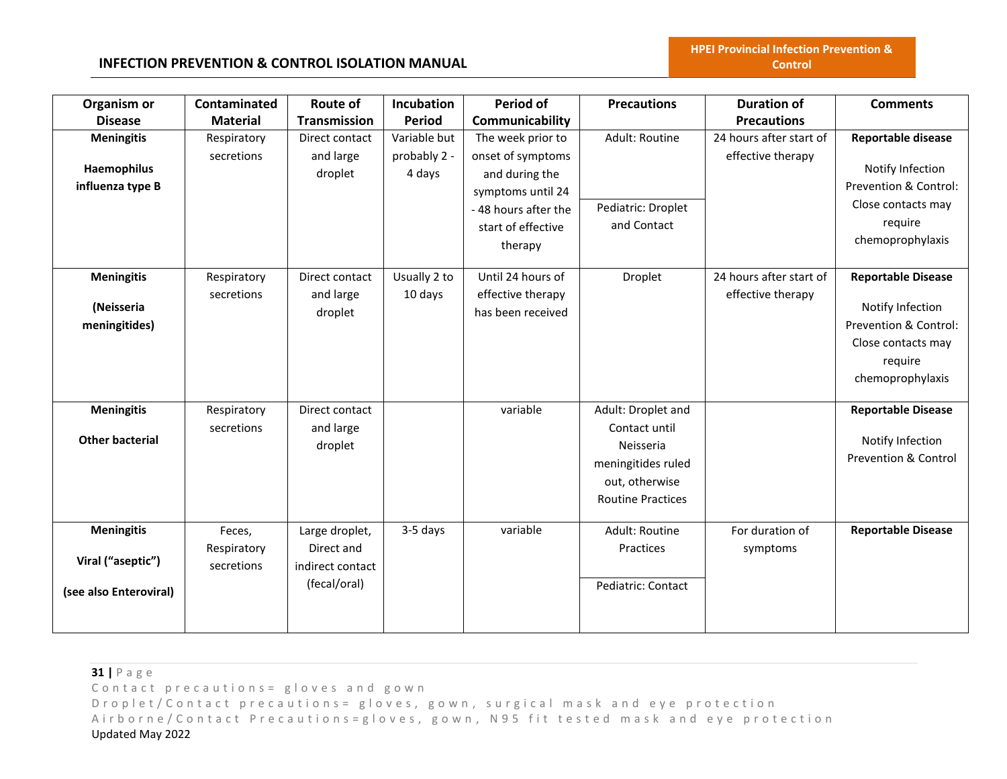# **INFECTION PREVENTION & CONTROL ISOLATION MANUAL**

| Organism or<br><b>Disease</b>                                    | Contaminated<br><b>Material</b>     | <b>Route of</b><br>Transmission                                  | Incubation<br><b>Period</b> | <b>Period of</b><br>Communicability                                                                              | <b>Precautions</b>                                                                                                   | <b>Duration of</b><br><b>Precautions</b>     | <b>Comments</b>                                                                                                             |
|------------------------------------------------------------------|-------------------------------------|------------------------------------------------------------------|-----------------------------|------------------------------------------------------------------------------------------------------------------|----------------------------------------------------------------------------------------------------------------------|----------------------------------------------|-----------------------------------------------------------------------------------------------------------------------------|
| <b>Meningitis</b>                                                | Respiratory                         | Direct contact                                                   | Variable but                | The week prior to                                                                                                | Adult: Routine                                                                                                       | 24 hours after start of                      | Reportable disease                                                                                                          |
| Haemophilus<br>influenza type B                                  | secretions                          | and large<br>droplet                                             | probably 2 -<br>4 days      | onset of symptoms<br>and during the<br>symptoms until 24<br>-48 hours after the<br>start of effective<br>therapy | Pediatric: Droplet<br>and Contact                                                                                    | effective therapy                            | Notify Infection<br>Prevention & Control:<br>Close contacts may<br>require<br>chemoprophylaxis                              |
| <b>Meningitis</b><br>(Neisseria<br>meningitides)                 | Respiratory<br>secretions           | Direct contact<br>and large<br>droplet                           | Usually 2 to<br>10 days     | Until 24 hours of<br>effective therapy<br>has been received                                                      | Droplet                                                                                                              | 24 hours after start of<br>effective therapy | <b>Reportable Disease</b><br>Notify Infection<br>Prevention & Control:<br>Close contacts may<br>require<br>chemoprophylaxis |
| <b>Meningitis</b><br><b>Other bacterial</b>                      | Respiratory<br>secretions           | Direct contact<br>and large<br>droplet                           |                             | variable                                                                                                         | Adult: Droplet and<br>Contact until<br>Neisseria<br>meningitides ruled<br>out, otherwise<br><b>Routine Practices</b> |                                              | <b>Reportable Disease</b><br>Notify Infection<br><b>Prevention &amp; Control</b>                                            |
| <b>Meningitis</b><br>Viral ("aseptic")<br>(see also Enteroviral) | Feces,<br>Respiratory<br>secretions | Large droplet,<br>Direct and<br>indirect contact<br>(fecal/oral) | 3-5 days                    | variable                                                                                                         | Adult: Routine<br>Practices<br>Pediatric: Contact                                                                    | For duration of<br>symptoms                  | <b>Reportable Disease</b>                                                                                                   |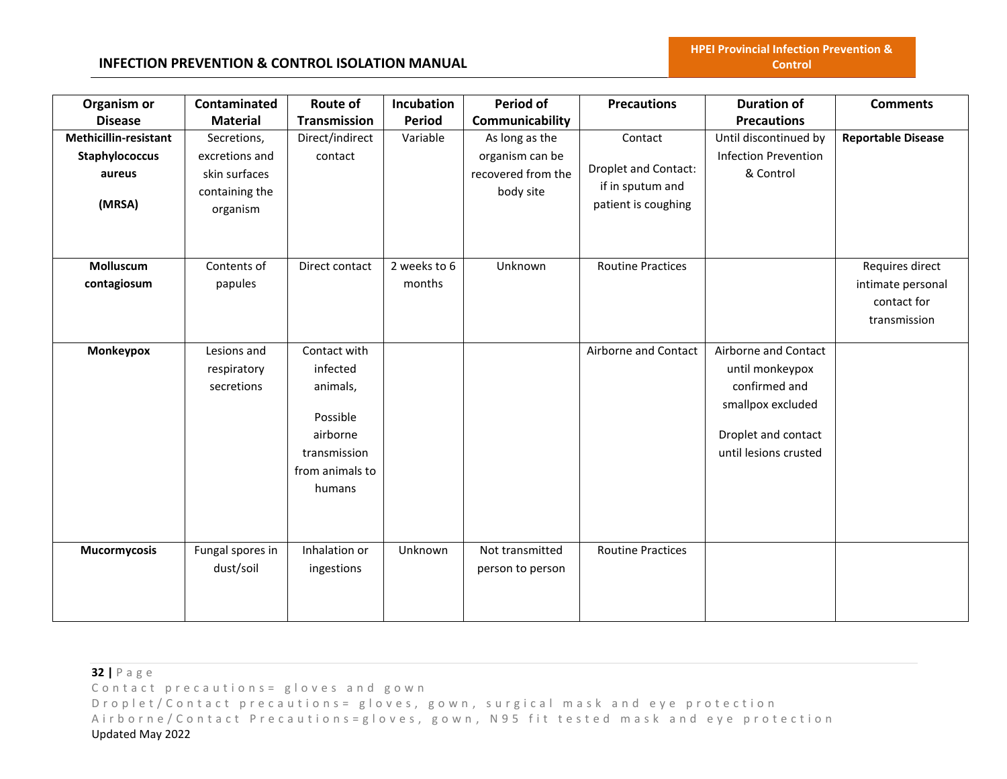| Organism or           | Contaminated     | Route of            | Incubation    | <b>Period of</b>   | <b>Precautions</b>          | <b>Duration of</b>          | <b>Comments</b>           |
|-----------------------|------------------|---------------------|---------------|--------------------|-----------------------------|-----------------------------|---------------------------|
| <b>Disease</b>        | <b>Material</b>  | <b>Transmission</b> | <b>Period</b> | Communicability    |                             | <b>Precautions</b>          |                           |
| Methicillin-resistant | Secretions,      | Direct/indirect     | Variable      | As long as the     | Contact                     | Until discontinued by       | <b>Reportable Disease</b> |
| Staphylococcus        | excretions and   | contact             |               | organism can be    |                             | <b>Infection Prevention</b> |                           |
| aureus                | skin surfaces    |                     |               | recovered from the | <b>Droplet and Contact:</b> | & Control                   |                           |
|                       | containing the   |                     |               | body site          | if in sputum and            |                             |                           |
| (MRSA)                | organism         |                     |               |                    | patient is coughing         |                             |                           |
|                       |                  |                     |               |                    |                             |                             |                           |
|                       |                  |                     |               |                    |                             |                             |                           |
| Molluscum             | Contents of      | Direct contact      | 2 weeks to 6  | Unknown            | <b>Routine Practices</b>    |                             | Requires direct           |
| contagiosum           | papules          |                     | months        |                    |                             |                             | intimate personal         |
|                       |                  |                     |               |                    |                             |                             | contact for               |
|                       |                  |                     |               |                    |                             |                             | transmission              |
| Monkeypox             | Lesions and      | Contact with        |               |                    | Airborne and Contact        | Airborne and Contact        |                           |
|                       | respiratory      | infected            |               |                    |                             | until monkeypox             |                           |
|                       | secretions       | animals,            |               |                    |                             | confirmed and               |                           |
|                       |                  |                     |               |                    |                             | smallpox excluded           |                           |
|                       |                  | Possible            |               |                    |                             |                             |                           |
|                       |                  | airborne            |               |                    |                             | Droplet and contact         |                           |
|                       |                  | transmission        |               |                    |                             | until lesions crusted       |                           |
|                       |                  | from animals to     |               |                    |                             |                             |                           |
|                       |                  | humans              |               |                    |                             |                             |                           |
|                       |                  |                     |               |                    |                             |                             |                           |
|                       |                  |                     |               |                    |                             |                             |                           |
| <b>Mucormycosis</b>   | Fungal spores in | Inhalation or       | Unknown       | Not transmitted    | <b>Routine Practices</b>    |                             |                           |
|                       | dust/soil        | ingestions          |               | person to person   |                             |                             |                           |
|                       |                  |                     |               |                    |                             |                             |                           |
|                       |                  |                     |               |                    |                             |                             |                           |
|                       |                  |                     |               |                    |                             |                             |                           |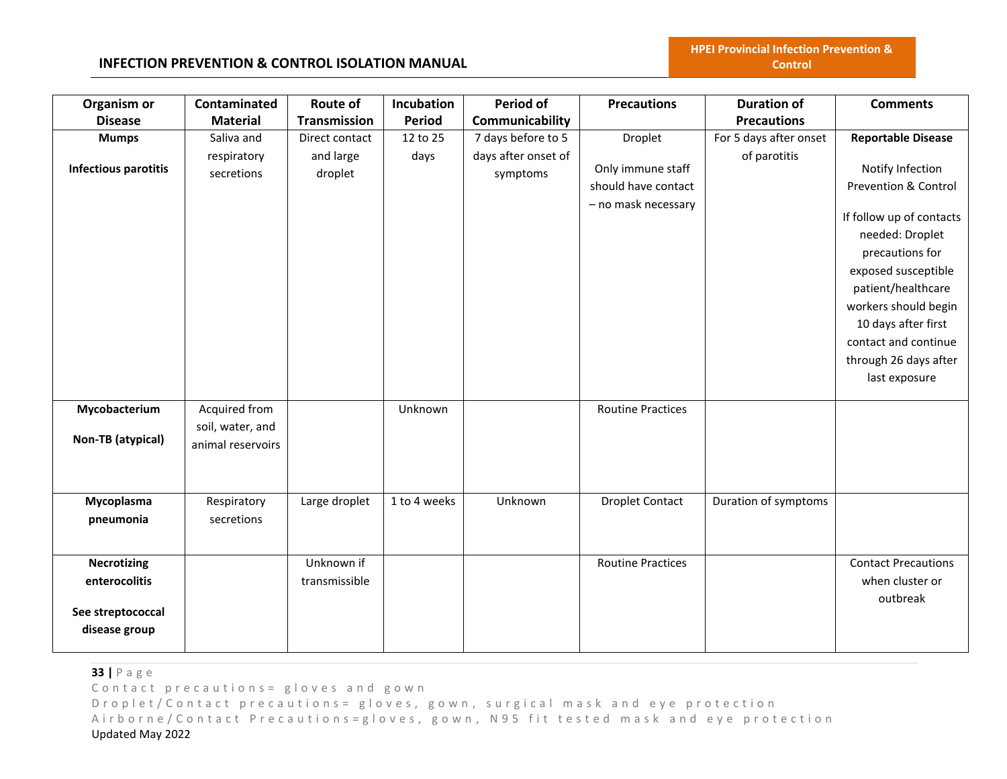### **INFECTION PREVENTION & CONTROL ISOLATION MANUAL**

| Organism or<br><b>Disease</b>                                             | Contaminated<br><b>Material</b>                        | Route of<br>Transmission               | Incubation<br><b>Period</b> | <b>Period of</b><br>Communicability                   | <b>Precautions</b>                                                         | <b>Duration of</b><br><b>Precautions</b> | <b>Comments</b>                                                                                                                                                                                                                                                                                       |
|---------------------------------------------------------------------------|--------------------------------------------------------|----------------------------------------|-----------------------------|-------------------------------------------------------|----------------------------------------------------------------------------|------------------------------------------|-------------------------------------------------------------------------------------------------------------------------------------------------------------------------------------------------------------------------------------------------------------------------------------------------------|
| <b>Mumps</b><br><b>Infectious parotitis</b>                               | Saliva and<br>respiratory<br>secretions                | Direct contact<br>and large<br>droplet | 12 to 25<br>days            | 7 days before to 5<br>days after onset of<br>symptoms | Droplet<br>Only immune staff<br>should have contact<br>- no mask necessary | For 5 days after onset<br>of parotitis   | <b>Reportable Disease</b><br>Notify Infection<br>Prevention & Control<br>If follow up of contacts<br>needed: Droplet<br>precautions for<br>exposed susceptible<br>patient/healthcare<br>workers should begin<br>10 days after first<br>contact and continue<br>through 26 days after<br>last exposure |
| Mycobacterium<br>Non-TB (atypical)                                        | Acquired from<br>soil, water, and<br>animal reservoirs |                                        | Unknown                     |                                                       | <b>Routine Practices</b>                                                   |                                          |                                                                                                                                                                                                                                                                                                       |
| Mycoplasma<br>pneumonia                                                   | Respiratory<br>secretions                              | Large droplet                          | 1 to 4 weeks                | Unknown                                               | <b>Droplet Contact</b>                                                     | Duration of symptoms                     |                                                                                                                                                                                                                                                                                                       |
| <b>Necrotizing</b><br>enterocolitis<br>See streptococcal<br>disease group |                                                        | Unknown if<br>transmissible            |                             |                                                       | <b>Routine Practices</b>                                                   |                                          | <b>Contact Precautions</b><br>when cluster or<br>outbreak                                                                                                                                                                                                                                             |

**33 |** P a g e

Contact precautions = gloves and gown

D r o p l e t / C o n t a c t p r e c a u t i o n s = g l o v e s, g o w n, surgical mask and eye protection Airborne/Contact Precautions=gloves, gown, N95 fit tested mask and eye protection Updated May 2022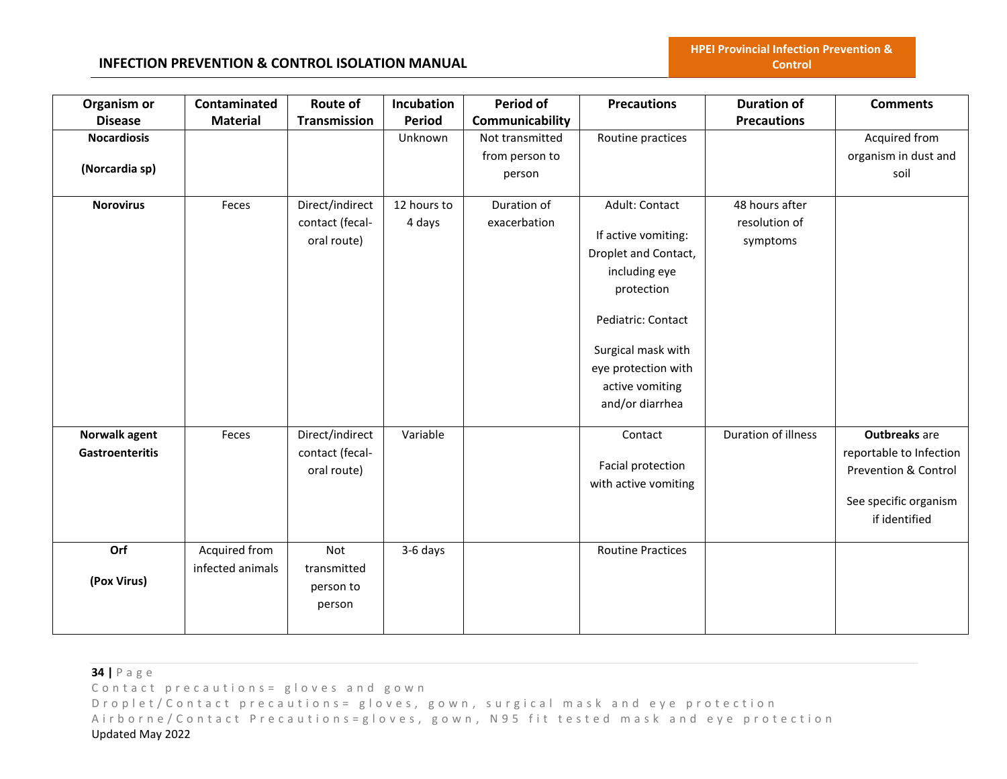**HPEI Provincial Infection Prevention & Control**

| Organism or            | Contaminated     | Route of                       | Incubation    | <b>Period of</b> | <b>Precautions</b>       | <b>Duration of</b>  | <b>Comments</b>                 |
|------------------------|------------------|--------------------------------|---------------|------------------|--------------------------|---------------------|---------------------------------|
| <b>Disease</b>         | <b>Material</b>  | Transmission                   | <b>Period</b> | Communicability  |                          | <b>Precautions</b>  |                                 |
| <b>Nocardiosis</b>     |                  |                                | Unknown       | Not transmitted  | Routine practices        |                     | Acquired from                   |
|                        |                  |                                |               | from person to   |                          |                     | organism in dust and            |
| (Norcardia sp)         |                  |                                |               | person           |                          |                     | soil                            |
| <b>Norovirus</b>       | Feces            | Direct/indirect                | 12 hours to   | Duration of      | Adult: Contact           | 48 hours after      |                                 |
|                        |                  |                                |               |                  |                          | resolution of       |                                 |
|                        |                  | contact (fecal-<br>oral route) | 4 days        | exacerbation     | If active vomiting:      |                     |                                 |
|                        |                  |                                |               |                  | Droplet and Contact,     | symptoms            |                                 |
|                        |                  |                                |               |                  | including eye            |                     |                                 |
|                        |                  |                                |               |                  | protection               |                     |                                 |
|                        |                  |                                |               |                  |                          |                     |                                 |
|                        |                  |                                |               |                  | Pediatric: Contact       |                     |                                 |
|                        |                  |                                |               |                  | Surgical mask with       |                     |                                 |
|                        |                  |                                |               |                  | eye protection with      |                     |                                 |
|                        |                  |                                |               |                  | active vomiting          |                     |                                 |
|                        |                  |                                |               |                  | and/or diarrhea          |                     |                                 |
|                        |                  |                                |               |                  |                          |                     |                                 |
| Norwalk agent          | Feces            | Direct/indirect                | Variable      |                  | Contact                  | Duration of illness | <b>Outbreaks</b> are            |
| <b>Gastroenteritis</b> |                  | contact (fecal-                |               |                  |                          |                     | reportable to Infection         |
|                        |                  | oral route)                    |               |                  | Facial protection        |                     | <b>Prevention &amp; Control</b> |
|                        |                  |                                |               |                  | with active vomiting     |                     |                                 |
|                        |                  |                                |               |                  |                          |                     | See specific organism           |
|                        |                  |                                |               |                  |                          |                     | if identified                   |
| Orf                    | Acquired from    | <b>Not</b>                     | 3-6 days      |                  | <b>Routine Practices</b> |                     |                                 |
|                        | infected animals | transmitted                    |               |                  |                          |                     |                                 |
| (Pox Virus)            |                  | person to                      |               |                  |                          |                     |                                 |
|                        |                  | person                         |               |                  |                          |                     |                                 |
|                        |                  |                                |               |                  |                          |                     |                                 |
|                        |                  |                                |               |                  |                          |                     |                                 |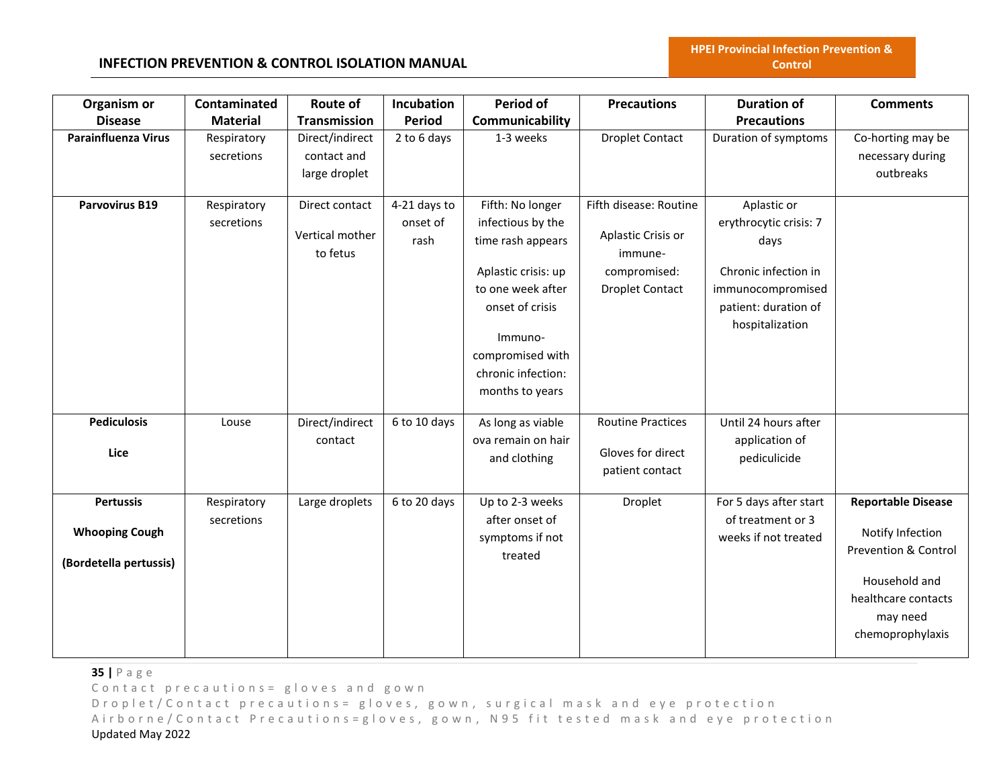| Organism or                | Contaminated    | Route of            | Incubation    | Period of           | <b>Precautions</b>       | <b>Duration of</b>     | <b>Comments</b>           |
|----------------------------|-----------------|---------------------|---------------|---------------------|--------------------------|------------------------|---------------------------|
| <b>Disease</b>             | <b>Material</b> | <b>Transmission</b> | <b>Period</b> | Communicability     |                          | <b>Precautions</b>     |                           |
| <b>Parainfluenza Virus</b> | Respiratory     | Direct/indirect     | 2 to 6 days   | 1-3 weeks           | <b>Droplet Contact</b>   | Duration of symptoms   | Co-horting may be         |
|                            | secretions      | contact and         |               |                     |                          |                        | necessary during          |
|                            |                 | large droplet       |               |                     |                          |                        | outbreaks                 |
|                            |                 |                     |               |                     |                          |                        |                           |
| <b>Parvovirus B19</b>      | Respiratory     | Direct contact      | 4-21 days to  | Fifth: No longer    | Fifth disease: Routine   | Aplastic or            |                           |
|                            | secretions      | Vertical mother     | onset of      | infectious by the   | Aplastic Crisis or       | erythrocytic crisis: 7 |                           |
|                            |                 | to fetus            | rash          | time rash appears   | immune-                  | days                   |                           |
|                            |                 |                     |               | Aplastic crisis: up | compromised:             | Chronic infection in   |                           |
|                            |                 |                     |               | to one week after   | <b>Droplet Contact</b>   | immunocompromised      |                           |
|                            |                 |                     |               | onset of crisis     |                          | patient: duration of   |                           |
|                            |                 |                     |               |                     |                          | hospitalization        |                           |
|                            |                 |                     |               | Immuno-             |                          |                        |                           |
|                            |                 |                     |               | compromised with    |                          |                        |                           |
|                            |                 |                     |               | chronic infection:  |                          |                        |                           |
|                            |                 |                     |               | months to years     |                          |                        |                           |
| <b>Pediculosis</b>         | Louse           | Direct/indirect     | 6 to 10 days  | As long as viable   | <b>Routine Practices</b> | Until 24 hours after   |                           |
|                            |                 | contact             |               | ova remain on hair  |                          | application of         |                           |
| Lice                       |                 |                     |               | and clothing        | Gloves for direct        | pediculicide           |                           |
|                            |                 |                     |               |                     | patient contact          |                        |                           |
| <b>Pertussis</b>           | Respiratory     | Large droplets      | 6 to 20 days  | Up to 2-3 weeks     | Droplet                  | For 5 days after start | <b>Reportable Disease</b> |
|                            | secretions      |                     |               | after onset of      |                          | of treatment or 3      |                           |
| <b>Whooping Cough</b>      |                 |                     |               | symptoms if not     |                          | weeks if not treated   | Notify Infection          |
| (Bordetella pertussis)     |                 |                     |               | treated             |                          |                        | Prevention & Control      |
|                            |                 |                     |               |                     |                          |                        | Household and             |
|                            |                 |                     |               |                     |                          |                        | healthcare contacts       |
|                            |                 |                     |               |                     |                          |                        | may need                  |
|                            |                 |                     |               |                     |                          |                        | chemoprophylaxis          |
|                            |                 |                     |               |                     |                          |                        |                           |

**35 |** P a g e

Contact precautions = gloves and gown

D r o p l e t / C o n t a c t p r e c a u t i o n s = g l o v e s, g o w n, surgical mask and eye protection Airborne/Contact Precautions=gloves, gown, N95 fit tested mask and eye protection Updated May 2022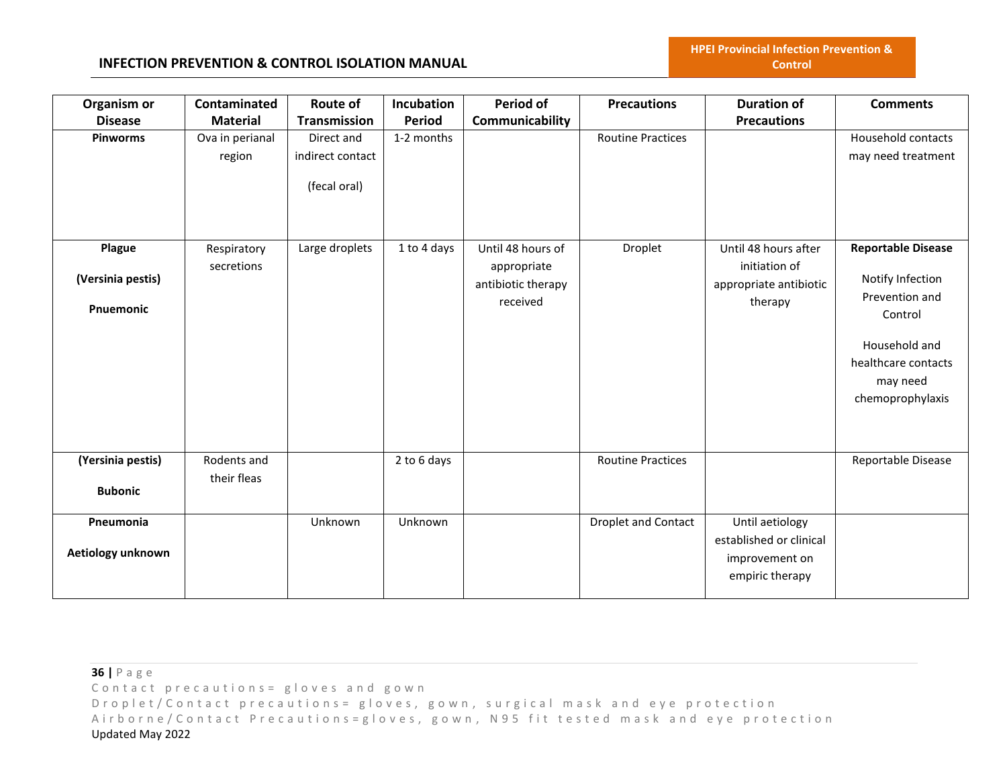#### **INFECTION PREVENTION & CONTROL ISOLATION MANUAL**

| Organism or       | Contaminated              | <b>Route of</b>  | Incubation    | Period of                        | <b>Precautions</b>         | <b>Duration of</b>                    | <b>Comments</b>           |
|-------------------|---------------------------|------------------|---------------|----------------------------------|----------------------------|---------------------------------------|---------------------------|
| <b>Disease</b>    | <b>Material</b>           | Transmission     | <b>Period</b> | Communicability                  |                            | <b>Precautions</b>                    |                           |
| <b>Pinworms</b>   | Ova in perianal           | Direct and       | 1-2 months    |                                  | <b>Routine Practices</b>   |                                       | Household contacts        |
|                   | region                    | indirect contact |               |                                  |                            |                                       | may need treatment        |
|                   |                           | (fecal oral)     |               |                                  |                            |                                       |                           |
| Plague            | Respiratory<br>secretions | Large droplets   | 1 to 4 days   | Until 48 hours of<br>appropriate | Droplet                    | Until 48 hours after<br>initiation of | <b>Reportable Disease</b> |
| (Versinia pestis) |                           |                  |               | antibiotic therapy               |                            | appropriate antibiotic                | Notify Infection          |
|                   |                           |                  |               | received                         |                            | therapy                               | Prevention and            |
| Pnuemonic         |                           |                  |               |                                  |                            |                                       | Control                   |
|                   |                           |                  |               |                                  |                            |                                       | Household and             |
|                   |                           |                  |               |                                  |                            |                                       | healthcare contacts       |
|                   |                           |                  |               |                                  |                            |                                       | may need                  |
|                   |                           |                  |               |                                  |                            |                                       | chemoprophylaxis          |
|                   |                           |                  |               |                                  |                            |                                       |                           |
| (Yersinia pestis) | Rodents and               |                  | 2 to 6 days   |                                  | <b>Routine Practices</b>   |                                       | Reportable Disease        |
| <b>Bubonic</b>    | their fleas               |                  |               |                                  |                            |                                       |                           |
| Pneumonia         |                           | Unknown          | Unknown       |                                  | <b>Droplet and Contact</b> | Until aetiology                       |                           |
|                   |                           |                  |               |                                  |                            | established or clinical               |                           |
| Aetiology unknown |                           |                  |               |                                  |                            | improvement on                        |                           |
|                   |                           |                  |               |                                  |                            | empiric therapy                       |                           |
|                   |                           |                  |               |                                  |                            |                                       |                           |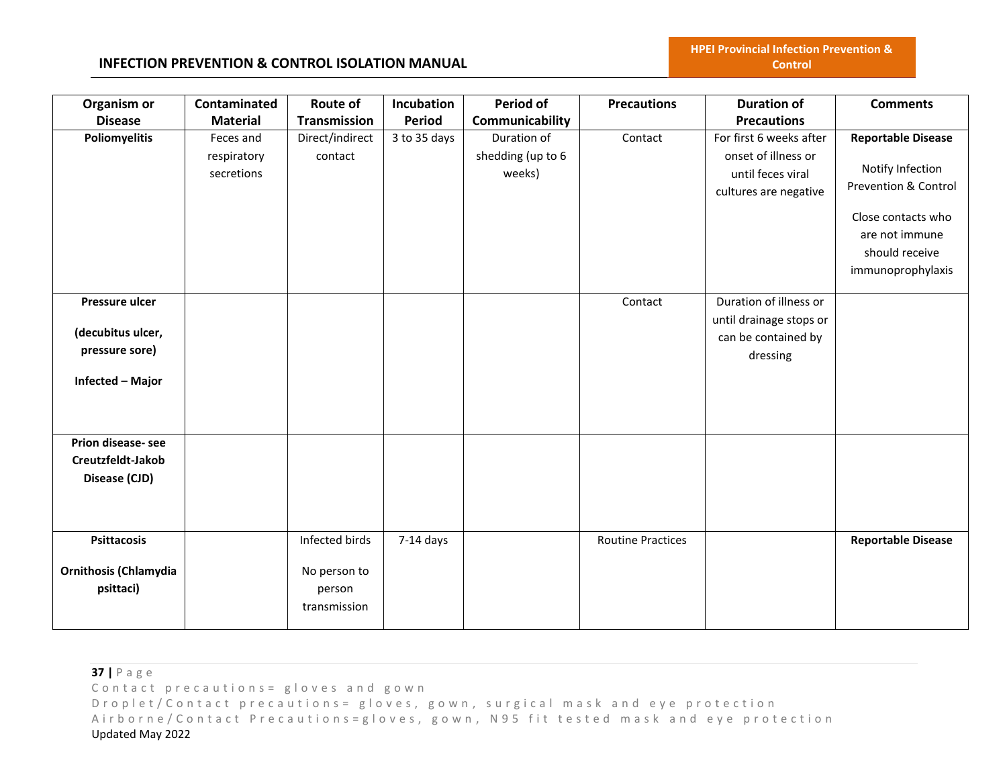### **INFECTION PREVENTION & CONTROL ISOLATION MANUAL**

| Organism or<br><b>Disease</b>                                             | Contaminated<br><b>Material</b>        | Route of<br><b>Transmission</b>                          | Incubation<br><b>Period</b> | <b>Period of</b>                                              | <b>Precautions</b>       | <b>Duration of</b><br><b>Precautions</b>                                                     | <b>Comments</b>                                                                                                                                      |
|---------------------------------------------------------------------------|----------------------------------------|----------------------------------------------------------|-----------------------------|---------------------------------------------------------------|--------------------------|----------------------------------------------------------------------------------------------|------------------------------------------------------------------------------------------------------------------------------------------------------|
| <b>Poliomyelitis</b>                                                      | Feces and<br>respiratory<br>secretions | Direct/indirect<br>contact                               | 3 to 35 days                | Communicability<br>Duration of<br>shedding (up to 6<br>weeks) | Contact                  | For first 6 weeks after<br>onset of illness or<br>until feces viral<br>cultures are negative | <b>Reportable Disease</b><br>Notify Infection<br>Prevention & Control<br>Close contacts who<br>are not immune<br>should receive<br>immunoprophylaxis |
| Pressure ulcer<br>(decubitus ulcer,<br>pressure sore)<br>Infected - Major |                                        |                                                          |                             |                                                               | Contact                  | Duration of illness or<br>until drainage stops or<br>can be contained by<br>dressing         |                                                                                                                                                      |
| Prion disease-see<br>Creutzfeldt-Jakob<br>Disease (CJD)                   |                                        |                                                          |                             |                                                               |                          |                                                                                              |                                                                                                                                                      |
| <b>Psittacosis</b><br><b>Ornithosis (Chlamydia</b><br>psittaci)           |                                        | Infected birds<br>No person to<br>person<br>transmission | $7-14$ days                 |                                                               | <b>Routine Practices</b> |                                                                                              | <b>Reportable Disease</b>                                                                                                                            |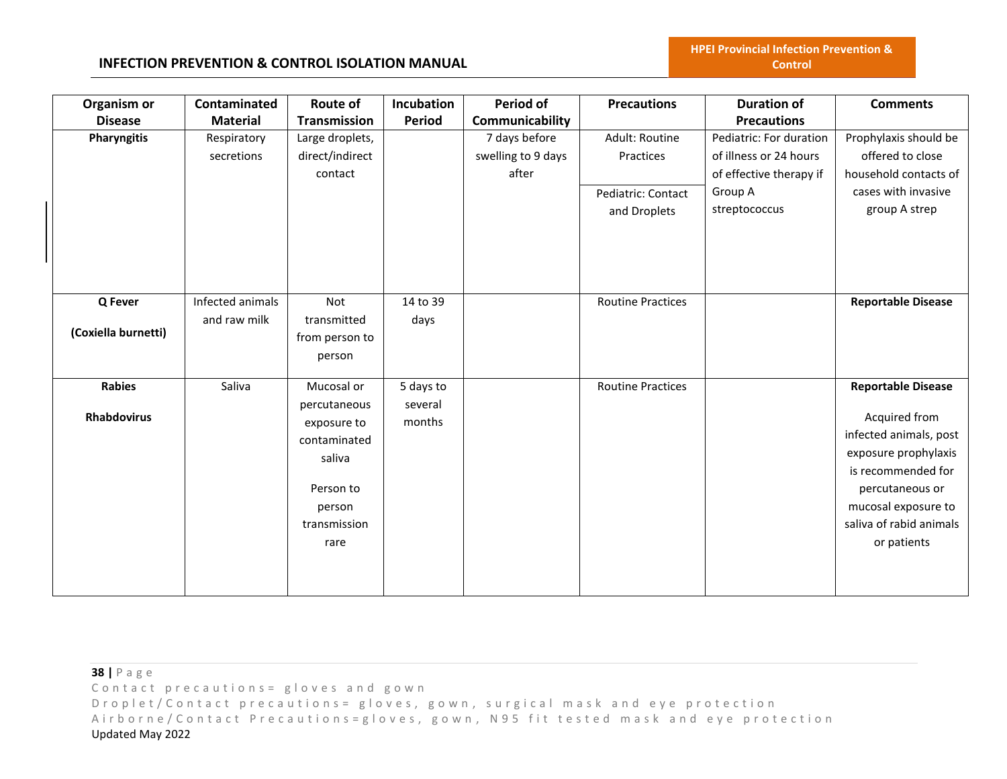| Organism or         | Contaminated     | <b>Route of</b> | Incubation | <b>Period of</b>   | <b>Precautions</b>       | <b>Duration of</b>      | <b>Comments</b>           |
|---------------------|------------------|-----------------|------------|--------------------|--------------------------|-------------------------|---------------------------|
| <b>Disease</b>      | <b>Material</b>  | Transmission    | Period     | Communicability    |                          | <b>Precautions</b>      |                           |
| Pharyngitis         | Respiratory      | Large droplets, |            | 7 days before      | Adult: Routine           | Pediatric: For duration | Prophylaxis should be     |
|                     | secretions       | direct/indirect |            | swelling to 9 days | Practices                | of illness or 24 hours  | offered to close          |
|                     |                  | contact         |            | after              |                          | of effective therapy if | household contacts of     |
|                     |                  |                 |            |                    | Pediatric: Contact       | Group A                 | cases with invasive       |
|                     |                  |                 |            |                    | and Droplets             | streptococcus           | group A strep             |
|                     |                  |                 |            |                    |                          |                         |                           |
|                     |                  |                 |            |                    |                          |                         |                           |
|                     |                  |                 |            |                    |                          |                         |                           |
|                     |                  |                 |            |                    |                          |                         |                           |
| Q Fever             | Infected animals | Not             | 14 to 39   |                    | <b>Routine Practices</b> |                         | <b>Reportable Disease</b> |
|                     | and raw milk     | transmitted     | days       |                    |                          |                         |                           |
| (Coxiella burnetti) |                  | from person to  |            |                    |                          |                         |                           |
|                     |                  | person          |            |                    |                          |                         |                           |
|                     |                  |                 |            |                    |                          |                         |                           |
| <b>Rabies</b>       | Saliva           | Mucosal or      | 5 days to  |                    | <b>Routine Practices</b> |                         | <b>Reportable Disease</b> |
|                     |                  | percutaneous    | several    |                    |                          |                         |                           |
| <b>Rhabdovirus</b>  |                  | exposure to     | months     |                    |                          |                         | Acquired from             |
|                     |                  | contaminated    |            |                    |                          |                         | infected animals, post    |
|                     |                  | saliva          |            |                    |                          |                         | exposure prophylaxis      |
|                     |                  |                 |            |                    |                          |                         | is recommended for        |
|                     |                  | Person to       |            |                    |                          |                         | percutaneous or           |
|                     |                  | person          |            |                    |                          |                         | mucosal exposure to       |
|                     |                  | transmission    |            |                    |                          |                         | saliva of rabid animals   |
|                     |                  | rare            |            |                    |                          |                         | or patients               |
|                     |                  |                 |            |                    |                          |                         |                           |
|                     |                  |                 |            |                    |                          |                         |                           |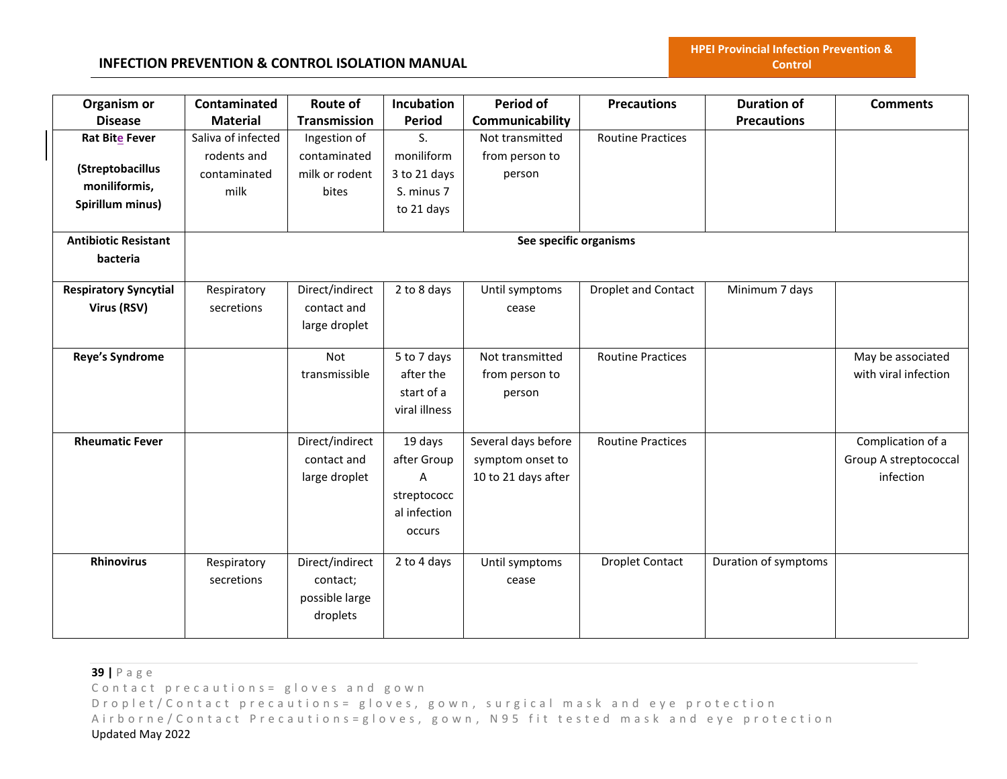# **INFECTION PREVENTION & CONTROL ISOLATION MANUAL**

| Organism or                  | Contaminated       | Route of            | <b>Incubation</b> | <b>Period of</b>       | <b>Precautions</b>       | <b>Duration of</b>   | <b>Comments</b>       |
|------------------------------|--------------------|---------------------|-------------------|------------------------|--------------------------|----------------------|-----------------------|
| <b>Disease</b>               | <b>Material</b>    | <b>Transmission</b> | <b>Period</b>     | Communicability        |                          | <b>Precautions</b>   |                       |
| Rat Bite Fever               | Saliva of infected | Ingestion of        | S.                | Not transmitted        | <b>Routine Practices</b> |                      |                       |
|                              | rodents and        | contaminated        | moniliform        | from person to         |                          |                      |                       |
| (Streptobacillus             | contaminated       | milk or rodent      | 3 to 21 days      | person                 |                          |                      |                       |
| moniliformis,                | milk               | bites               | S. minus 7        |                        |                          |                      |                       |
| Spirillum minus)             |                    |                     | to 21 days        |                        |                          |                      |                       |
|                              |                    |                     |                   |                        |                          |                      |                       |
| <b>Antibiotic Resistant</b>  |                    |                     |                   | See specific organisms |                          |                      |                       |
| bacteria                     |                    |                     |                   |                        |                          |                      |                       |
|                              |                    |                     |                   |                        |                          |                      |                       |
| <b>Respiratory Syncytial</b> | Respiratory        | Direct/indirect     | 2 to 8 days       | Until symptoms         | Droplet and Contact      | Minimum 7 days       |                       |
| Virus (RSV)                  | secretions         | contact and         |                   | cease                  |                          |                      |                       |
|                              |                    | large droplet       |                   |                        |                          |                      |                       |
|                              |                    |                     |                   |                        |                          |                      |                       |
| <b>Reye's Syndrome</b>       |                    | Not                 | 5 to 7 days       | Not transmitted        | <b>Routine Practices</b> |                      | May be associated     |
|                              |                    | transmissible       | after the         | from person to         |                          |                      | with viral infection  |
|                              |                    |                     | start of a        | person                 |                          |                      |                       |
|                              |                    |                     | viral illness     |                        |                          |                      |                       |
| <b>Rheumatic Fever</b>       |                    | Direct/indirect     | 19 days           | Several days before    | <b>Routine Practices</b> |                      | Complication of a     |
|                              |                    | contact and         | after Group       | symptom onset to       |                          |                      | Group A streptococcal |
|                              |                    | large droplet       | Α                 | 10 to 21 days after    |                          |                      | infection             |
|                              |                    |                     | streptococc       |                        |                          |                      |                       |
|                              |                    |                     | al infection      |                        |                          |                      |                       |
|                              |                    |                     | occurs            |                        |                          |                      |                       |
|                              |                    |                     |                   |                        |                          |                      |                       |
| <b>Rhinovirus</b>            | Respiratory        | Direct/indirect     | 2 to 4 days       | Until symptoms         | <b>Droplet Contact</b>   | Duration of symptoms |                       |
|                              | secretions         | contact;            |                   | cease                  |                          |                      |                       |
|                              |                    | possible large      |                   |                        |                          |                      |                       |
|                              |                    | droplets            |                   |                        |                          |                      |                       |
|                              |                    |                     |                   |                        |                          |                      |                       |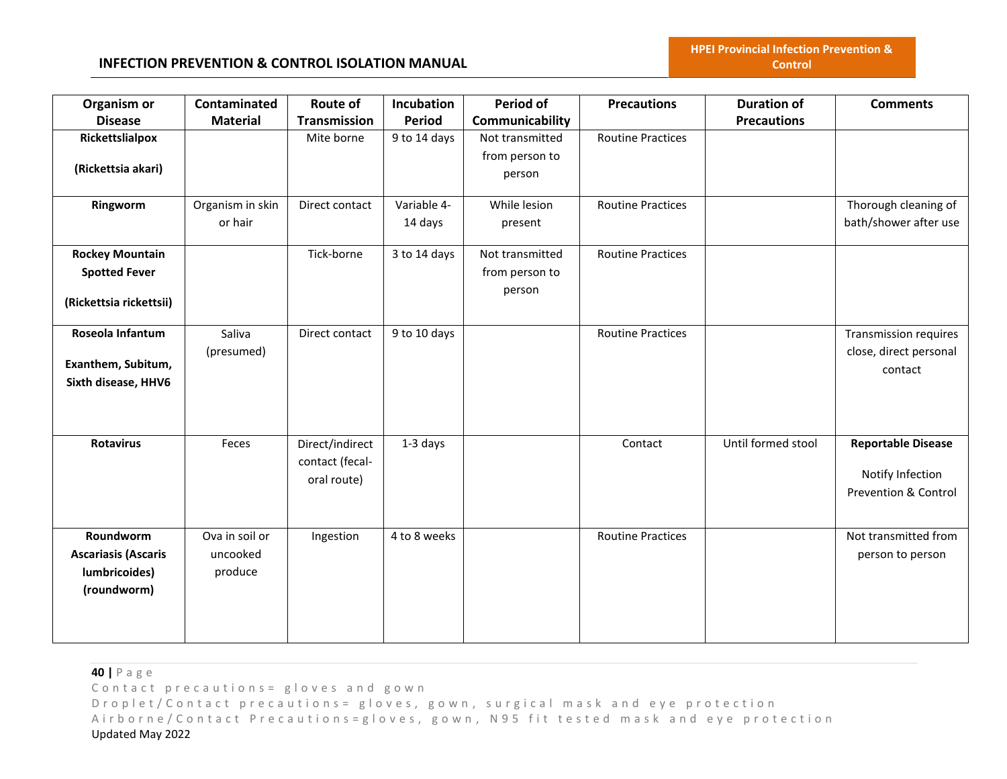| Organism or<br><b>Disease</b>                                             | Contaminated<br><b>Material</b>       | Route of<br><b>Transmission</b>                   | <b>Incubation</b><br>Period | <b>Period of</b><br>Communicability         | <b>Precautions</b>       | <b>Duration of</b><br><b>Precautions</b> | <b>Comments</b>                                                                  |
|---------------------------------------------------------------------------|---------------------------------------|---------------------------------------------------|-----------------------------|---------------------------------------------|--------------------------|------------------------------------------|----------------------------------------------------------------------------------|
| Rickettslialpox<br>(Rickettsia akari)                                     |                                       | Mite borne                                        | 9 to 14 days                | Not transmitted<br>from person to<br>person | <b>Routine Practices</b> |                                          |                                                                                  |
| Ringworm                                                                  | Organism in skin<br>or hair           | Direct contact                                    | Variable 4-<br>14 days      | While lesion<br>present                     | <b>Routine Practices</b> |                                          | Thorough cleaning of<br>bath/shower after use                                    |
| <b>Rockey Mountain</b><br><b>Spotted Fever</b><br>(Rickettsia rickettsii) |                                       | Tick-borne                                        | 3 to 14 days                | Not transmitted<br>from person to<br>person | <b>Routine Practices</b> |                                          |                                                                                  |
| Roseola Infantum<br>Exanthem, Subitum,<br>Sixth disease, HHV6             | Saliva<br>(presumed)                  | Direct contact                                    | 9 to 10 days                |                                             | <b>Routine Practices</b> |                                          | <b>Transmission requires</b><br>close, direct personal<br>contact                |
| <b>Rotavirus</b>                                                          | Feces                                 | Direct/indirect<br>contact (fecal-<br>oral route) | 1-3 days                    |                                             | Contact                  | Until formed stool                       | <b>Reportable Disease</b><br>Notify Infection<br><b>Prevention &amp; Control</b> |
| Roundworm<br><b>Ascariasis (Ascaris</b><br>lumbricoides)<br>(roundworm)   | Ova in soil or<br>uncooked<br>produce | Ingestion                                         | 4 to 8 weeks                |                                             | <b>Routine Practices</b> |                                          | Not transmitted from<br>person to person                                         |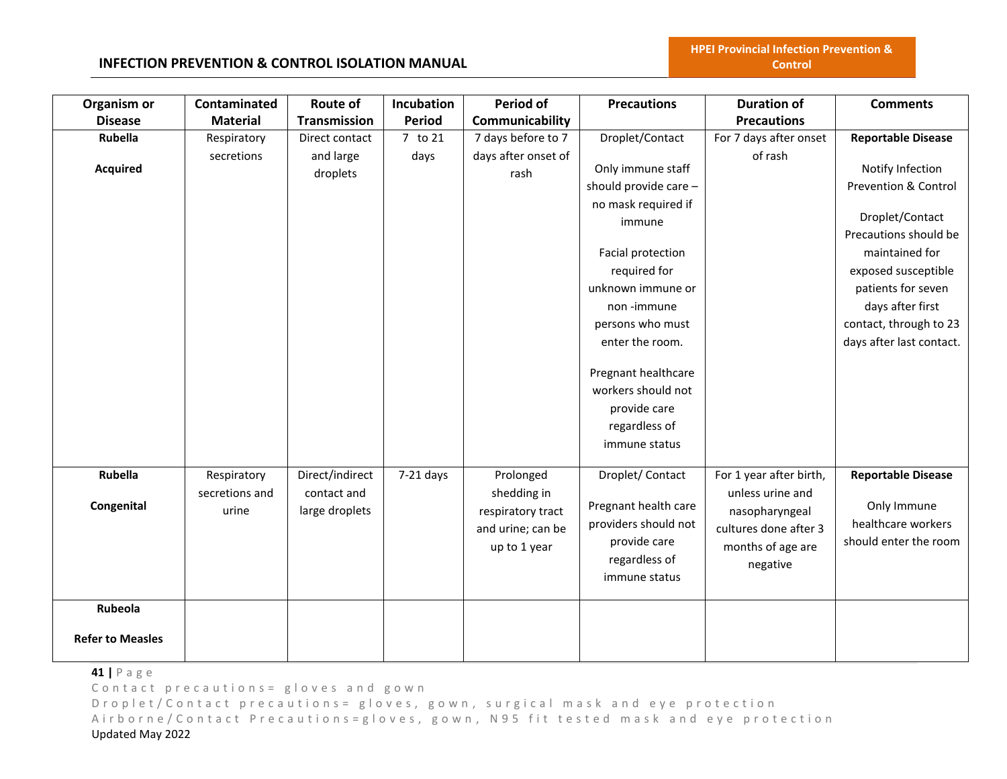### **INFECTION PREVENTION & CONTROL ISOLATION MANUAL**

| Organism or             | Contaminated    | <b>Route of</b>     | Incubation    | <b>Period of</b>    | <b>Precautions</b>    | <b>Duration of</b>      | <b>Comments</b>                 |
|-------------------------|-----------------|---------------------|---------------|---------------------|-----------------------|-------------------------|---------------------------------|
| <b>Disease</b>          | <b>Material</b> | <b>Transmission</b> | <b>Period</b> | Communicability     |                       | <b>Precautions</b>      |                                 |
| Rubella                 | Respiratory     | Direct contact      | 7 to 21       | 7 days before to 7  | Droplet/Contact       | For 7 days after onset  | <b>Reportable Disease</b>       |
|                         | secretions      | and large           | days          | days after onset of |                       | of rash                 |                                 |
| <b>Acquired</b>         |                 | droplets            |               | rash                | Only immune staff     |                         | Notify Infection                |
|                         |                 |                     |               |                     | should provide care - |                         | <b>Prevention &amp; Control</b> |
|                         |                 |                     |               |                     | no mask required if   |                         | Droplet/Contact                 |
|                         |                 |                     |               |                     | immune                |                         | Precautions should be           |
|                         |                 |                     |               |                     |                       |                         |                                 |
|                         |                 |                     |               |                     | Facial protection     |                         | maintained for                  |
|                         |                 |                     |               |                     | required for          |                         | exposed susceptible             |
|                         |                 |                     |               |                     | unknown immune or     |                         | patients for seven              |
|                         |                 |                     |               |                     | non -immune           |                         | days after first                |
|                         |                 |                     |               |                     | persons who must      |                         | contact, through to 23          |
|                         |                 |                     |               |                     | enter the room.       |                         | days after last contact.        |
|                         |                 |                     |               |                     | Pregnant healthcare   |                         |                                 |
|                         |                 |                     |               |                     | workers should not    |                         |                                 |
|                         |                 |                     |               |                     | provide care          |                         |                                 |
|                         |                 |                     |               |                     | regardless of         |                         |                                 |
|                         |                 |                     |               |                     | immune status         |                         |                                 |
|                         |                 |                     |               |                     |                       |                         |                                 |
| Rubella                 | Respiratory     | Direct/indirect     | $7-21$ days   | Prolonged           | Droplet/Contact       | For 1 year after birth, | <b>Reportable Disease</b>       |
|                         | secretions and  | contact and         |               | shedding in         |                       | unless urine and        |                                 |
| Congenital              | urine           | large droplets      |               | respiratory tract   | Pregnant health care  | nasopharyngeal          | Only Immune                     |
|                         |                 |                     |               | and urine; can be   | providers should not  | cultures done after 3   | healthcare workers              |
|                         |                 |                     |               | up to 1 year        | provide care          | months of age are       | should enter the room           |
|                         |                 |                     |               |                     | regardless of         | negative                |                                 |
|                         |                 |                     |               |                     | immune status         |                         |                                 |
| Rubeola                 |                 |                     |               |                     |                       |                         |                                 |
| <b>Refer to Measles</b> |                 |                     |               |                     |                       |                         |                                 |

**41 |** P a g e

Contact precautions = gloves and gown

D r o p l e t / C o n t a c t p r e c a u t i o n s = g l o v e s, g o w n, surgical mask and eye protection Airborne/Contact Precautions=gloves, gown, N95 fit tested mask and eye protection Updated May 2022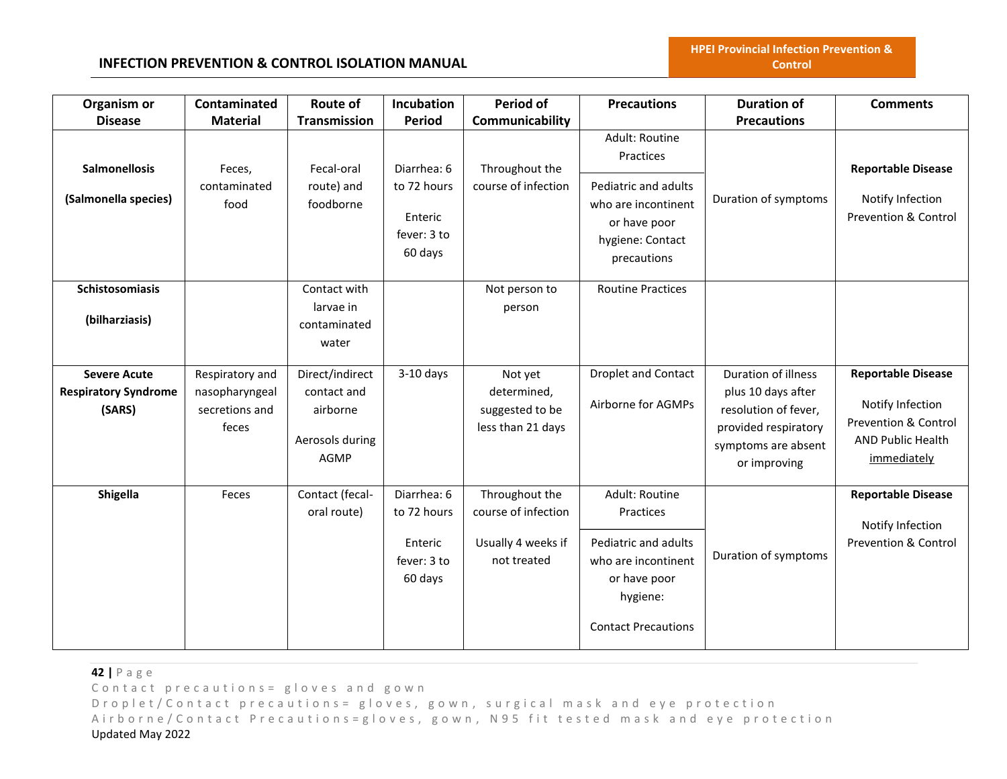## **INFECTION PREVENTION & CONTROL ISOLATION MANUAL**

| Organism or                                                  | Contaminated                                                 | Route of                                                              | Incubation                                                      | <b>Period of</b>                                                           | <b>Precautions</b>                                                                                                                   | <b>Duration of</b>                                                                                                               | <b>Comments</b>                                                                                                             |
|--------------------------------------------------------------|--------------------------------------------------------------|-----------------------------------------------------------------------|-----------------------------------------------------------------|----------------------------------------------------------------------------|--------------------------------------------------------------------------------------------------------------------------------------|----------------------------------------------------------------------------------------------------------------------------------|-----------------------------------------------------------------------------------------------------------------------------|
| <b>Disease</b>                                               | <b>Material</b>                                              | <b>Transmission</b>                                                   | <b>Period</b>                                                   | Communicability                                                            |                                                                                                                                      | <b>Precautions</b>                                                                                                               |                                                                                                                             |
| <b>Salmonellosis</b>                                         | Feces,                                                       | Fecal-oral                                                            | Diarrhea: 6                                                     | Throughout the                                                             | Adult: Routine<br>Practices                                                                                                          |                                                                                                                                  | <b>Reportable Disease</b>                                                                                                   |
| (Salmonella species)                                         | contaminated<br>food                                         | route) and<br>foodborne                                               | to 72 hours<br>Enteric<br>fever: 3 to<br>60 days                | course of infection                                                        | Pediatric and adults<br>who are incontinent<br>or have poor<br>hygiene: Contact<br>precautions                                       | Duration of symptoms                                                                                                             | Notify Infection<br>Prevention & Control                                                                                    |
| Schistosomiasis<br>(bilharziasis)                            |                                                              | Contact with<br>larvae in<br>contaminated<br>water                    |                                                                 | Not person to<br>person                                                    | <b>Routine Practices</b>                                                                                                             |                                                                                                                                  |                                                                                                                             |
| <b>Severe Acute</b><br><b>Respiratory Syndrome</b><br>(SARS) | Respiratory and<br>nasopharyngeal<br>secretions and<br>feces | Direct/indirect<br>contact and<br>airborne<br>Aerosols during<br>AGMP | $3-10$ days                                                     | Not yet<br>determined,<br>suggested to be<br>less than 21 days             | <b>Droplet and Contact</b><br>Airborne for AGMPs                                                                                     | Duration of illness<br>plus 10 days after<br>resolution of fever,<br>provided respiratory<br>symptoms are absent<br>or improving | <b>Reportable Disease</b><br>Notify Infection<br><b>Prevention &amp; Control</b><br><b>AND Public Health</b><br>immediately |
| <b>Shigella</b>                                              | Feces                                                        | Contact (fecal-<br>oral route)                                        | Diarrhea: 6<br>to 72 hours<br>Enteric<br>fever: 3 to<br>60 days | Throughout the<br>course of infection<br>Usually 4 weeks if<br>not treated | Adult: Routine<br>Practices<br>Pediatric and adults<br>who are incontinent<br>or have poor<br>hygiene:<br><b>Contact Precautions</b> | Duration of symptoms                                                                                                             | <b>Reportable Disease</b><br>Notify Infection<br><b>Prevention &amp; Control</b>                                            |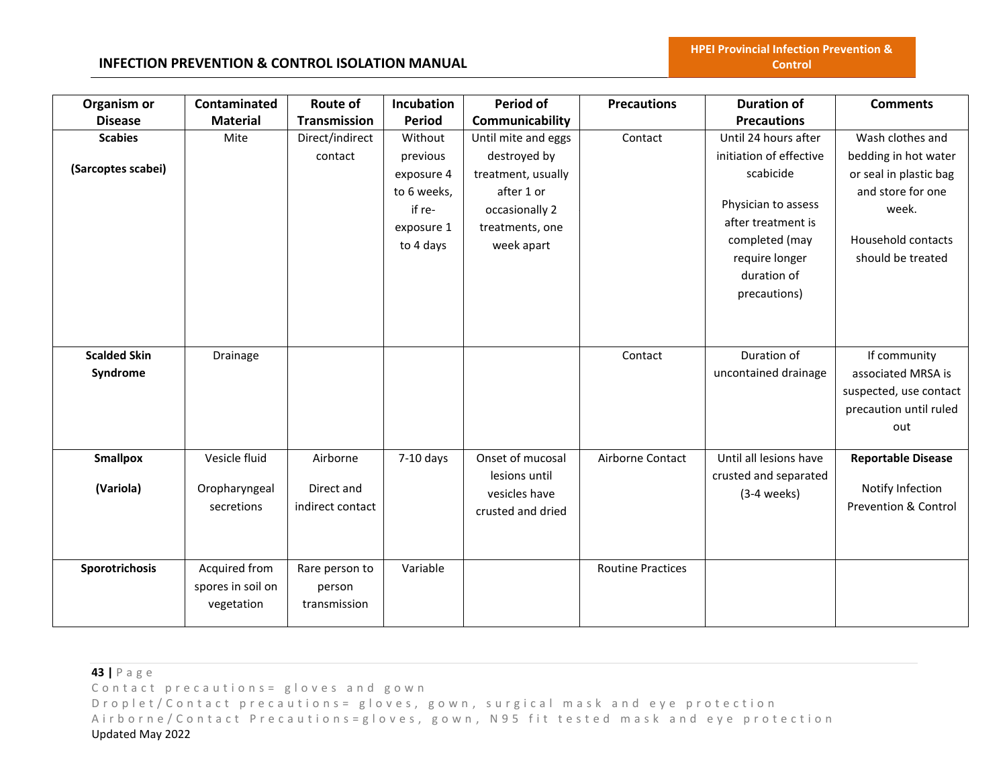#### **INFECTION PREVENTION & CONTROL ISOLATION MANUAL**

| Organism or         | Contaminated      | <b>Route of</b>  | Incubation    | <b>Period of</b>    | <b>Precautions</b>       | <b>Duration of</b>      | <b>Comments</b>           |
|---------------------|-------------------|------------------|---------------|---------------------|--------------------------|-------------------------|---------------------------|
| <b>Disease</b>      | <b>Material</b>   | Transmission     | <b>Period</b> | Communicability     |                          | <b>Precautions</b>      |                           |
| <b>Scabies</b>      | Mite              | Direct/indirect  | Without       | Until mite and eggs | Contact                  | Until 24 hours after    | Wash clothes and          |
|                     |                   | contact          | previous      | destroyed by        |                          | initiation of effective | bedding in hot water      |
| (Sarcoptes scabei)  |                   |                  | exposure 4    | treatment, usually  |                          | scabicide               | or seal in plastic bag    |
|                     |                   |                  | to 6 weeks,   | after 1 or          |                          |                         | and store for one         |
|                     |                   |                  | if re-        | occasionally 2      |                          | Physician to assess     | week.                     |
|                     |                   |                  | exposure 1    | treatments, one     |                          | after treatment is      |                           |
|                     |                   |                  | to 4 days     | week apart          |                          | completed (may          | Household contacts        |
|                     |                   |                  |               |                     |                          | require longer          | should be treated         |
|                     |                   |                  |               |                     |                          | duration of             |                           |
|                     |                   |                  |               |                     |                          | precautions)            |                           |
|                     |                   |                  |               |                     |                          |                         |                           |
|                     |                   |                  |               |                     |                          |                         |                           |
|                     |                   |                  |               |                     |                          |                         |                           |
| <b>Scalded Skin</b> | Drainage          |                  |               |                     | Contact                  | Duration of             | If community              |
| Syndrome            |                   |                  |               |                     |                          | uncontained drainage    | associated MRSA is        |
|                     |                   |                  |               |                     |                          |                         | suspected, use contact    |
|                     |                   |                  |               |                     |                          |                         | precaution until ruled    |
|                     |                   |                  |               |                     |                          |                         | out                       |
|                     |                   |                  |               |                     |                          |                         |                           |
| <b>Smallpox</b>     | Vesicle fluid     | Airborne         | $7-10$ days   | Onset of mucosal    | Airborne Contact         | Until all lesions have  | <b>Reportable Disease</b> |
|                     |                   |                  |               | lesions until       |                          | crusted and separated   |                           |
| (Variola)           | Oropharyngeal     | Direct and       |               | vesicles have       |                          | $(3-4$ weeks)           | Notify Infection          |
|                     | secretions        | indirect contact |               | crusted and dried   |                          |                         | Prevention & Control      |
|                     |                   |                  |               |                     |                          |                         |                           |
|                     |                   |                  |               |                     |                          |                         |                           |
| Sporotrichosis      | Acquired from     | Rare person to   | Variable      |                     | <b>Routine Practices</b> |                         |                           |
|                     |                   |                  |               |                     |                          |                         |                           |
|                     | spores in soil on | person           |               |                     |                          |                         |                           |
|                     | vegetation        | transmission     |               |                     |                          |                         |                           |
|                     |                   |                  |               |                     |                          |                         |                           |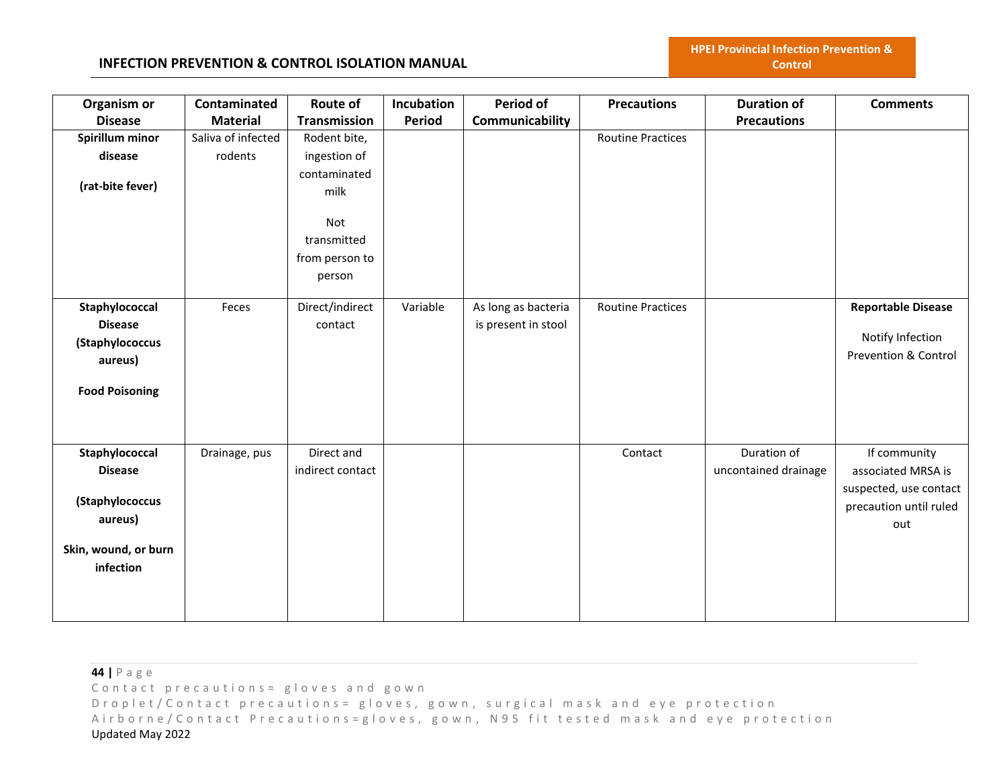#### **INFECTION PREVENTION & CONTROL ISOLATION MANUAL**

| Organism or           | Contaminated       | Route of            | Incubation    | Period of           | <b>Precautions</b>       | <b>Duration of</b>   | <b>Comments</b>                 |
|-----------------------|--------------------|---------------------|---------------|---------------------|--------------------------|----------------------|---------------------------------|
| <b>Disease</b>        | <b>Material</b>    | <b>Transmission</b> | <b>Period</b> | Communicability     |                          | <b>Precautions</b>   |                                 |
| Spirillum minor       | Saliva of infected | Rodent bite,        |               |                     | <b>Routine Practices</b> |                      |                                 |
| disease               | rodents            | ingestion of        |               |                     |                          |                      |                                 |
|                       |                    | contaminated        |               |                     |                          |                      |                                 |
| (rat-bite fever)      |                    | milk                |               |                     |                          |                      |                                 |
|                       |                    |                     |               |                     |                          |                      |                                 |
|                       |                    | Not                 |               |                     |                          |                      |                                 |
|                       |                    | transmitted         |               |                     |                          |                      |                                 |
|                       |                    | from person to      |               |                     |                          |                      |                                 |
|                       |                    | person              |               |                     |                          |                      |                                 |
| Staphylococcal        | Feces              | Direct/indirect     | Variable      | As long as bacteria | <b>Routine Practices</b> |                      | <b>Reportable Disease</b>       |
| <b>Disease</b>        |                    | contact             |               | is present in stool |                          |                      |                                 |
| (Staphylococcus       |                    |                     |               |                     |                          |                      | Notify Infection                |
| aureus)               |                    |                     |               |                     |                          |                      | <b>Prevention &amp; Control</b> |
|                       |                    |                     |               |                     |                          |                      |                                 |
| <b>Food Poisoning</b> |                    |                     |               |                     |                          |                      |                                 |
|                       |                    |                     |               |                     |                          |                      |                                 |
|                       |                    |                     |               |                     |                          |                      |                                 |
| Staphylococcal        | Drainage, pus      | Direct and          |               |                     | Contact                  | Duration of          | If community                    |
| <b>Disease</b>        |                    | indirect contact    |               |                     |                          | uncontained drainage | associated MRSA is              |
|                       |                    |                     |               |                     |                          |                      | suspected, use contact          |
| (Staphylococcus       |                    |                     |               |                     |                          |                      | precaution until ruled          |
| aureus)               |                    |                     |               |                     |                          |                      | out                             |
|                       |                    |                     |               |                     |                          |                      |                                 |
| Skin, wound, or burn  |                    |                     |               |                     |                          |                      |                                 |
| infection             |                    |                     |               |                     |                          |                      |                                 |
|                       |                    |                     |               |                     |                          |                      |                                 |
|                       |                    |                     |               |                     |                          |                      |                                 |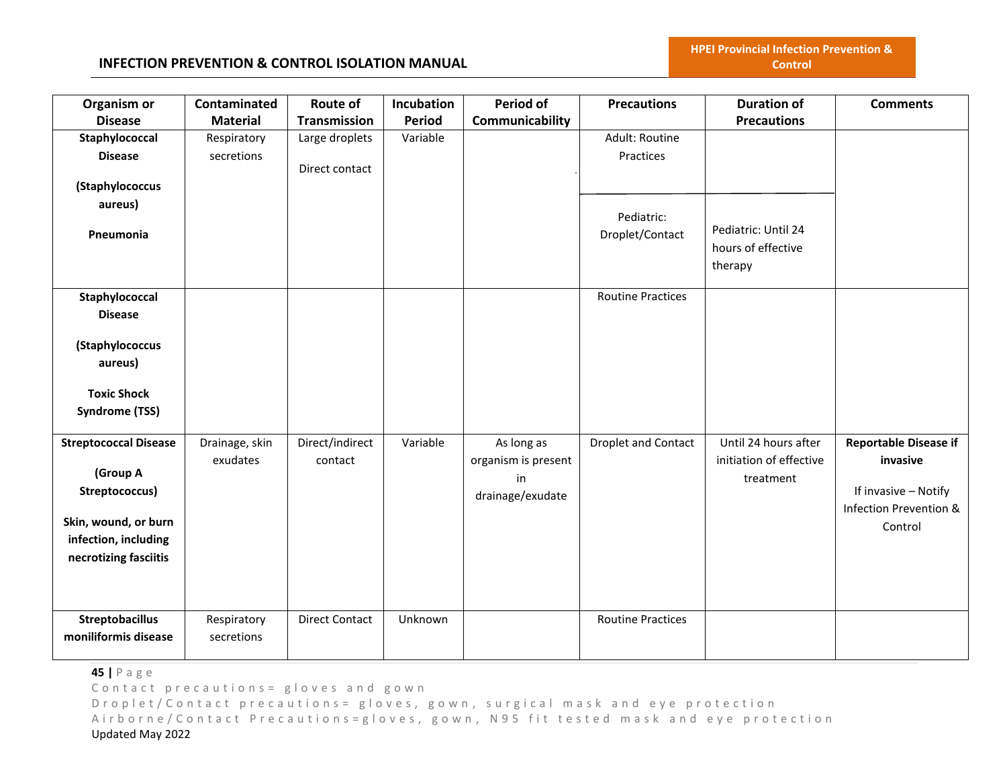| Organism or                  | Contaminated    | Route of              | Incubation    | <b>Period of</b>    | <b>Precautions</b>         | <b>Duration of</b>      | <b>Comments</b>              |
|------------------------------|-----------------|-----------------------|---------------|---------------------|----------------------------|-------------------------|------------------------------|
| <b>Disease</b>               | <b>Material</b> | <b>Transmission</b>   | <b>Period</b> | Communicability     |                            | <b>Precautions</b>      |                              |
| Staphylococcal               | Respiratory     | Large droplets        | Variable      |                     | Adult: Routine             |                         |                              |
| <b>Disease</b>               | secretions      |                       |               |                     | Practices                  |                         |                              |
|                              |                 | Direct contact        |               |                     |                            |                         |                              |
| (Staphylococcus              |                 |                       |               |                     |                            |                         |                              |
| aureus)                      |                 |                       |               |                     | Pediatric:                 |                         |                              |
| Pneumonia                    |                 |                       |               |                     | Droplet/Contact            | Pediatric: Until 24     |                              |
|                              |                 |                       |               |                     |                            | hours of effective      |                              |
|                              |                 |                       |               |                     |                            | therapy                 |                              |
|                              |                 |                       |               |                     |                            |                         |                              |
| Staphylococcal               |                 |                       |               |                     | <b>Routine Practices</b>   |                         |                              |
| <b>Disease</b>               |                 |                       |               |                     |                            |                         |                              |
|                              |                 |                       |               |                     |                            |                         |                              |
| (Staphylococcus              |                 |                       |               |                     |                            |                         |                              |
| aureus)                      |                 |                       |               |                     |                            |                         |                              |
| <b>Toxic Shock</b>           |                 |                       |               |                     |                            |                         |                              |
| Syndrome (TSS)               |                 |                       |               |                     |                            |                         |                              |
|                              |                 |                       |               |                     |                            |                         |                              |
| <b>Streptococcal Disease</b> | Drainage, skin  | Direct/indirect       | Variable      | As long as          | <b>Droplet and Contact</b> | Until 24 hours after    | <b>Reportable Disease if</b> |
|                              | exudates        | contact               |               | organism is present |                            | initiation of effective | invasive                     |
| (Group A                     |                 |                       |               | in                  |                            | treatment               |                              |
| Streptococcus)               |                 |                       |               | drainage/exudate    |                            |                         | If invasive - Notify         |
|                              |                 |                       |               |                     |                            |                         | Infection Prevention &       |
| Skin, wound, or burn         |                 |                       |               |                     |                            |                         | Control                      |
| infection, including         |                 |                       |               |                     |                            |                         |                              |
| necrotizing fasciitis        |                 |                       |               |                     |                            |                         |                              |
|                              |                 |                       |               |                     |                            |                         |                              |
|                              |                 |                       |               |                     |                            |                         |                              |
| <b>Streptobacillus</b>       | Respiratory     | <b>Direct Contact</b> | Unknown       |                     | <b>Routine Practices</b>   |                         |                              |
| moniliformis disease         | secretions      |                       |               |                     |                            |                         |                              |
|                              |                 |                       |               |                     |                            |                         |                              |

**45 |** P a g e

Contact precautions = gloves and gown

D r o p l e t / C o n t a c t p r e c a u t i o n s = g l o v e s, g o w n, surgical mask and eye protection Airborne/Contact Precautions=gloves, gown, N95 fit tested mask and eye protection Updated May 2022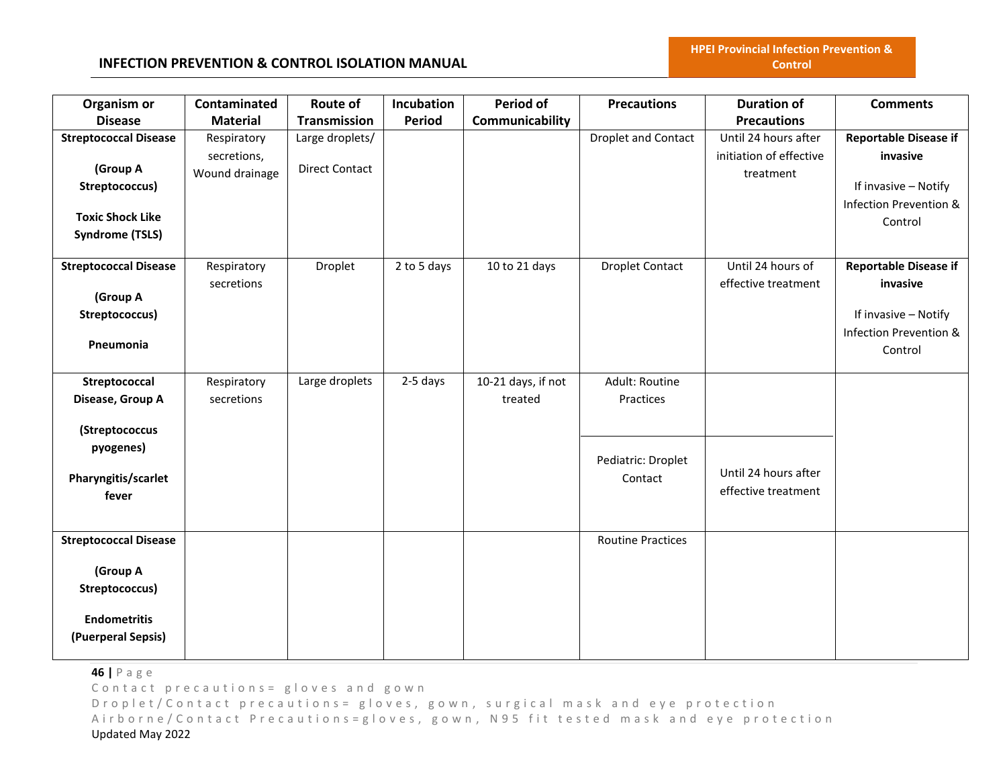**HPEI Provincial Infection Prevention & Control**

| Organism or                  | Contaminated    | Route of              | Incubation    | <b>Period of</b>   | <b>Precautions</b>         | <b>Duration of</b>      | <b>Comments</b>              |
|------------------------------|-----------------|-----------------------|---------------|--------------------|----------------------------|-------------------------|------------------------------|
| <b>Disease</b>               | <b>Material</b> | Transmission          | <b>Period</b> | Communicability    |                            | <b>Precautions</b>      |                              |
| <b>Streptococcal Disease</b> | Respiratory     | Large droplets/       |               |                    | <b>Droplet and Contact</b> | Until 24 hours after    | <b>Reportable Disease if</b> |
|                              | secretions,     |                       |               |                    |                            | initiation of effective | invasive                     |
| (Group A                     | Wound drainage  | <b>Direct Contact</b> |               |                    |                            | treatment               |                              |
| Streptococcus)               |                 |                       |               |                    |                            |                         | If invasive - Notify         |
| <b>Toxic Shock Like</b>      |                 |                       |               |                    |                            |                         | Infection Prevention &       |
|                              |                 |                       |               |                    |                            |                         | Control                      |
| <b>Syndrome (TSLS)</b>       |                 |                       |               |                    |                            |                         |                              |
| <b>Streptococcal Disease</b> | Respiratory     | Droplet               | 2 to 5 days   | 10 to 21 days      | <b>Droplet Contact</b>     | Until 24 hours of       | <b>Reportable Disease if</b> |
|                              | secretions      |                       |               |                    |                            | effective treatment     | invasive                     |
| (Group A                     |                 |                       |               |                    |                            |                         |                              |
| Streptococcus)               |                 |                       |               |                    |                            |                         | If invasive - Notify         |
|                              |                 |                       |               |                    |                            |                         | Infection Prevention &       |
| Pneumonia                    |                 |                       |               |                    |                            |                         | Control                      |
|                              |                 |                       |               |                    |                            |                         |                              |
| Streptococcal                | Respiratory     | Large droplets        | 2-5 days      | 10-21 days, if not | Adult: Routine             |                         |                              |
| Disease, Group A             | secretions      |                       |               | treated            | Practices                  |                         |                              |
|                              |                 |                       |               |                    |                            |                         |                              |
| (Streptococcus               |                 |                       |               |                    |                            |                         |                              |
| pyogenes)                    |                 |                       |               |                    | Pediatric: Droplet         |                         |                              |
| Pharyngitis/scarlet          |                 |                       |               |                    | Contact                    | Until 24 hours after    |                              |
| fever                        |                 |                       |               |                    |                            | effective treatment     |                              |
|                              |                 |                       |               |                    |                            |                         |                              |
|                              |                 |                       |               |                    |                            |                         |                              |
| <b>Streptococcal Disease</b> |                 |                       |               |                    | <b>Routine Practices</b>   |                         |                              |
| (Group A                     |                 |                       |               |                    |                            |                         |                              |
|                              |                 |                       |               |                    |                            |                         |                              |
| Streptococcus)               |                 |                       |               |                    |                            |                         |                              |
| <b>Endometritis</b>          |                 |                       |               |                    |                            |                         |                              |
| (Puerperal Sepsis)           |                 |                       |               |                    |                            |                         |                              |
|                              |                 |                       |               |                    |                            |                         |                              |

**46 |** P a g e

Contact precautions = gloves and gown

D r o p l e t / C o n t a c t p r e c a u t i o n s = g l o v e s, g o w n, surgical mask and eye protection Airborne/Contact Precautions=gloves, gown, N95 fit tested mask and eye protection Updated May 2022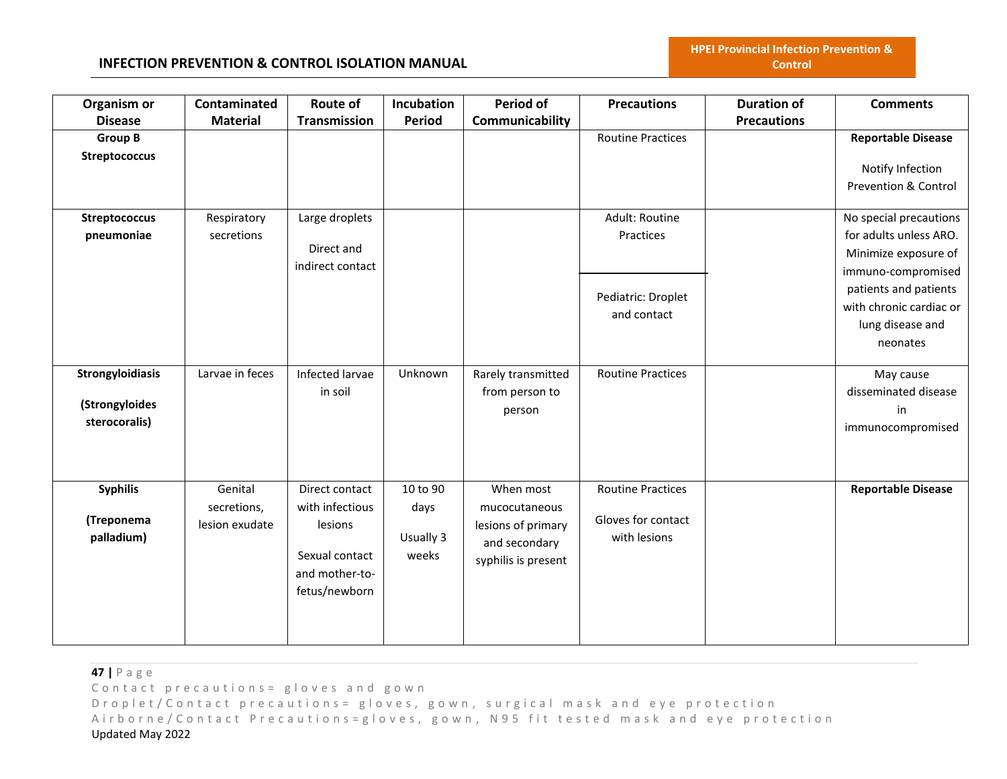## **INFECTION PREVENTION & CONTROL ISOLATION MANUAL**

| Organism or          | Contaminated    | Route of            | Incubation    | Period of           | <b>Precautions</b>       | <b>Duration of</b> | <b>Comments</b>           |
|----------------------|-----------------|---------------------|---------------|---------------------|--------------------------|--------------------|---------------------------|
| <b>Disease</b>       | <b>Material</b> | <b>Transmission</b> | <b>Period</b> | Communicability     |                          | <b>Precautions</b> |                           |
| <b>Group B</b>       |                 |                     |               |                     | <b>Routine Practices</b> |                    | <b>Reportable Disease</b> |
| <b>Streptococcus</b> |                 |                     |               |                     |                          |                    |                           |
|                      |                 |                     |               |                     |                          |                    | Notify Infection          |
|                      |                 |                     |               |                     |                          |                    | Prevention & Control      |
| <b>Streptococcus</b> | Respiratory     | Large droplets      |               |                     | Adult: Routine           |                    | No special precautions    |
|                      |                 |                     |               |                     |                          |                    |                           |
| pneumoniae           | secretions      | Direct and          |               |                     | Practices                |                    | for adults unless ARO.    |
|                      |                 | indirect contact    |               |                     |                          |                    | Minimize exposure of      |
|                      |                 |                     |               |                     |                          |                    | immuno-compromised        |
|                      |                 |                     |               |                     | Pediatric: Droplet       |                    | patients and patients     |
|                      |                 |                     |               |                     | and contact              |                    | with chronic cardiac or   |
|                      |                 |                     |               |                     |                          |                    | lung disease and          |
|                      |                 |                     |               |                     |                          |                    | neonates                  |
|                      |                 |                     |               |                     |                          |                    |                           |
| Strongyloidiasis     | Larvae in feces | Infected larvae     | Unknown       | Rarely transmitted  | <b>Routine Practices</b> |                    | May cause                 |
|                      |                 | in soil             |               | from person to      |                          |                    | disseminated disease      |
| (Strongyloides       |                 |                     |               | person              |                          |                    | in                        |
| sterocoralis)        |                 |                     |               |                     |                          |                    | immunocompromised         |
|                      |                 |                     |               |                     |                          |                    |                           |
|                      |                 |                     |               |                     |                          |                    |                           |
|                      |                 |                     |               |                     |                          |                    |                           |
| <b>Syphilis</b>      | Genital         | Direct contact      | 10 to 90      | When most           | <b>Routine Practices</b> |                    | <b>Reportable Disease</b> |
|                      | secretions,     | with infectious     | days          | mucocutaneous       |                          |                    |                           |
| (Treponema           | lesion exudate  | lesions             |               | lesions of primary  | Gloves for contact       |                    |                           |
| palladium)           |                 |                     | Usually 3     | and secondary       | with lesions             |                    |                           |
|                      |                 | Sexual contact      | weeks         | syphilis is present |                          |                    |                           |
|                      |                 | and mother-to-      |               |                     |                          |                    |                           |
|                      |                 | fetus/newborn       |               |                     |                          |                    |                           |
|                      |                 |                     |               |                     |                          |                    |                           |
|                      |                 |                     |               |                     |                          |                    |                           |
|                      |                 |                     |               |                     |                          |                    |                           |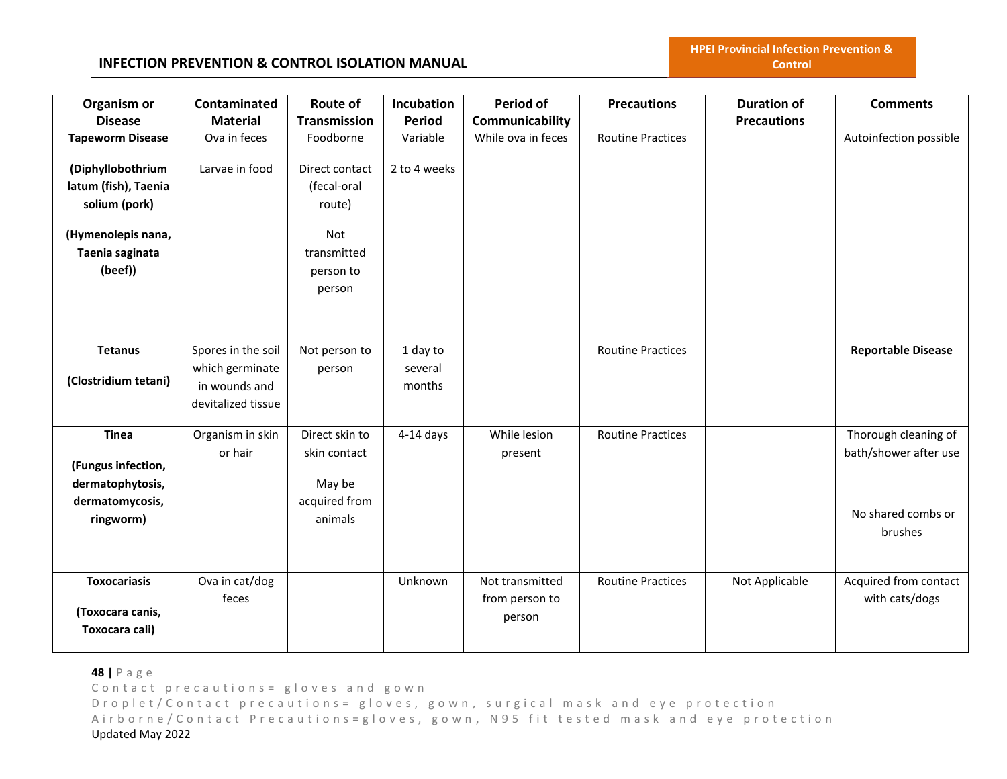| Organism or<br><b>Disease</b> | Contaminated<br><b>Material</b>  | Route of<br>Transmission | Incubation<br>Period | <b>Period of</b><br>Communicability | <b>Precautions</b>       | <b>Duration of</b><br><b>Precautions</b> | <b>Comments</b>           |
|-------------------------------|----------------------------------|--------------------------|----------------------|-------------------------------------|--------------------------|------------------------------------------|---------------------------|
| <b>Tapeworm Disease</b>       | Ova in feces                     | Foodborne                | Variable             | While ova in feces                  | <b>Routine Practices</b> |                                          | Autoinfection possible    |
|                               |                                  |                          |                      |                                     |                          |                                          |                           |
| (Diphyllobothrium             | Larvae in food                   | Direct contact           | 2 to 4 weeks         |                                     |                          |                                          |                           |
| latum (fish), Taenia          |                                  | (fecal-oral              |                      |                                     |                          |                                          |                           |
| solium (pork)                 |                                  | route)                   |                      |                                     |                          |                                          |                           |
| (Hymenolepis nana,            |                                  | Not                      |                      |                                     |                          |                                          |                           |
| Taenia saginata               |                                  | transmitted              |                      |                                     |                          |                                          |                           |
| (beef))                       |                                  | person to                |                      |                                     |                          |                                          |                           |
|                               |                                  | person                   |                      |                                     |                          |                                          |                           |
|                               |                                  |                          |                      |                                     |                          |                                          |                           |
|                               |                                  |                          |                      |                                     |                          |                                          |                           |
| <b>Tetanus</b>                |                                  |                          |                      |                                     |                          |                                          |                           |
|                               | Spores in the soil               | Not person to            | 1 day to             |                                     | <b>Routine Practices</b> |                                          | <b>Reportable Disease</b> |
| (Clostridium tetani)          | which germinate<br>in wounds and | person                   | several<br>months    |                                     |                          |                                          |                           |
|                               | devitalized tissue               |                          |                      |                                     |                          |                                          |                           |
|                               |                                  |                          |                      |                                     |                          |                                          |                           |
| <b>Tinea</b>                  | Organism in skin                 | Direct skin to           | $4-14$ days          | While lesion                        | <b>Routine Practices</b> |                                          | Thorough cleaning of      |
|                               | or hair                          | skin contact             |                      | present                             |                          |                                          | bath/shower after use     |
| (Fungus infection,            |                                  |                          |                      |                                     |                          |                                          |                           |
| dermatophytosis,              |                                  | May be                   |                      |                                     |                          |                                          |                           |
| dermatomycosis,               |                                  | acquired from            |                      |                                     |                          |                                          | No shared combs or        |
| ringworm)                     |                                  | animals                  |                      |                                     |                          |                                          | brushes                   |
|                               |                                  |                          |                      |                                     |                          |                                          |                           |
|                               |                                  |                          |                      |                                     |                          |                                          |                           |
| <b>Toxocariasis</b>           | Ova in cat/dog                   |                          | Unknown              | Not transmitted                     | <b>Routine Practices</b> | Not Applicable                           | Acquired from contact     |
|                               | feces                            |                          |                      | from person to                      |                          |                                          | with cats/dogs            |
| (Toxocara canis,              |                                  |                          |                      | person                              |                          |                                          |                           |
| Toxocara cali)                |                                  |                          |                      |                                     |                          |                                          |                           |
|                               |                                  |                          |                      |                                     |                          |                                          |                           |

**48 |** P a g e

Contact precautions = gloves and gown

D r o p l e t / C o n t a c t p r e c a u t i o n s = g l o v e s, g o w n, surgical mask and eye protection Airborne/Contact Precautions=gloves, gown, N95 fit tested mask and eye protection Updated May 2022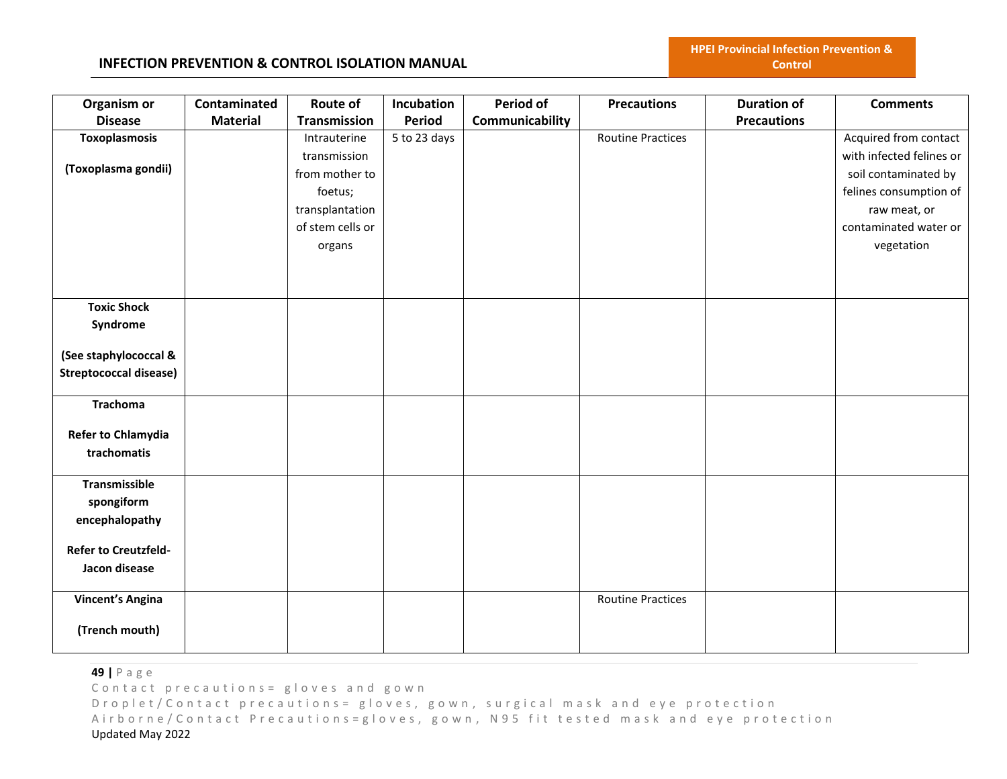#### **INFECTION PREVENTION & CONTROL ISOLATION MANUAL**

| Organism or                   | Contaminated    | Route of            | Incubation   | Period of       | <b>Precautions</b>       | <b>Duration of</b> | <b>Comments</b>          |
|-------------------------------|-----------------|---------------------|--------------|-----------------|--------------------------|--------------------|--------------------------|
| <b>Disease</b>                | <b>Material</b> | <b>Transmission</b> | Period       | Communicability |                          | <b>Precautions</b> |                          |
| Toxoplasmosis                 |                 | Intrauterine        | 5 to 23 days |                 | <b>Routine Practices</b> |                    | Acquired from contact    |
|                               |                 | transmission        |              |                 |                          |                    | with infected felines or |
| (Toxoplasma gondii)           |                 | from mother to      |              |                 |                          |                    | soil contaminated by     |
|                               |                 | foetus;             |              |                 |                          |                    | felines consumption of   |
|                               |                 | transplantation     |              |                 |                          |                    | raw meat, or             |
|                               |                 | of stem cells or    |              |                 |                          |                    | contaminated water or    |
|                               |                 |                     |              |                 |                          |                    | vegetation               |
|                               |                 | organs              |              |                 |                          |                    |                          |
|                               |                 |                     |              |                 |                          |                    |                          |
|                               |                 |                     |              |                 |                          |                    |                          |
| <b>Toxic Shock</b>            |                 |                     |              |                 |                          |                    |                          |
| Syndrome                      |                 |                     |              |                 |                          |                    |                          |
|                               |                 |                     |              |                 |                          |                    |                          |
| (See staphylococcal &         |                 |                     |              |                 |                          |                    |                          |
| <b>Streptococcal disease)</b> |                 |                     |              |                 |                          |                    |                          |
|                               |                 |                     |              |                 |                          |                    |                          |
| <b>Trachoma</b>               |                 |                     |              |                 |                          |                    |                          |
|                               |                 |                     |              |                 |                          |                    |                          |
| Refer to Chlamydia            |                 |                     |              |                 |                          |                    |                          |
| trachomatis                   |                 |                     |              |                 |                          |                    |                          |
|                               |                 |                     |              |                 |                          |                    |                          |
| <b>Transmissible</b>          |                 |                     |              |                 |                          |                    |                          |
| spongiform                    |                 |                     |              |                 |                          |                    |                          |
| encephalopathy                |                 |                     |              |                 |                          |                    |                          |
|                               |                 |                     |              |                 |                          |                    |                          |
| <b>Refer to Creutzfeld-</b>   |                 |                     |              |                 |                          |                    |                          |
| Jacon disease                 |                 |                     |              |                 |                          |                    |                          |
| <b>Vincent's Angina</b>       |                 |                     |              |                 | <b>Routine Practices</b> |                    |                          |
|                               |                 |                     |              |                 |                          |                    |                          |
| (Trench mouth)                |                 |                     |              |                 |                          |                    |                          |
|                               |                 |                     |              |                 |                          |                    |                          |

**49 |** P a g e

Contact precautions = gloves and gown

D r o p l e t / C o n t a c t p r e c a u t i o n s = g l o v e s, g o w n, surgical mask and eye protection Airborne/Contact Precautions=gloves, gown, N95 fit tested mask and eye protection Updated May 2022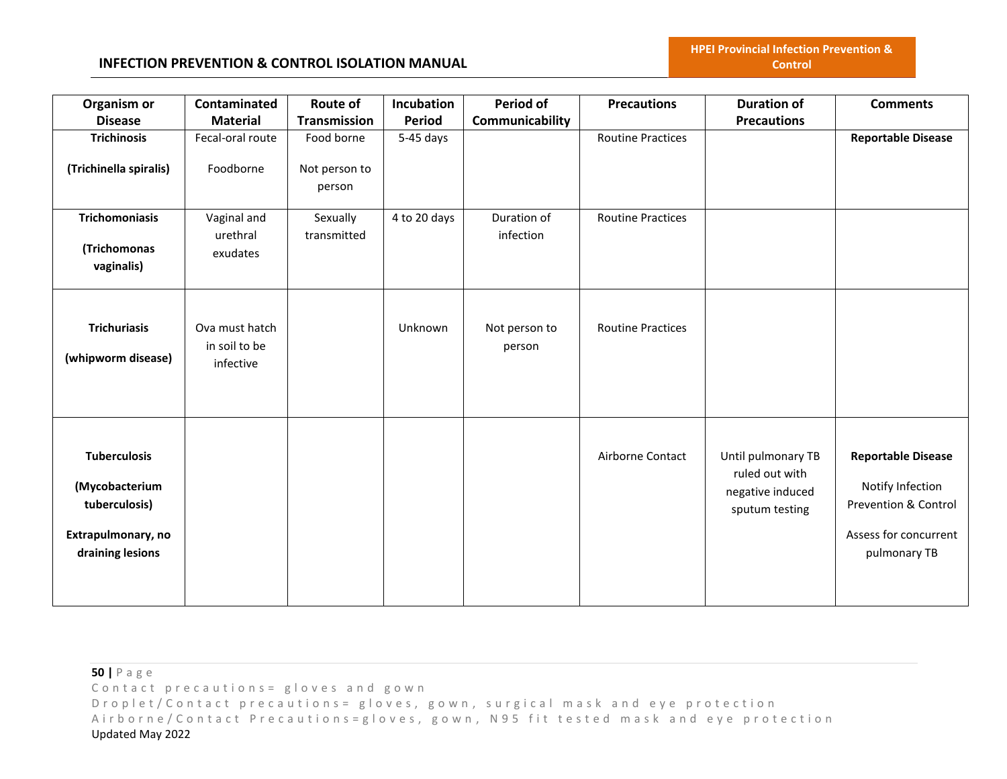| Organism or                                                                                      | Contaminated                                 | Route of                              | Incubation     | <b>Period of</b>         | <b>Precautions</b>       | <b>Duration of</b>                                                         | <b>Comments</b>                                                                                                |
|--------------------------------------------------------------------------------------------------|----------------------------------------------|---------------------------------------|----------------|--------------------------|--------------------------|----------------------------------------------------------------------------|----------------------------------------------------------------------------------------------------------------|
| <b>Disease</b>                                                                                   | <b>Material</b>                              | <b>Transmission</b>                   | Period         | Communicability          |                          | <b>Precautions</b>                                                         |                                                                                                                |
| <b>Trichinosis</b><br>(Trichinella spiralis)                                                     | Fecal-oral route<br>Foodborne                | Food borne<br>Not person to<br>person | $5-45$ days    |                          | <b>Routine Practices</b> |                                                                            | <b>Reportable Disease</b>                                                                                      |
| <b>Trichomoniasis</b><br>(Trichomonas<br>vaginalis)                                              | Vaginal and<br>urethral<br>exudates          | Sexually<br>transmitted               | 4 to 20 days   | Duration of<br>infection | <b>Routine Practices</b> |                                                                            |                                                                                                                |
| <b>Trichuriasis</b><br>(whipworm disease)                                                        | Ova must hatch<br>in soil to be<br>infective |                                       | <b>Unknown</b> | Not person to<br>person  | <b>Routine Practices</b> |                                                                            |                                                                                                                |
| <b>Tuberculosis</b><br>(Mycobacterium<br>tuberculosis)<br>Extrapulmonary, no<br>draining lesions |                                              |                                       |                |                          | Airborne Contact         | Until pulmonary TB<br>ruled out with<br>negative induced<br>sputum testing | <b>Reportable Disease</b><br>Notify Infection<br>Prevention & Control<br>Assess for concurrent<br>pulmonary TB |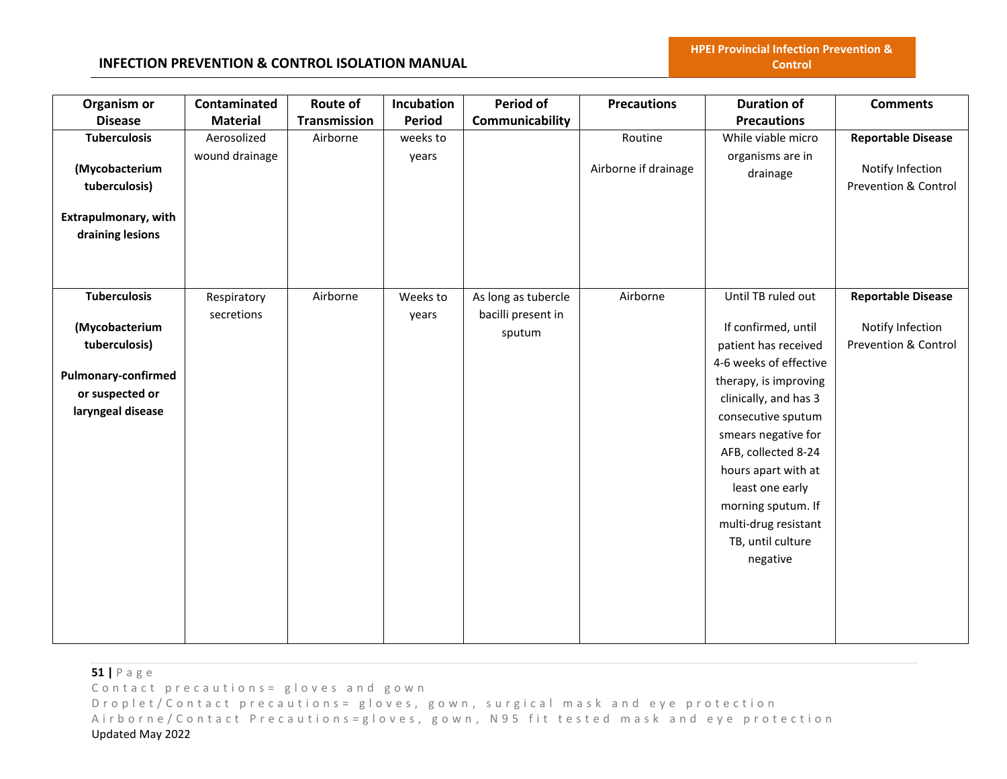**HPEI Provincial Infection Prevention & Control**

| Organism or                                     | Contaminated    | Route of            | Incubation    | <b>Period of</b>    | <b>Precautions</b>   | <b>Duration of</b>           | <b>Comments</b>                          |
|-------------------------------------------------|-----------------|---------------------|---------------|---------------------|----------------------|------------------------------|------------------------------------------|
| <b>Disease</b>                                  | <b>Material</b> | <b>Transmission</b> | <b>Period</b> | Communicability     |                      | <b>Precautions</b>           |                                          |
| <b>Tuberculosis</b>                             | Aerosolized     | Airborne            | weeks to      |                     | Routine              | While viable micro           | <b>Reportable Disease</b>                |
| (Mycobacterium<br>tuberculosis)                 | wound drainage  |                     | years         |                     | Airborne if drainage | organisms are in<br>drainage | Notify Infection<br>Prevention & Control |
| <b>Extrapulmonary, with</b><br>draining lesions |                 |                     |               |                     |                      |                              |                                          |
|                                                 |                 |                     |               |                     |                      |                              |                                          |
| <b>Tuberculosis</b>                             | Respiratory     | Airborne            | Weeks to      | As long as tubercle | Airborne             | Until TB ruled out           | <b>Reportable Disease</b>                |
|                                                 | secretions      |                     | years         | bacilli present in  |                      |                              |                                          |
| (Mycobacterium                                  |                 |                     |               | sputum              |                      | If confirmed, until          | Notify Infection                         |
| tuberculosis)                                   |                 |                     |               |                     |                      | patient has received         | Prevention & Control                     |
| <b>Pulmonary-confirmed</b>                      |                 |                     |               |                     |                      | 4-6 weeks of effective       |                                          |
| or suspected or                                 |                 |                     |               |                     |                      | therapy, is improving        |                                          |
| laryngeal disease                               |                 |                     |               |                     |                      | clinically, and has 3        |                                          |
|                                                 |                 |                     |               |                     |                      | consecutive sputum           |                                          |
|                                                 |                 |                     |               |                     |                      | smears negative for          |                                          |
|                                                 |                 |                     |               |                     |                      | AFB, collected 8-24          |                                          |
|                                                 |                 |                     |               |                     |                      | hours apart with at          |                                          |
|                                                 |                 |                     |               |                     |                      | least one early              |                                          |
|                                                 |                 |                     |               |                     |                      | morning sputum. If           |                                          |
|                                                 |                 |                     |               |                     |                      | multi-drug resistant         |                                          |
|                                                 |                 |                     |               |                     |                      | TB, until culture            |                                          |
|                                                 |                 |                     |               |                     |                      | negative                     |                                          |
|                                                 |                 |                     |               |                     |                      |                              |                                          |
|                                                 |                 |                     |               |                     |                      |                              |                                          |
|                                                 |                 |                     |               |                     |                      |                              |                                          |
|                                                 |                 |                     |               |                     |                      |                              |                                          |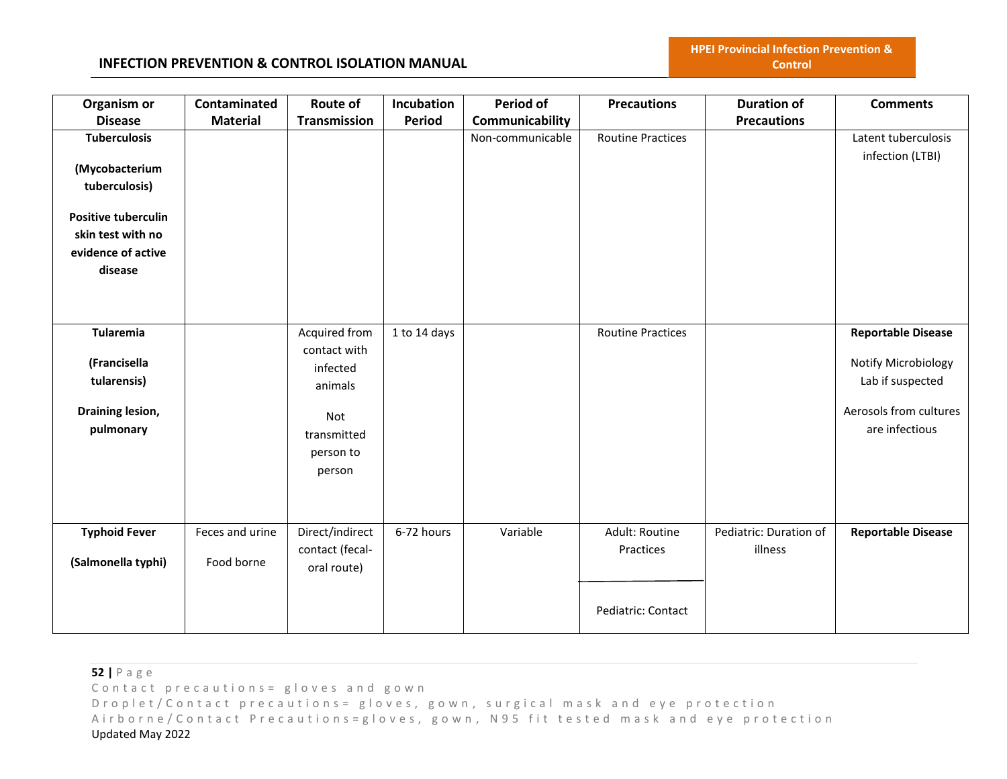# **INFECTION PREVENTION & CONTROL ISOLATION MANUAL**

| Organism or<br><b>Disease</b>                                                                                                              | Contaminated<br><b>Material</b> | <b>Route of</b><br><b>Transmission</b>                                                            | Incubation<br><b>Period</b> | <b>Period of</b><br>Communicability | <b>Precautions</b>                                | <b>Duration of</b><br><b>Precautions</b> | <b>Comments</b>                                                                                                  |
|--------------------------------------------------------------------------------------------------------------------------------------------|---------------------------------|---------------------------------------------------------------------------------------------------|-----------------------------|-------------------------------------|---------------------------------------------------|------------------------------------------|------------------------------------------------------------------------------------------------------------------|
| <b>Tuberculosis</b><br>(Mycobacterium<br>tuberculosis)<br><b>Positive tuberculin</b><br>skin test with no<br>evidence of active<br>disease |                                 |                                                                                                   |                             | Non-communicable                    | <b>Routine Practices</b>                          |                                          | Latent tuberculosis<br>infection (LTBI)                                                                          |
| Tularemia<br>(Francisella<br>tularensis)<br>Draining lesion,<br>pulmonary                                                                  |                                 | Acquired from<br>contact with<br>infected<br>animals<br>Not<br>transmitted<br>person to<br>person | 1 to 14 days                |                                     | <b>Routine Practices</b>                          |                                          | <b>Reportable Disease</b><br>Notify Microbiology<br>Lab if suspected<br>Aerosols from cultures<br>are infectious |
| <b>Typhoid Fever</b><br>(Salmonella typhi)                                                                                                 | Feces and urine<br>Food borne   | Direct/indirect<br>contact (fecal-<br>oral route)                                                 | 6-72 hours                  | Variable                            | Adult: Routine<br>Practices<br>Pediatric: Contact | Pediatric: Duration of<br>illness        | <b>Reportable Disease</b>                                                                                        |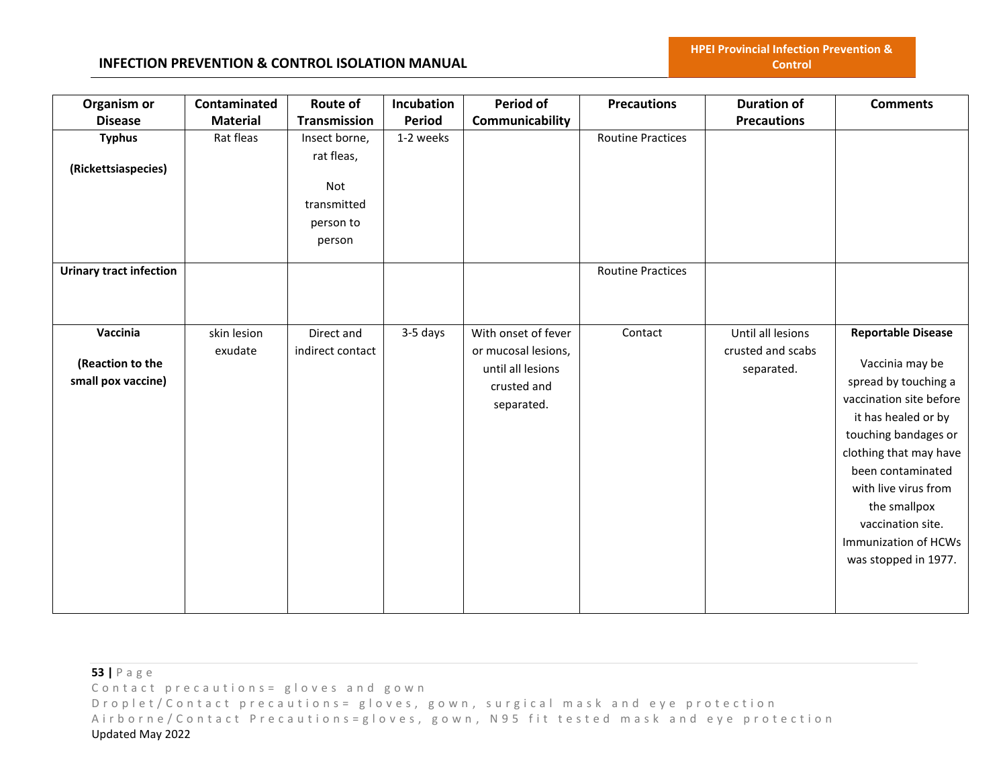| Organism or                    | Contaminated    | Route of         | Incubation    | Period of           | <b>Precautions</b>       | <b>Duration of</b> | <b>Comments</b>           |
|--------------------------------|-----------------|------------------|---------------|---------------------|--------------------------|--------------------|---------------------------|
| <b>Disease</b>                 | <b>Material</b> | Transmission     | <b>Period</b> | Communicability     |                          | <b>Precautions</b> |                           |
| <b>Typhus</b>                  | Rat fleas       | Insect borne,    | 1-2 weeks     |                     | <b>Routine Practices</b> |                    |                           |
| (Rickettsiaspecies)            |                 | rat fleas,       |               |                     |                          |                    |                           |
|                                |                 | Not              |               |                     |                          |                    |                           |
|                                |                 | transmitted      |               |                     |                          |                    |                           |
|                                |                 | person to        |               |                     |                          |                    |                           |
|                                |                 | person           |               |                     |                          |                    |                           |
| <b>Urinary tract infection</b> |                 |                  |               |                     | <b>Routine Practices</b> |                    |                           |
|                                |                 |                  |               |                     |                          |                    |                           |
|                                |                 |                  |               |                     |                          |                    |                           |
| Vaccinia                       | skin lesion     | Direct and       | 3-5 days      | With onset of fever | Contact                  | Until all lesions  | <b>Reportable Disease</b> |
| (Reaction to the               | exudate         | indirect contact |               | or mucosal lesions, |                          | crusted and scabs  | Vaccinia may be           |
| small pox vaccine)             |                 |                  |               | until all lesions   |                          | separated.         | spread by touching a      |
|                                |                 |                  |               | crusted and         |                          |                    | vaccination site before   |
|                                |                 |                  |               | separated.          |                          |                    | it has healed or by       |
|                                |                 |                  |               |                     |                          |                    | touching bandages or      |
|                                |                 |                  |               |                     |                          |                    | clothing that may have    |
|                                |                 |                  |               |                     |                          |                    | been contaminated         |
|                                |                 |                  |               |                     |                          |                    | with live virus from      |
|                                |                 |                  |               |                     |                          |                    | the smallpox              |
|                                |                 |                  |               |                     |                          |                    | vaccination site.         |
|                                |                 |                  |               |                     |                          |                    | Immunization of HCWs      |
|                                |                 |                  |               |                     |                          |                    |                           |
|                                |                 |                  |               |                     |                          |                    | was stopped in 1977.      |
|                                |                 |                  |               |                     |                          |                    |                           |
|                                |                 |                  |               |                     |                          |                    |                           |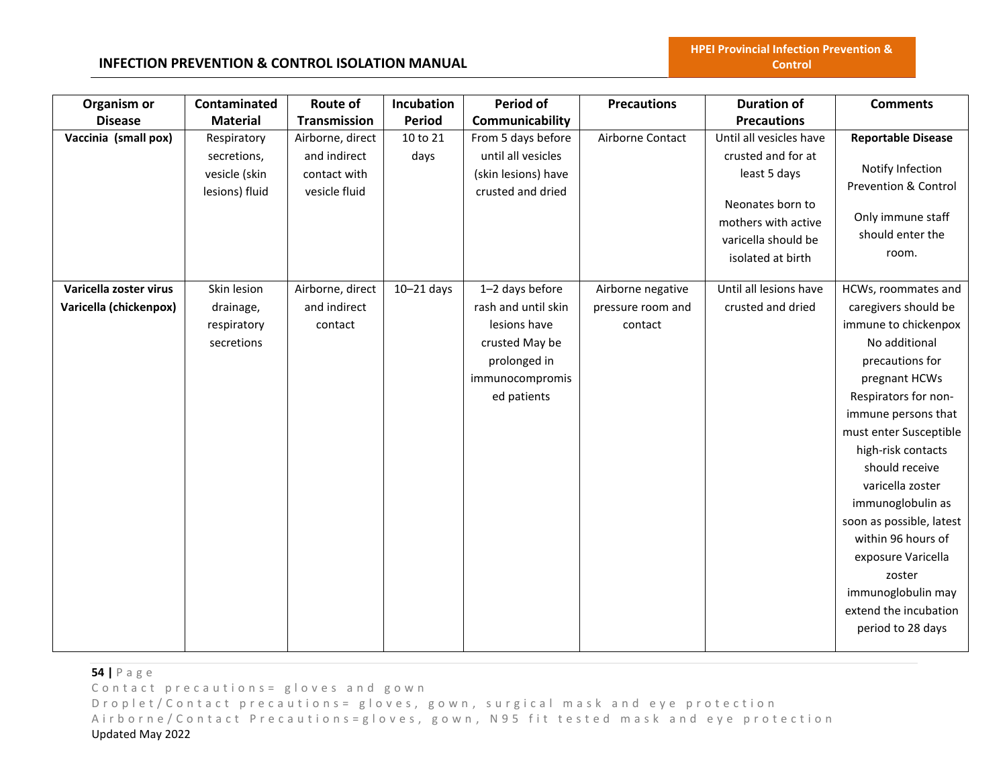### **INFECTION PREVENTION & CONTROL ISOLATION MANUAL**

| Organism or<br><b>Disease</b>                    | Contaminated<br><b>Material</b>                               | <b>Route of</b><br>Transmission                                   | Incubation<br>Period | Period of<br>Communicability                                                                                               | <b>Precautions</b>                                | <b>Duration of</b><br><b>Precautions</b>                                                                                                             | <b>Comments</b>                                                                                                                                                                                                                                                                                                                                                                                                                          |
|--------------------------------------------------|---------------------------------------------------------------|-------------------------------------------------------------------|----------------------|----------------------------------------------------------------------------------------------------------------------------|---------------------------------------------------|------------------------------------------------------------------------------------------------------------------------------------------------------|------------------------------------------------------------------------------------------------------------------------------------------------------------------------------------------------------------------------------------------------------------------------------------------------------------------------------------------------------------------------------------------------------------------------------------------|
| Vaccinia (small pox)                             | Respiratory<br>secretions,<br>vesicle (skin<br>lesions) fluid | Airborne, direct<br>and indirect<br>contact with<br>vesicle fluid | 10 to 21<br>days     | From 5 days before<br>until all vesicles<br>(skin lesions) have<br>crusted and dried                                       | Airborne Contact                                  | Until all vesicles have<br>crusted and for at<br>least 5 days<br>Neonates born to<br>mothers with active<br>varicella should be<br>isolated at birth | <b>Reportable Disease</b><br>Notify Infection<br>Prevention & Control<br>Only immune staff<br>should enter the<br>room.                                                                                                                                                                                                                                                                                                                  |
| Varicella zoster virus<br>Varicella (chickenpox) | Skin lesion<br>drainage,<br>respiratory<br>secretions         | Airborne, direct<br>and indirect<br>contact                       | $10 - 21$ days       | 1-2 days before<br>rash and until skin<br>lesions have<br>crusted May be<br>prolonged in<br>immunocompromis<br>ed patients | Airborne negative<br>pressure room and<br>contact | Until all lesions have<br>crusted and dried                                                                                                          | HCWs, roommates and<br>caregivers should be<br>immune to chickenpox<br>No additional<br>precautions for<br>pregnant HCWs<br>Respirators for non-<br>immune persons that<br>must enter Susceptible<br>high-risk contacts<br>should receive<br>varicella zoster<br>immunoglobulin as<br>soon as possible, latest<br>within 96 hours of<br>exposure Varicella<br>zoster<br>immunoglobulin may<br>extend the incubation<br>period to 28 days |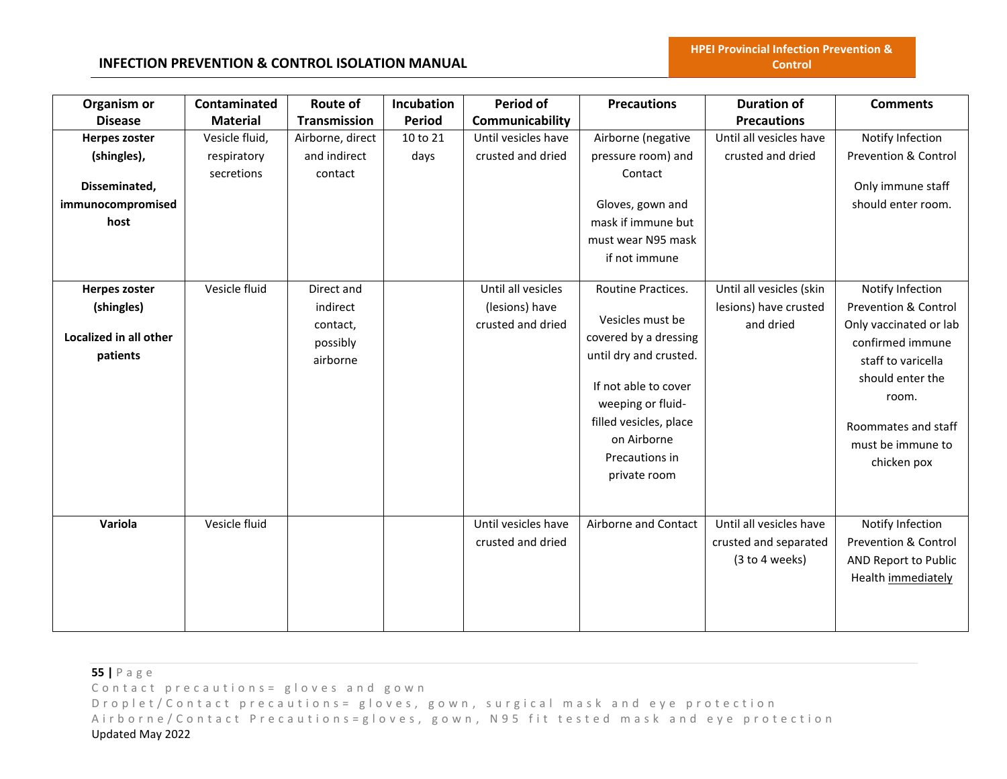# **INFECTION PREVENTION & CONTROL ISOLATION MANUAL**

| Organism or<br><b>Disease</b>                                              | Contaminated<br><b>Material</b>             | Route of<br>Transmission                                   | Incubation<br><b>Period</b> | Period of<br>Communicability                              | <b>Precautions</b>                                                                                                                                                                                                | <b>Duration of</b><br><b>Precautions</b>                           | <b>Comments</b>                                                                                                                                                                                                 |
|----------------------------------------------------------------------------|---------------------------------------------|------------------------------------------------------------|-----------------------------|-----------------------------------------------------------|-------------------------------------------------------------------------------------------------------------------------------------------------------------------------------------------------------------------|--------------------------------------------------------------------|-----------------------------------------------------------------------------------------------------------------------------------------------------------------------------------------------------------------|
| Herpes zoster<br>(shingles),<br>Disseminated,<br>immunocompromised<br>host | Vesicle fluid,<br>respiratory<br>secretions | Airborne, direct<br>and indirect<br>contact                | 10 to 21<br>days            | Until vesicles have<br>crusted and dried                  | Airborne (negative<br>pressure room) and<br>Contact<br>Gloves, gown and<br>mask if immune but<br>must wear N95 mask<br>if not immune                                                                              | Until all vesicles have<br>crusted and dried                       | Notify Infection<br>Prevention & Control<br>Only immune staff<br>should enter room.                                                                                                                             |
| <b>Herpes zoster</b><br>(shingles)<br>Localized in all other<br>patients   | Vesicle fluid                               | Direct and<br>indirect<br>contact,<br>possibly<br>airborne |                             | Until all vesicles<br>(lesions) have<br>crusted and dried | Routine Practices.<br>Vesicles must be<br>covered by a dressing<br>until dry and crusted.<br>If not able to cover<br>weeping or fluid-<br>filled vesicles, place<br>on Airborne<br>Precautions in<br>private room | Until all vesicles (skin<br>lesions) have crusted<br>and dried     | Notify Infection<br><b>Prevention &amp; Control</b><br>Only vaccinated or lab<br>confirmed immune<br>staff to varicella<br>should enter the<br>room.<br>Roommates and staff<br>must be immune to<br>chicken pox |
| Variola                                                                    | Vesicle fluid                               |                                                            |                             | Until vesicles have<br>crusted and dried                  | Airborne and Contact                                                                                                                                                                                              | Until all vesicles have<br>crusted and separated<br>(3 to 4 weeks) | Notify Infection<br><b>Prevention &amp; Control</b><br>AND Report to Public<br>Health immediately                                                                                                               |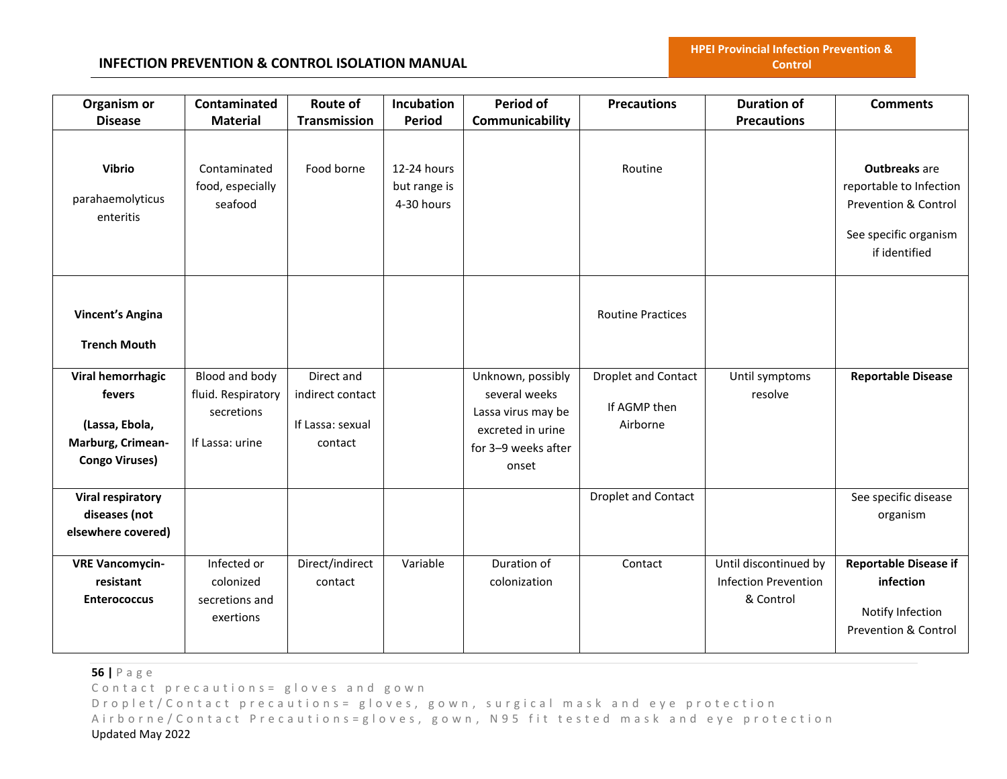### **INFECTION PREVENTION & CONTROL ISOLATION MANUAL**

| Organism or                                                                                 | Contaminated                                                          | Route of                                                      | Incubation                                | Period of                                                                                                     | <b>Precautions</b>                              | <b>Duration of</b>                                                | <b>Comments</b>                                                                                                              |
|---------------------------------------------------------------------------------------------|-----------------------------------------------------------------------|---------------------------------------------------------------|-------------------------------------------|---------------------------------------------------------------------------------------------------------------|-------------------------------------------------|-------------------------------------------------------------------|------------------------------------------------------------------------------------------------------------------------------|
| <b>Disease</b>                                                                              | <b>Material</b>                                                       | <b>Transmission</b>                                           | <b>Period</b>                             | Communicability                                                                                               |                                                 | <b>Precautions</b>                                                |                                                                                                                              |
| <b>Vibrio</b><br>parahaemolyticus<br>enteritis                                              | Contaminated<br>food, especially<br>seafood                           | Food borne                                                    | 12-24 hours<br>but range is<br>4-30 hours |                                                                                                               | Routine                                         |                                                                   | <b>Outbreaks</b> are<br>reportable to Infection<br><b>Prevention &amp; Control</b><br>See specific organism<br>if identified |
| <b>Vincent's Angina</b><br><b>Trench Mouth</b>                                              |                                                                       |                                                               |                                           |                                                                                                               | <b>Routine Practices</b>                        |                                                                   |                                                                                                                              |
| Viral hemorrhagic<br>fevers<br>(Lassa, Ebola,<br>Marburg, Crimean-<br><b>Congo Viruses)</b> | Blood and body<br>fluid. Respiratory<br>secretions<br>If Lassa: urine | Direct and<br>indirect contact<br>If Lassa: sexual<br>contact |                                           | Unknown, possibly<br>several weeks<br>Lassa virus may be<br>excreted in urine<br>for 3-9 weeks after<br>onset | Droplet and Contact<br>If AGMP then<br>Airborne | Until symptoms<br>resolve                                         | <b>Reportable Disease</b>                                                                                                    |
| <b>Viral respiratory</b><br>diseases (not<br>elsewhere covered)                             |                                                                       |                                                               |                                           |                                                                                                               | Droplet and Contact                             |                                                                   | See specific disease<br>organism                                                                                             |
| <b>VRE Vancomycin-</b><br>resistant<br><b>Enterococcus</b>                                  | Infected or<br>colonized<br>secretions and<br>exertions               | Direct/indirect<br>contact                                    | Variable                                  | Duration of<br>colonization                                                                                   | Contact                                         | Until discontinued by<br><b>Infection Prevention</b><br>& Control | <b>Reportable Disease if</b><br>infection<br>Notify Infection<br><b>Prevention &amp; Control</b>                             |

**56 |** P a g e

Contact precautions = gloves and gown

D r o p l e t / C o n t a c t p r e c a u t i o n s = g l o v e s, g o w n, surgical mask and eye protection Airborne/Contact Precautions=gloves, gown, N95 fit tested mask and eye protection Updated May 2022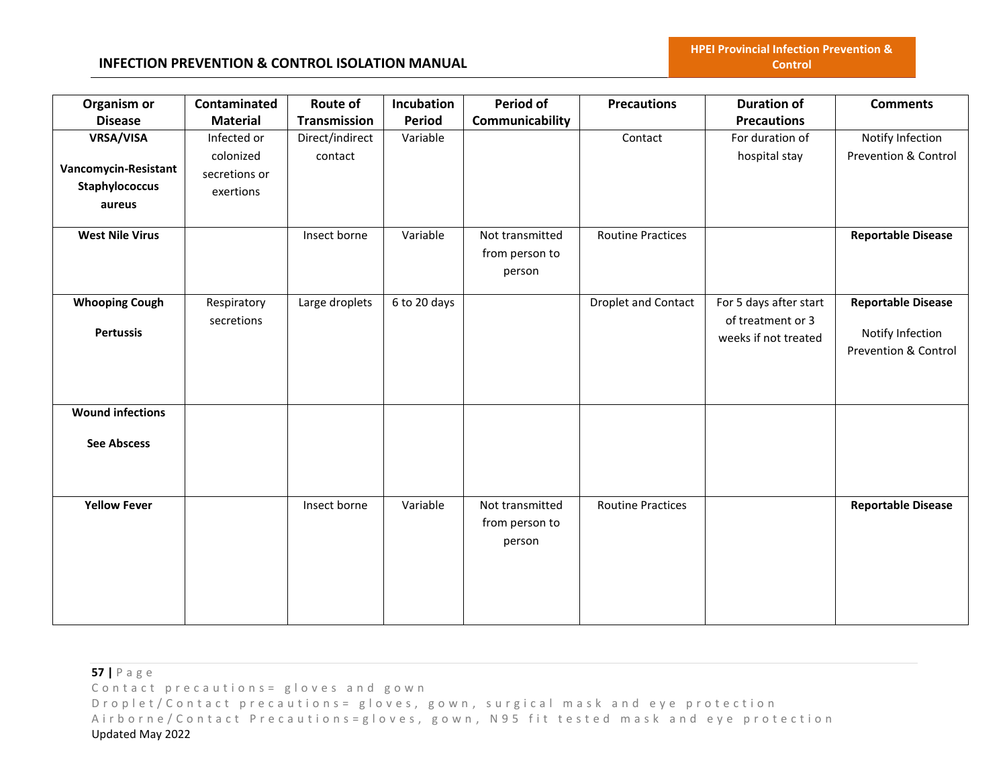| Organism or             | Contaminated    | Route of            | Incubation    | Period of       | <b>Precautions</b>       | <b>Duration of</b>     | <b>Comments</b>           |
|-------------------------|-----------------|---------------------|---------------|-----------------|--------------------------|------------------------|---------------------------|
| <b>Disease</b>          | <b>Material</b> | <b>Transmission</b> | <b>Period</b> | Communicability |                          | <b>Precautions</b>     |                           |
| VRSA/VISA               | Infected or     | Direct/indirect     | Variable      |                 | Contact                  | For duration of        | Notify Infection          |
|                         | colonized       | contact             |               |                 |                          | hospital stay          | Prevention & Control      |
| Vancomycin-Resistant    | secretions or   |                     |               |                 |                          |                        |                           |
| Staphylococcus          | exertions       |                     |               |                 |                          |                        |                           |
| aureus                  |                 |                     |               |                 |                          |                        |                           |
| <b>West Nile Virus</b>  |                 | Insect borne        | Variable      | Not transmitted | <b>Routine Practices</b> |                        | <b>Reportable Disease</b> |
|                         |                 |                     |               | from person to  |                          |                        |                           |
|                         |                 |                     |               | person          |                          |                        |                           |
| <b>Whooping Cough</b>   | Respiratory     | Large droplets      | 6 to 20 days  |                 | Droplet and Contact      | For 5 days after start | <b>Reportable Disease</b> |
|                         | secretions      |                     |               |                 |                          | of treatment or 3      |                           |
| <b>Pertussis</b>        |                 |                     |               |                 |                          |                        | Notify Infection          |
|                         |                 |                     |               |                 |                          | weeks if not treated   | Prevention & Control      |
|                         |                 |                     |               |                 |                          |                        |                           |
|                         |                 |                     |               |                 |                          |                        |                           |
|                         |                 |                     |               |                 |                          |                        |                           |
| <b>Wound infections</b> |                 |                     |               |                 |                          |                        |                           |
| <b>See Abscess</b>      |                 |                     |               |                 |                          |                        |                           |
|                         |                 |                     |               |                 |                          |                        |                           |
|                         |                 |                     |               |                 |                          |                        |                           |
| <b>Yellow Fever</b>     |                 | Insect borne        | Variable      | Not transmitted | <b>Routine Practices</b> |                        | <b>Reportable Disease</b> |
|                         |                 |                     |               | from person to  |                          |                        |                           |
|                         |                 |                     |               | person          |                          |                        |                           |
|                         |                 |                     |               |                 |                          |                        |                           |
|                         |                 |                     |               |                 |                          |                        |                           |
|                         |                 |                     |               |                 |                          |                        |                           |
|                         |                 |                     |               |                 |                          |                        |                           |
|                         |                 |                     |               |                 |                          |                        |                           |